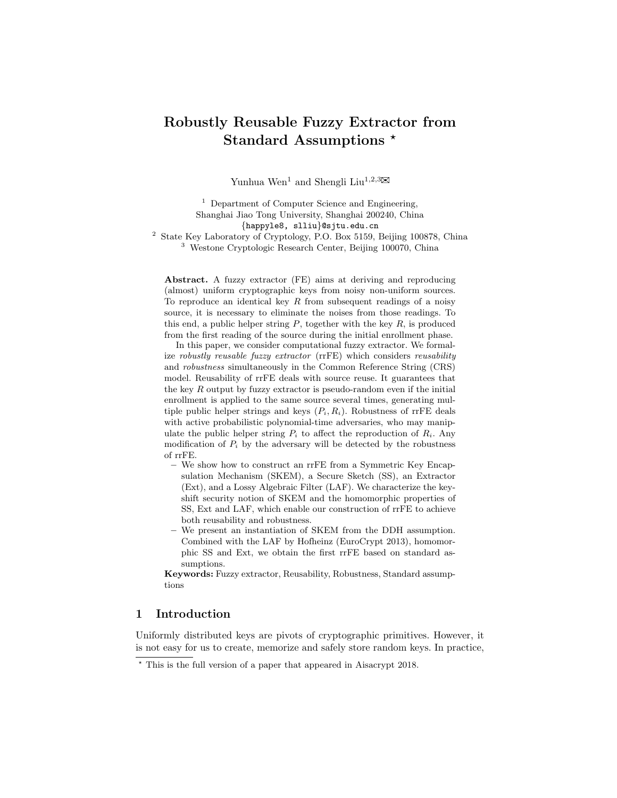# Robustly Reusable Fuzzy Extractor from Standard Assumptions \*

Yunhua Wen<sup>1</sup> and Shengli Liu<sup>1,2,3</sup> $\boxtimes$ 

 $<sup>1</sup>$  Department of Computer Science and Engineering,</sup> Shanghai Jiao Tong University, Shanghai 200240, China {happyle8, slliu}@sjtu.edu.cn

<sup>2</sup> State Key Laboratory of Cryptology, P.O. Box 5159, Beijing 100878, China <sup>3</sup> Westone Cryptologic Research Center, Beijing 100070, China

Abstract. A fuzzy extractor (FE) aims at deriving and reproducing (almost) uniform cryptographic keys from noisy non-uniform sources. To reproduce an identical key  $R$  from subsequent readings of a noisy source, it is necessary to eliminate the noises from those readings. To this end, a public helper string  $P$ , together with the key  $R$ , is produced from the first reading of the source during the initial enrollment phase.

In this paper, we consider computational fuzzy extractor. We formalize robustly reusable fuzzy extractor (rrFE) which considers reusability and robustness simultaneously in the Common Reference String (CRS) model. Reusability of rrFE deals with source reuse. It guarantees that the key  $R$  output by fuzzy extractor is pseudo-random even if the initial enrollment is applied to the same source several times, generating multiple public helper strings and keys  $(P_i, R_i)$ . Robustness of rrFE deals with active probabilistic polynomial-time adversaries, who may manipulate the public helper string  $P_i$  to affect the reproduction of  $R_i$ . Any modification of  $P_i$  by the adversary will be detected by the robustness of rrFE.

- We show how to construct an rrFE from a Symmetric Key Encapsulation Mechanism (SKEM), a Secure Sketch (SS), an Extractor (Ext), and a Lossy Algebraic Filter (LAF). We characterize the keyshift security notion of SKEM and the homomorphic properties of SS, Ext and LAF, which enable our construction of rrFE to achieve both reusability and robustness.
- We present an instantiation of SKEM from the DDH assumption. Combined with the LAF by Hofheinz (EuroCrypt 2013), homomorphic SS and Ext, we obtain the first rrFE based on standard assumptions.

Keywords: Fuzzy extractor, Reusability, Robustness, Standard assumptions

## 1 Introduction

Uniformly distributed keys are pivots of cryptographic primitives. However, it is not easy for us to create, memorize and safely store random keys. In practice,

<sup>?</sup> This is the full version of a paper that appeared in Aisacrypt 2018.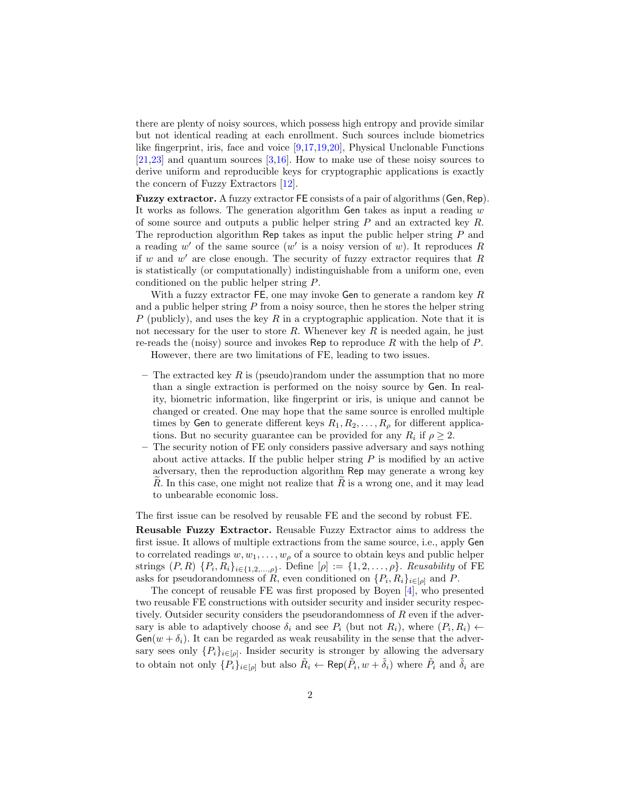there are plenty of noisy sources, which possess high entropy and provide similar but not identical reading at each enrollment. Such sources include biometrics like fingerprint, iris, face and voice [\[9,](#page-30-0)[17,](#page-30-1)[19](#page-30-2)[,20\]](#page-30-3), Physical Unclonable Functions [\[21](#page-30-4)[,23\]](#page-31-0) and quantum sources [\[3](#page-29-0)[,16\]](#page-30-5). How to make use of these noisy sources to derive uniform and reproducible keys for cryptographic applications is exactly the concern of Fuzzy Extractors [\[12\]](#page-30-6).

Fuzzy extractor. A fuzzy extractor FE consists of a pair of algorithms (Gen, Rep). It works as follows. The generation algorithm Gen takes as input a reading  $w$ of some source and outputs a public helper string  $P$  and an extracted key  $R$ . The reproduction algorithm Rep takes as input the public helper string  $P$  and a reading  $w'$  of the same source  $(w'$  is a noisy version of w). It reproduces R if  $w$  and  $w'$  are close enough. The security of fuzzy extractor requires that  $R$ is statistically (or computationally) indistinguishable from a uniform one, even conditioned on the public helper string P.

With a fuzzy extractor  $FE$ , one may invoke Gen to generate a random key  $R$ and a public helper string  $P$  from a noisy source, then he stores the helper string P (publicly), and uses the key R in a cryptographic application. Note that it is not necessary for the user to store  $R$ . Whenever key  $R$  is needed again, he just re-reads the (noisy) source and invokes Rep to reproduce R with the help of  $P$ . However, there are two limitations of FE, leading to two issues.

- 
- The extracted key R is (pseudo)random under the assumption that no more than a single extraction is performed on the noisy source by Gen. In reality, biometric information, like fingerprint or iris, is unique and cannot be changed or created. One may hope that the same source is enrolled multiple times by Gen to generate different keys  $R_1, R_2, \ldots, R_\rho$  for different applications. But no security guarantee can be provided for any  $R_i$  if  $\rho \geq 2$ .
- The security notion of FE only considers passive adversary and says nothing about active attacks. If the public helper string  $P$  is modified by an active adversary, then the reproduction algorithm Rep may generate a wrong key R. In this case, one might not realize that  $R$  is a wrong one, and it may lead to unbearable economic loss.

The first issue can be resolved by reusable FE and the second by robust FE.

Reusable Fuzzy Extractor. Reusable Fuzzy Extractor aims to address the first issue. It allows of multiple extractions from the same source, i.e., apply Gen to correlated readings  $w, w_1, \ldots, w_\rho$  of a source to obtain keys and public helper strings  $(P, R)$   $\{P_i, R_i\}_{i \in \{1, 2, ..., \rho\}}$ . Define  $[\rho] := \{1, 2, ..., \rho\}$ . Reusability of FE asks for pseudorandomness of R, even conditioned on  $\{P_i, R_i\}_{i \in [\rho]}$  and P.

The concept of reusable FE was first proposed by Boyen [\[4\]](#page-29-1), who presented two reusable FE constructions with outsider security and insider security respectively. Outsider security considers the pseudorandomness of R even if the adversary is able to adaptively choose  $\delta_i$  and see  $P_i$  (but not  $R_i$ ), where  $(P_i, R_i) \leftarrow$  $Gen(w + \delta_i)$ . It can be regarded as weak reusability in the sense that the adversary sees only  $\{P_i\}_{i\in[\rho]}$ . Insider security is stronger by allowing the adversary to obtain not only  $\{P_i\}_{i\in[\rho]}$  but also  $\tilde{R}_i \leftarrow \text{Rep}(\tilde{P}_i, w + \tilde{\delta}_i)$  where  $\tilde{P}_i$  and  $\tilde{\delta}_i$  are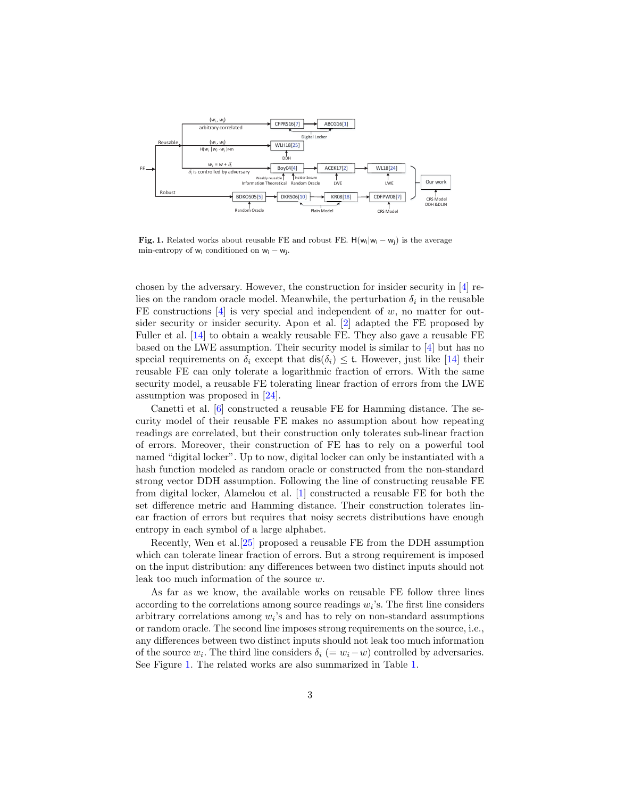

<span id="page-2-0"></span>**Fig. 1.** Related works about reusable FE and robust FE.  $H(w_i|w_i - w_i)$  is the average min-entropy of  $w_i$  conditioned on  $w_i - w_j$ .

chosen by the adversary. However, the construction for insider security in [\[4\]](#page-29-1) relies on the random oracle model. Meanwhile, the perturbation  $\delta_i$  in the reusable FE constructions  $[4]$  is very special and independent of w, no matter for outsider security or insider security. Apon et al. [\[2\]](#page-29-2) adapted the FE proposed by Fuller et al. [\[14\]](#page-30-7) to obtain a weakly reusable FE. They also gave a reusable FE based on the LWE assumption. Their security model is similar to [\[4\]](#page-29-1) but has no special requirements on  $\delta_i$  except that  $\text{dis}(\delta_i) \leq \text{t}$ . However, just like [\[14\]](#page-30-7) their reusable FE can only tolerate a logarithmic fraction of errors. With the same security model, a reusable FE tolerating linear fraction of errors from the LWE assumption was proposed in [\[24\]](#page-31-1).

Canetti et al. [\[6\]](#page-29-3) constructed a reusable FE for Hamming distance. The security model of their reusable FE makes no assumption about how repeating readings are correlated, but their construction only tolerates sub-linear fraction of errors. Moreover, their construction of FE has to rely on a powerful tool named "digital locker". Up to now, digital locker can only be instantiated with a hash function modeled as random oracle or constructed from the non-standard strong vector DDH assumption. Following the line of constructing reusable FE from digital locker, Alamelou et al. [\[1\]](#page-29-4) constructed a reusable FE for both the set difference metric and Hamming distance. Their construction tolerates linear fraction of errors but requires that noisy secrets distributions have enough entropy in each symbol of a large alphabet.

Recently, Wen et al.[\[25\]](#page-31-2) proposed a reusable FE from the DDH assumption which can tolerate linear fraction of errors. But a strong requirement is imposed on the input distribution: any differences between two distinct inputs should not leak too much information of the source w.

As far as we know, the available works on reusable FE follow three lines according to the correlations among source readings  $w_i$ 's. The first line considers arbitrary correlations among  $w_i$ 's and has to rely on non-standard assumptions or random oracle. The second line imposes strong requirements on the source, i.e., any differences between two distinct inputs should not leak too much information of the source  $w_i$ . The third line considers  $\delta_i$  (=  $w_i - w$ ) controlled by adversaries. See Figure [1.](#page-2-0) The related works are also summarized in Table [1.](#page-3-0)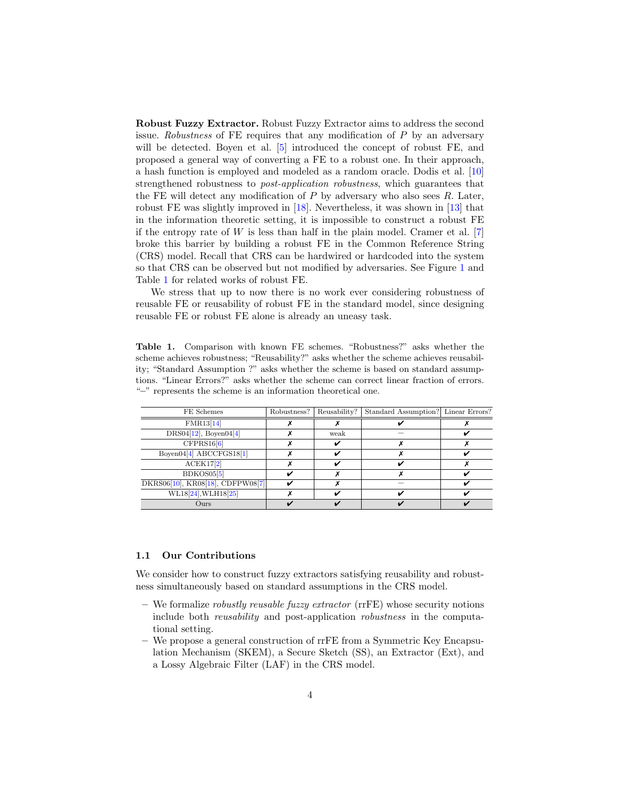Robust Fuzzy Extractor. Robust Fuzzy Extractor aims to address the second issue. Robustness of FE requires that any modification of P by an adversary will be detected. Boyen et al. [\[5\]](#page-29-5) introduced the concept of robust FE, and proposed a general way of converting a FE to a robust one. In their approach, a hash function is employed and modeled as a random oracle. Dodis et al. [\[10\]](#page-30-8) strengthened robustness to post-application robustness, which guarantees that the FE will detect any modification of  $P$  by adversary who also sees  $R$ . Later, robust FE was slightly improved in [\[18\]](#page-30-9). Nevertheless, it was shown in [\[13\]](#page-30-10) that in the information theoretic setting, it is impossible to construct a robust FE if the entropy rate of  $W$  is less than half in the plain model. Cramer et al. [\[7\]](#page-30-11) broke this barrier by building a robust FE in the Common Reference String (CRS) model. Recall that CRS can be hardwired or hardcoded into the system so that CRS can be observed but not modified by adversaries. See Figure [1](#page-2-0) and Table [1](#page-3-0) for related works of robust FE.

We stress that up to now there is no work ever considering robustness of reusable FE or reusability of robust FE in the standard model, since designing reusable FE or robust FE alone is already an uneasy task.

<span id="page-3-0"></span>Table 1. Comparison with known FE schemes. "Robustness?" asks whether the scheme achieves robustness; "Reusability?" asks whether the scheme achieves reusability; "Standard Assumption ?" asks whether the scheme is based on standard assumptions. "Linear Errors?" asks whether the scheme can correct linear fraction of errors. "–" represents the scheme is an information theoretical one.

| FE Schemes                       | Robustness? | Reusability? | Standard Assumption? Linear Errors? |  |
|----------------------------------|-------------|--------------|-------------------------------------|--|
| FMR13[14]                        |             |              |                                     |  |
| $DRS04[12]$ , Boyen $04[4]$      |             | weak         |                                     |  |
| CFPRS16[6]                       |             |              |                                     |  |
| Boyen04 $[4]$ ABCCFGS18 $[1]$    |             |              |                                     |  |
| ACEK17[2]                        |             |              |                                     |  |
| BDKOS05[5]                       |             |              |                                     |  |
| DKRS06[10], KR08[18], CDFPW08[7] |             |              |                                     |  |
| WL18[24], WLH18[25]              |             |              |                                     |  |
| Ours                             |             |              |                                     |  |

#### 1.1 Our Contributions

We consider how to construct fuzzy extractors satisfying reusability and robustness simultaneously based on standard assumptions in the CRS model.

- We formalize *robustly reusable fuzzy extractor* ( $rrFE$ ) whose security notions include both reusability and post-application robustness in the computational setting.
- We propose a general construction of rrFE from a Symmetric Key Encapsulation Mechanism (SKEM), a Secure Sketch (SS), an Extractor (Ext), and a Lossy Algebraic Filter (LAF) in the CRS model.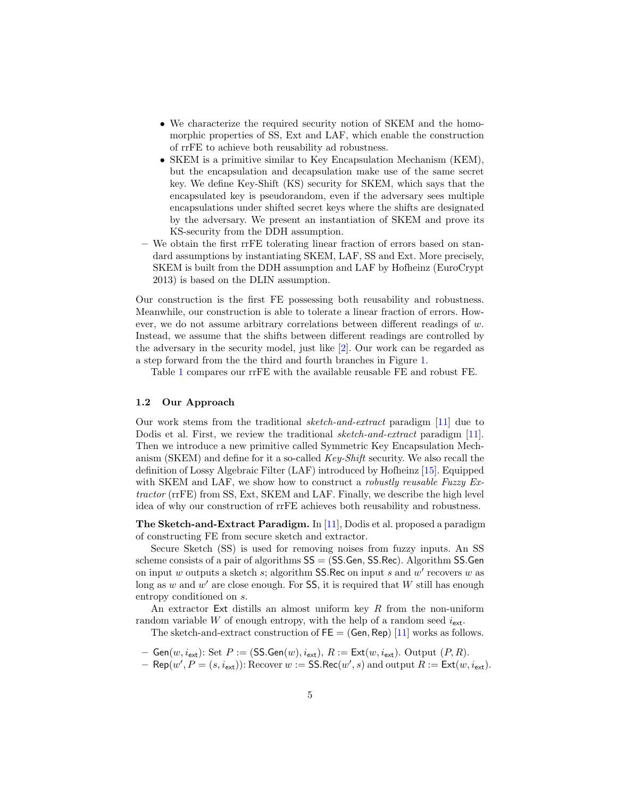- We characterize the required security notion of SKEM and the homomorphic properties of SS, Ext and LAF, which enable the construction of rrFE to achieve both reusability ad robustness.
- SKEM is a primitive similar to Key Encapsulation Mechanism (KEM), but the encapsulation and decapsulation make use of the same secret key. We define Key-Shift (KS) security for SKEM, which says that the encapsulated key is pseudorandom, even if the adversary sees multiple encapsulations under shifted secret keys where the shifts are designated by the adversary. We present an instantiation of SKEM and prove its KS-security from the DDH assumption.
- We obtain the first rrFE tolerating linear fraction of errors based on standard assumptions by instantiating SKEM, LAF, SS and Ext. More precisely, SKEM is built from the DDH assumption and LAF by Hofheinz (EuroCrypt 2013) is based on the DLIN assumption.

Our construction is the first FE possessing both reusability and robustness. Meanwhile, our construction is able to tolerate a linear fraction of errors. However, we do not assume arbitrary correlations between different readings of w. Instead, we assume that the shifts between different readings are controlled by the adversary in the security model, just like [\[2\]](#page-29-2). Our work can be regarded as a step forward from the the third and fourth branches in Figure [1.](#page-2-0)

Table [1](#page-3-0) compares our rrFE with the available reusable FE and robust FE.

#### 1.2 Our Approach

Our work stems from the traditional sketch-and-extract paradigm [\[11\]](#page-30-12) due to Dodis et al. First, we review the traditional *sketch-and-extract* paradigm [\[11\]](#page-30-12). Then we introduce a new primitive called Symmetric Key Encapsulation Mechanism (SKEM) and define for it a so-called Key-Shift security. We also recall the definition of Lossy Algebraic Filter (LAF) introduced by Hofheinz [\[15\]](#page-30-13). Equipped with SKEM and LAF, we show how to construct a *robustly reusable Fuzzy Ex*tractor (rrFE) from SS, Ext, SKEM and LAF. Finally, we describe the high level idea of why our construction of rrFE achieves both reusability and robustness.

**The Sketch-and-Extract Paradigm.** In [\[11\]](#page-30-12), Dodis et al. proposed a paradigm of constructing FE from secure sketch and extractor.

Secure Sketch (SS) is used for removing noises from fuzzy inputs. An SS scheme consists of a pair of algorithms  $SS = (SS.Gen, SS-Rec)$ . Algorithm SS.Gen on input w outputs a sketch  $s$ ; algorithm SS.Rec on input  $s$  and  $w'$  recovers  $w$  as long as w and  $w'$  are close enough. For SS, it is required that W still has enough entropy conditioned on s.

An extractor Ext distills an almost uniform key  $R$  from the non-uniform random variable W of enough entropy, with the help of a random seed  $i_{\text{ext}}$ .

The sketch-and-extract construction of  $FE = (Gen, Rep) [11]$  $FE = (Gen, Rep) [11]$  works as follows.

- Gen $(w, i_{ext})$ : Set  $P := (\text{SS.Gen}(w), i_{ext}), R := \text{Ext}(w, i_{ext})$ . Output  $(P, R)$ .
- $-$  Rep( $w', P = (s, i_{\text{ext}}))$ : Recover  $w := \text{SS}$ .Rec( $w', s$ ) and output  $R := \text{Ext}(w, i_{\text{ext}})$ .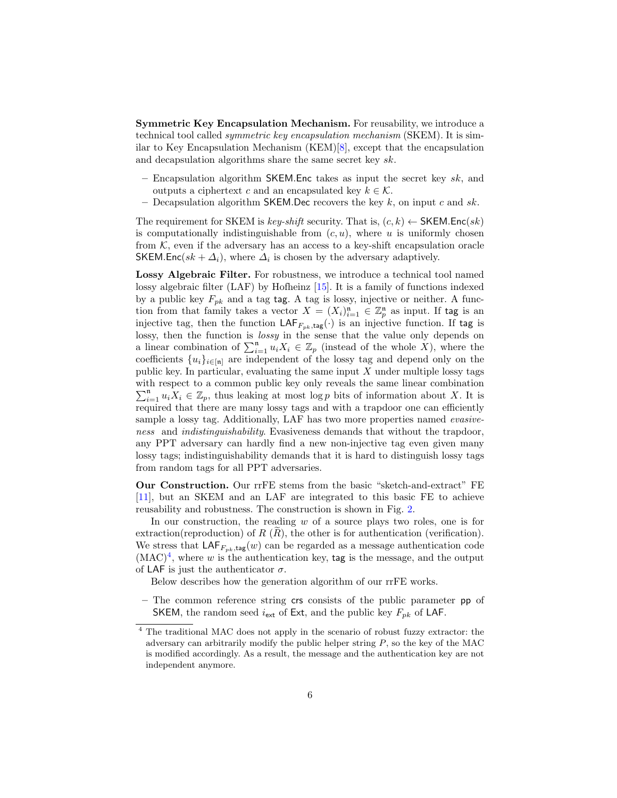Symmetric Key Encapsulation Mechanism. For reusability, we introduce a technical tool called symmetric key encapsulation mechanism (SKEM). It is similar to Key Encapsulation Mechanism (KEM)[\[8\]](#page-30-14), except that the encapsulation and decapsulation algorithms share the same secret key sk.

- Encapsulation algorithm SKEM. Enc takes as input the secret key  $sk$ , and outputs a ciphertext c and an encapsulated key  $k \in \mathcal{K}$ .
- Decapsulation algorithm SKEM. Dec recovers the key k, on input c and sk.

The requirement for SKEM is key-shift security. That is,  $(c, k) \leftarrow$  SKEM.Enc(sk) is computationally indistinguishable from  $(c, u)$ , where u is uniformly chosen from  $K$ , even if the adversary has an access to a key-shift encapsulation oracle SKEM.Enc( $sk + \Delta_i$ ), where  $\Delta_i$  is chosen by the adversary adaptively.

Lossy Algebraic Filter. For robustness, we introduce a technical tool named lossy algebraic filter (LAF) by Hofheinz [\[15\]](#page-30-13). It is a family of functions indexed by a public key  $F_{pk}$  and a tag tag. A tag is lossy, injective or neither. A function from that family takes a vector  $X = (X_i)_{i=1}^n \in \mathbb{Z}_p^n$  as input. If tag is an injective tag, then the function  $\mathsf{LAF}_{F_{pk},\mathsf{tag}}(\cdot)$  is an injective function. If tag is lossy, then the function is *lossy* in the sense that the value only depends on a linear combination of  $\sum_{i=1}^{n} u_i X_i \in \mathbb{Z}_p$  (instead of the whole X), where the coefficients  $\{u_i\}_{i\in[n]}$  are independent of the lossy tag and depend only on the public key. In particular, evaluating the same input  $X$  under multiple lossy tags with respect to a common public key only reveals the same linear combination  $\sum_{i=1}^{n} u_i X_i \in \mathbb{Z}_p$ , thus leaking at most log p bits of information about X. It is required that there are many lossy tags and with a trapdoor one can efficiently sample a lossy tag. Additionally, LAF has two more properties named *evasive*ness and indistinguishability. Evasiveness demands that without the trapdoor, any PPT adversary can hardly find a new non-injective tag even given many lossy tags; indistinguishability demands that it is hard to distinguish lossy tags from random tags for all PPT adversaries.

Our Construction. Our rrFE stems from the basic "sketch-and-extract" FE [\[11\]](#page-30-12), but an SKEM and an LAF are integrated to this basic FE to achieve reusability and robustness. The construction is shown in Fig. [2.](#page-6-0)

In our construction, the reading  $w$  of a source plays two roles, one is for extraction(reproduction) of  $R(R)$ , the other is for authentication (verification). We stress that  $\mathsf{LAF}_{F_{pk},\mathsf{tag}}(w)$  can be regarded as a message authentication code  $(MAC)<sup>4</sup>$  $(MAC)<sup>4</sup>$  $(MAC)<sup>4</sup>$ , where w is the authentication key, tag is the message, and the output of LAF is just the authenticator  $\sigma$ .

Below describes how the generation algorithm of our rrFE works.

– The common reference string crs consists of the public parameter pp of SKEM, the random seed  $i_{\text{ext}}$  of Ext, and the public key  $F_{pk}$  of LAF.

<span id="page-5-0"></span><sup>4</sup> The traditional MAC does not apply in the scenario of robust fuzzy extractor: the adversary can arbitrarily modify the public helper string  $P$ , so the key of the MAC is modified accordingly. As a result, the message and the authentication key are not independent anymore.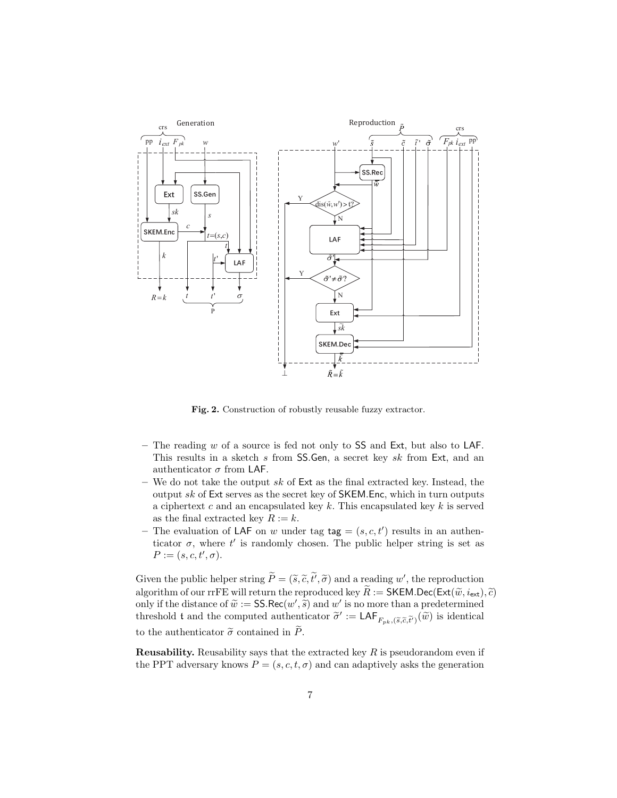

<span id="page-6-0"></span>Fig. 2. Construction of robustly reusable fuzzy extractor.

- The reading  $w$  of a source is fed not only to SS and Ext, but also to LAF. This results in a sketch s from SS.Gen, a secret key sk from Ext, and an authenticator  $\sigma$  from LAF.
- We do not take the output  $sk$  of  $Ext$  as the final extracted key. Instead, the output  $sk$  of Ext serves as the secret key of SKEM.Enc, which in turn outputs a ciphertext c and an encapsulated key  $k$ . This encapsulated key  $k$  is served as the final extracted key  $R := k$ .
- The evaluation of LAF on w under tag  $tag = (s, c, t')$  results in an authenticator  $\sigma$ , where  $t'$  is randomly chosen. The public helper string is set as  $P := (s, c, t', \sigma).$

Given the public helper string  $\tilde{P} = (\tilde{s}, \tilde{c}, \tilde{t'}, \tilde{\sigma})$  and a reading w', the reproduction<br>classified as  $\tilde{P}$  and  $\tilde{P}$  and  $\tilde{P}$  are  $\tilde{P}$  and  $\tilde{P}$  and  $\tilde{P}$  and  $\tilde{P}$  and  $\tilde{P}$  and  $\tilde$ algorithm of our rrFE will return the reproduced key  $\widetilde{R} := \mathsf{SKEM.Dec}(\mathsf{Ext}(\widetilde{w}, i_{\mathsf{ext}}), \widetilde{c})$ only if the distance of  $\widetilde{w} := \mathsf{SS}.\mathsf{Rec}(w', \widetilde{s})$  and w' is no more than a predetermined<br>threshold t and the computed authorizator  $\widetilde{\sigma}' := \mathsf{LAE}_{\sigma}$  ( $\widetilde{\omega}$ ) is identical threshold t and the computed authenticator  $\tilde{\sigma}' := \textsf{LAF}_{F_{pk},(\tilde{s},\tilde{c},\tilde{t}')}(\tilde{w})$  is identical to the authenticator  $\tilde{\sigma}$  contained in  $\tilde{P}$ .

**Reusability.** Reusability says that the extracted key  $R$  is pseudorandom even if the PPT adversary knows  $P = (s, c, t, \sigma)$  and can adaptively asks the generation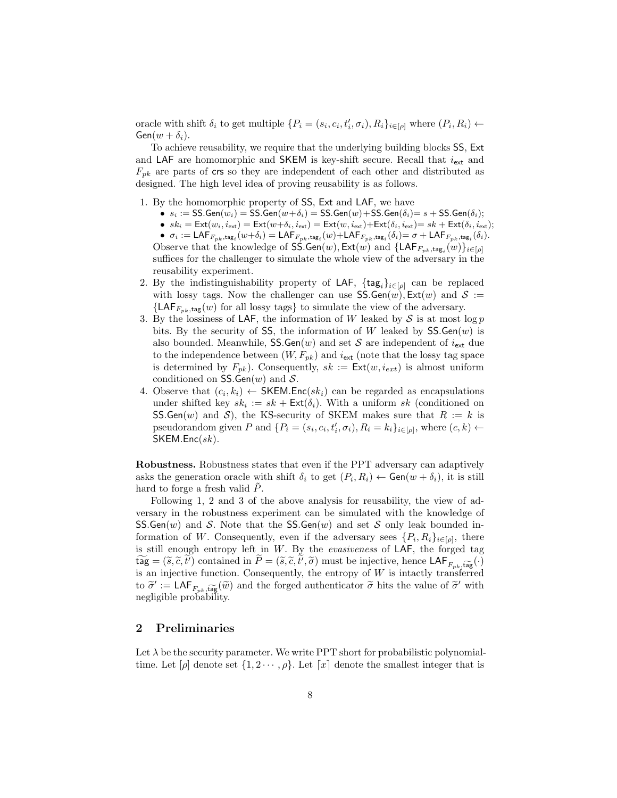oracle with shift  $\delta_i$  to get multiple  $\{P_i = (s_i, c_i, t'_i, \sigma_i), R_i\}_{i \in [\rho]}$  where  $(P_i, R_i) \leftarrow$  $Gen(w + \delta_i).$ 

To achieve reusability, we require that the underlying building blocks SS, Ext and LAF are homomorphic and SKEM is key-shift secure. Recall that  $i_{\text{ext}}$  and  $F_{pk}$  are parts of crs so they are independent of each other and distributed as designed. The high level idea of proving reusability is as follows.

- 1. By the homomorphic property of SS, Ext and LAF, we have
	- $s_i := \textsf{SS}.\textsf{Gen}(w_i) = \textsf{SS}.\textsf{Gen}(w+\delta_i) = \textsf{SS}.\textsf{Gen}(w) + \textsf{SS}.\textsf{Gen}(\delta_i) = s + \textsf{SS}.\textsf{Gen}(\delta_i);$
	- $sk_i = \text{Ext}(w_i, i_{\text{ext}}) = \text{Ext}(w + \delta_i, i_{\text{ext}}) = \text{Ext}(w, i_{\text{ext}}) + \text{Ext}(\delta_i, i_{\text{ext}}) = sk + \text{Ext}(\delta_i, i_{\text{ext}});$

 $\bullet \;\; \sigma_i := \mathsf{LAF}_{F_{pk},\mathsf{tag}_i}(w+\delta_i) = \mathsf{LAF}_{F_{pk},\mathsf{tag}_i}(w) + \mathsf{LAF}_{F_{pk},\mathsf{tag}_i}(\delta_i) = \sigma + \mathsf{LAF}_{F_{pk},\mathsf{tag}_i}(\delta_i).$ Observe that the knowledge of SS.Gen(w),  $\mathsf{Ext}(w)$  and  $\{\mathsf{LAF}_{F_{pk},\mathsf{tag}_i}(w)\}_{i\in[\rho]}$ suffices for the challenger to simulate the whole view of the adversary in the reusability experiment.

- 2. By the indistinguishability property of LAF,  $\{\textsf{tag}_i\}_{i\in[\rho]}$  can be replaced with lossy tags. Now the challenger can use  $SS.Gen(w)$ ,  $Ext(w)$  and  $S :=$  ${LAF}_{F_{nk},tag}(w)$  for all lossy tags} to simulate the view of the adversary.
- 3. By the lossiness of LAF, the information of W leaked by  $S$  is at most log  $p$ bits. By the security of SS, the information of W leaked by  $SS.Gen(w)$  is also bounded. Meanwhile,  $SS.Gen(w)$  and set S are independent of  $i_{ext}$  due to the independence between  $(W, F_{pk})$  and  $i_{ext}$  (note that the lossy tag space is determined by  $F_{pk}$ ). Consequently,  $sk := \text{Ext}(w, i_{ext})$  is almost uniform conditioned on SS.Gen $(w)$  and S.
- 4. Observe that  $(c_i, k_i) \leftarrow \text{SKEM}$ . Enc $(sk_i)$  can be regarded as encapsulations under shifted key  $sk_i := sk + \text{Ext}(\delta_i)$ . With a uniform  $sk$  (conditioned on SS.Gen(w) and S), the KS-security of SKEM makes sure that  $R := k$  is pseudorandom given P and  $\{P_i = (s_i, c_i, t'_i, \sigma_i), R_i = k_i\}_{i \in [\rho]},$  where  $(c, k) \leftarrow$  $SKEMEnc(sk)$ .

Robustness. Robustness states that even if the PPT adversary can adaptively asks the generation oracle with shift  $\delta_i$  to get  $(P_i, R_i) \leftarrow$  Gen $(w + \delta_i)$ , it is still hard to forge a fresh valid  $P$ .

Following 1, 2 and 3 of the above analysis for reusability, the view of adversary in the robustness experiment can be simulated with the knowledge of  $SS.Gen(w)$  and S. Note that the SS.Gen $(w)$  and set S only leak bounded information of W. Consequently, even if the adversary sees  $\{P_i, R_i\}_{i \in [\rho]},$  there is still enough entropy left in  $W$ . By the *evasiveness* of LAF, the forged tag  $\widetilde{\text{tag}} = (\widetilde{s}, \widetilde{c}, t')$  contained in  $P = (\widetilde{s}, \widetilde{c}, t', \widetilde{\sigma})$  must be injective, hence  $\text{LAF}_{F_{pk}, \widetilde{\text{tag}}(\cdot)}$ is an injective function. Consequently, the entropy of  $W$  is intactly transferred to  $\tilde{\sigma}' := \mathsf{LAF}_{F_{pk}, \widetilde{\mathsf{tag}}}(\tilde{w})$  and the forged authenticator  $\tilde{\sigma}$  hits the value of  $\tilde{\sigma}'$  with nogligible probability negligible probability.

## 2 Preliminaries

Let  $\lambda$  be the security parameter. We write PPT short for probabilistic polynomialtime. Let  $[\rho]$  denote set  $\{1, 2 \cdots, \rho\}$ . Let  $[x]$  denote the smallest integer that is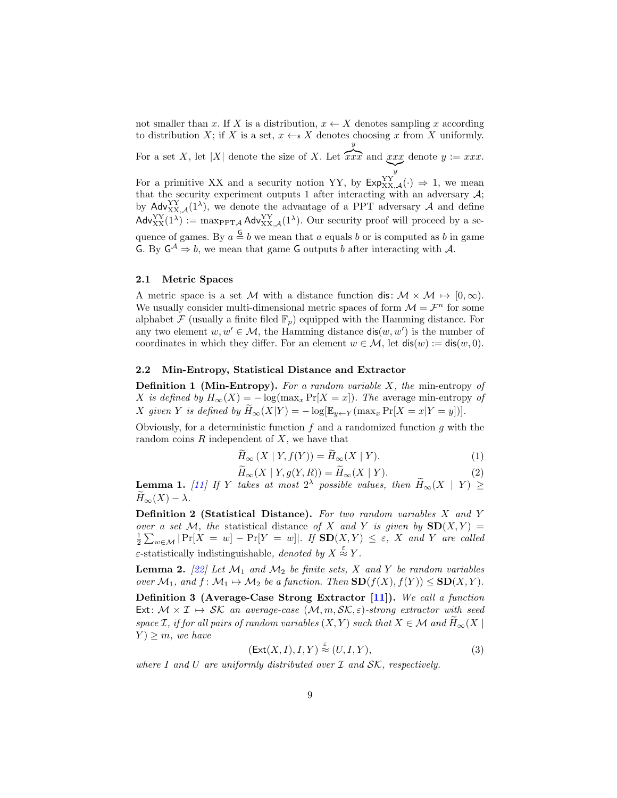not smaller than x. If X is a distribution,  $x \leftarrow X$  denotes sampling x according to distribution X; if X is a set,  $x \leftarrow s X$  denotes choosing x from X uniformly. For a set X, let  $|X|$  denote the size of X. Let  $\overline{y}$  $\widehat{xxx}$  and  $xxx$  $\sum_{y}$  $\overline{y}$ denote  $y := xxx$ . For a primitive XX and a security notion YY, by  $\text{Exp}_{XX,\mathcal{A}}^{YY}(\cdot) \Rightarrow 1$ , we mean that the security experiment outputs 1 after interacting with an adversary  $A$ ;

by  $\mathsf{Adv}_{XX,\mathcal{A}}^{YY}(1^{\lambda})$ , we denote the advantage of a PPT adversary A and define  $\mathsf{Adv}_{XX}^{YY}(1^{\lambda}) := \max_{\text{PPTA}} \mathsf{Adv}_{XX,A}^{YY}(1^{\lambda})$ . Our security proof will proceed by a sequence of games. By  $a \stackrel{\mathsf{G}}{=} b$  we mean that a equals b or is computed as b in game G. By  $G^{\mathcal{A}} \Rightarrow b$ , we mean that game G outputs b after interacting with A.

#### 2.1 Metric Spaces

A metric space is a set M with a distance function dis:  $M \times M \mapsto [0, \infty)$ . We usually consider multi-dimensional metric spaces of form  $\mathcal{M} = \mathcal{F}^n$  for some alphabet  $\mathcal F$  (usually a finite filed  $\mathbb F_p$ ) equipped with the Hamming distance. For any two element  $w, w' \in \mathcal{M}$ , the Hamming distance  $\textsf{dis}(w, w')$  is the number of coordinates in which they differ. For an element  $w \in \mathcal{M}$ , let  $dis(w) := dis(w, 0)$ .

#### 2.2 Min-Entropy, Statistical Distance and Extractor

**Definition 1 (Min-Entropy).** For a random variable  $X$ , the min-entropy of X is defined by  $H_{\infty}(X) = -\log(\max_x \Pr[X = x])$ . The average min-entropy of X given Y is defined by  $\widetilde{H}_{\infty}(X|Y) = -\log[\mathbb{E}_{y \leftarrow Y}(\max_x \Pr[X=x|Y=y])].$ 

Obviously, for a deterministic function  $f$  and a randomized function  $g$  with the random coins  $R$  independent of  $X$ , we have that

<span id="page-8-0"></span>
$$
\tilde{H}_{\infty}(X \mid Y, f(Y)) = \tilde{H}_{\infty}(X \mid Y). \tag{1}
$$

$$
\widetilde{H}_{\infty}(X \mid Y, g(Y, R)) = \widetilde{H}_{\infty}(X \mid Y). \tag{2}
$$

<span id="page-8-1"></span>**Lemma 1.** [\[11\]](#page-30-12) If Y takes at most  $2^{\lambda}$  possible values, then  $\widetilde{H}_{\infty}(X | Y) \ge$  $\widetilde{H}_{\infty}(X) - \lambda.$ 

**Definition 2 (Statistical Distance).** For two random variables  $X$  and  $Y$ over a set M, the statistical distance of X and Y is given by  $SD(X, Y) = \frac{1}{2} \sum_{w \in \mathcal{M}} |Pr[X = w] - Pr[Y = w]|$ . If  $SD(X, Y) \le \varepsilon$ , X and Y are called  $\varepsilon$ -statistically indistinguishable, denoted by  $X \stackrel{\varepsilon}{\approx} Y$ .

<span id="page-8-3"></span>**Lemma 2.** [\[22\]](#page-30-15) Let  $\mathcal{M}_1$  and  $\mathcal{M}_2$  be finite sets, X and Y be random variables over  $\mathcal{M}_1$ , and  $f: \mathcal{M}_1 \mapsto \mathcal{M}_2$  be a function. Then  $SD(f(X), f(Y)) \leq SD(X, Y)$ .

Definition 3 (Average-Case Strong Extractor [\[11\]](#page-30-12)). We call a function Ext:  $M \times I \mapsto SK$  an average-case  $(M, m, \mathcal{SK}, \varepsilon)$ -strong extractor with seed space I, if for all pairs of random variables  $(X, Y)$  such that  $X \in \mathcal{M}$  and  $\widetilde{H}_{\infty}(X \mid$  $Y \geq m$ , we have

<span id="page-8-2"></span>
$$
(\text{Ext}(X, I), I, Y) \stackrel{\varepsilon}{\approx} (U, I, Y), \tag{3}
$$

where I and U are uniformly distributed over  $\mathcal I$  and  $\mathcal{SK}$ , respectively.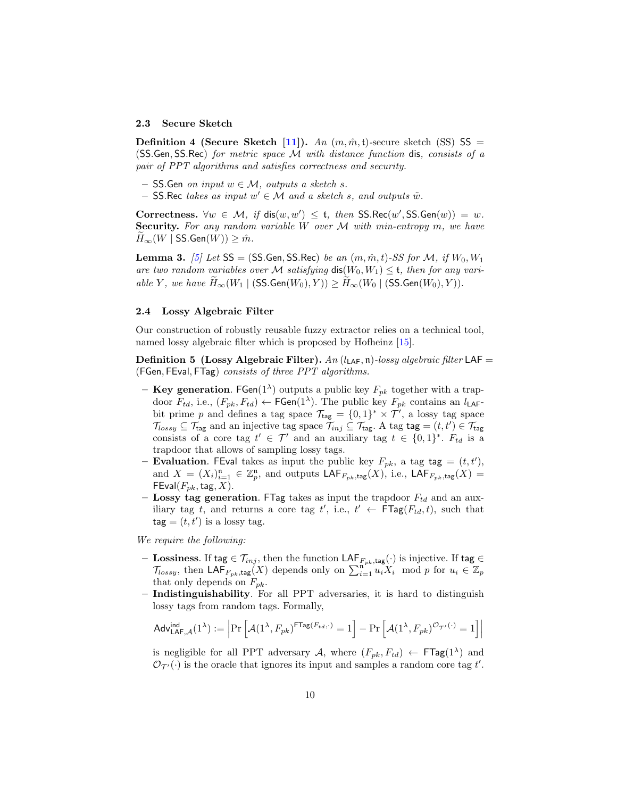#### 2.3 Secure Sketch

**Definition 4 (Secure Sketch [\[11\]](#page-30-12)).** An  $(m, \hat{m}, t)$ -secure sketch (SS) SS = (SS.Gen, SS.Rec) for metric space  $\mathcal M$  with distance function dis, consists of a pair of PPT algorithms and satisfies correctness and security.

- SS.Gen on input  $w \in \mathcal{M}$ , outputs a sketch s.
- $-$  SS. Rec takes as input  $w' \in \mathcal{M}$  and a sketch s, and outputs  $\tilde{w}$ .

Correctness.  $\forall w \in \mathcal{M}, \text{ if } \textsf{dis}(w, w') \leq t, \text{ then } \textsf{SS}.\textsf{Rec}(w', \textsf{SS}.\textsf{Gen}(w)) = w.$ **Security.** For any random variable W over  $M$  with min-entropy  $m$ , we have  $H_{\infty}(W \mid \mathsf{SS}.\mathsf{Gen}(W)) \geq \hat{m}.$ 

<span id="page-9-0"></span>**Lemma 3.** [\[5\]](#page-29-5) Let  $SS = (SS.Gen, SS-Rec)$  be an  $(m, \hat{m}, t)$ -SS for M, if  $W_0, W_1$ are two random variables over M satisfying  $dis(W_0, W_1) \leq t$ , then for any variable Y, we have  $H_{\infty}(W_1 \mid (SS\text{Gen}(W_0), Y)) \ge H_{\infty}(W_0 \mid (SS\text{Gen}(W_0), Y)).$ 

#### 2.4 Lossy Algebraic Filter

Our construction of robustly reusable fuzzy extractor relies on a technical tool, named lossy algebraic filter which is proposed by Hofheinz [\[15\]](#page-30-13).

**Definition 5 (Lossy Algebraic Filter).** An  $(l_{\text{LAF}}, \mathfrak{n})$ -lossy algebraic filter LAF = (FGen, FEval, FTag) consists of three PPT algorithms.

- <span id="page-9-1"></span>- Key generation. FGen(1<sup> $\lambda$ </sup>) outputs a public key  $F_{pk}$  together with a trapdoor  $F_{td}$ , i.e.,  $(F_{pk}, F_{td}) \leftarrow \textsf{FGen}(1^{\lambda})$ . The public key  $F_{pk}$  contains an  $l_{\text{LAF}}$ bit prime p and defines a tag space  $\mathcal{T}_{\text{tag}} = \{0,1\}^* \times \mathcal{T}'$ , a lossy tag space  $\mathcal{T}_{lossy} \subseteq \mathcal{T}_{tag}$  and an injective tag space  $\mathcal{T}_{inj} \subseteq \mathcal{T}_{tag}$ . A tag tag  $=(t, t') \in \mathcal{T}_{tag}$ consists of a core tag  $t' \in \mathcal{T}'$  and an auxiliary tag  $t \in \{0,1\}^*$ .  $F_{td}$  is a trapdoor that allows of sampling lossy tags.
- **Evaluation**. FEval takes as input the public key  $F_{pk}$ , a tag tag =  $(t, t')$ , and  $X = (X_i)_{i=1}^n \in \mathbb{Z}_p^n$ , and outputs  $\mathsf{LAF}_{F_{pk},\mathsf{tag}}(X)$ , i.e.,  $\mathsf{LAF}_{F_{pk},\mathsf{tag}}(X) =$  $FEval(F_{pk}, tag, X)$ .
- **Lossy tag generation.** FTag takes as input the trapdoor  $F_{td}$  and an auxiliary tag t, and returns a core tag t', i.e.,  $t' \leftarrow \textsf{FTag}(F_{td}, t)$ , such that  $tag = (t, t')$  is a lossy tag.

We require the following:

- − Lossiness. If tag ∈  $\mathcal{T}_{inj},$  then the function LAF $_{F_{pk},tag}(\cdot)$  is injective. If tag ∈  $\mathcal{T}_{lossy}$ , then LAF<sub>F<sub>pk,tag</sub>(X) depends only on  $\sum_{i=1}^{\frac{n}{n}} u_i X_i \mod p$  for  $u_i \in \mathbb{Z}_p$ </sub> that only depends on  $F_{pk}$ .
- Indistinguishability. For all PPT adversaries, it is hard to distinguish lossy tags from random tags. Formally,

$$
\mathsf{Adv}_{\mathsf{LAF},\mathcal{A}}^{\mathsf{ind}}(1^\lambda) := \Big|\mathsf{Pr}\left[\mathcal{A}(1^\lambda, F_{pk})^{\mathsf{FTag}(F_{td},\cdot)}=1\right] - \mathsf{Pr}\left[\mathcal{A}(1^\lambda, F_{pk})^{\mathcal{O}_{\mathcal{T}'}(\cdot)}=1\right]\Big|
$$

is negligible for all PPT adversary A, where  $(F_{pk}, F_{td}) \leftarrow \textsf{FTag}(1^{\lambda})$  and  $\mathcal{O}_{\mathcal{T}'}(\cdot)$  is the oracle that ignores its input and samples a random core tag t'.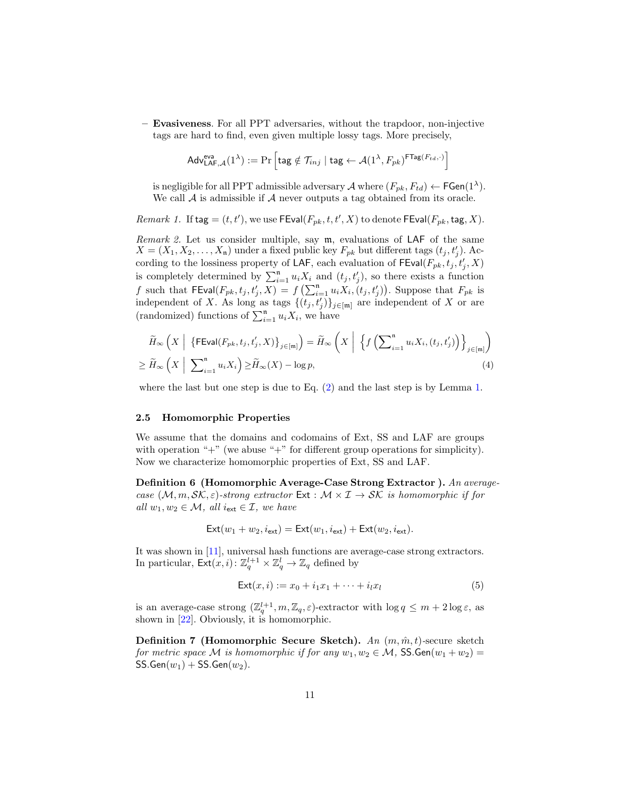– Evasiveness. For all PPT adversaries, without the trapdoor, non-injective tags are hard to find, even given multiple lossy tags. More precisely,

$$
\mathsf{Adv}^{\mathsf{eva}}_{\mathsf{LAF},\mathcal{A}}(1^\lambda) := \Pr\left[\mathsf{tag} \notin \mathcal{T}_{inj} \mid \mathsf{tag} \leftarrow \mathcal{A}(1^\lambda, F_{pk})^{\mathsf{FTag}(F_{td},\cdot)}\right]
$$

is negligible for all PPT admissible adversary  $\mathcal A$  where  $(F_{pk}, F_{td}) \leftarrow \mathsf{FGen}(1^{\lambda})$ . We call  ${\mathcal A}$  is admissible if  ${\mathcal A}$  never outputs a tag obtained from its oracle.

*Remark 1.* If  $\text{tag} = (t, t')$ , we use  $\text{FEval}(F_{pk}, t, t', X)$  to denote  $\text{FEval}(F_{pk}, \text{tag}, X)$ .

<span id="page-10-0"></span>Remark 2. Let us consider multiple, say m, evaluations of LAF of the same  $X = (X_1, X_2, \ldots, X_n)$  under a fixed public key  $F_{pk}$  but different tags  $(t_j, t'_j)$ . According to the lossiness property of LAF, each evaluation of FEval $(F_{pk}, t_j, t_i', X)$ tording to the lossifiess property of EAT, each evaluation of  $\text{Exan}(T_{pk}, t_j, t_j, \lambda)$  is completely determined by  $\sum_{i=1}^{n} u_i X_i$  and  $(t_j, t'_j)$ , so there exists a function f such that  $\textsf{FEval}(F_{pk}, t_j, t'_j, X) = f\left(\sum_{i=1}^n u_i X_i, (t_j, t'_j)\right)$ . Suppose that  $F_{pk}$  is independent of X. As long as tags  $\{(t_j,t'_j)\}_{j\in[m]}$  are independent of X or are (randomized) functions of  $\sum_{i=1}^{n} u_i X_i$ , we have

$$
\widetilde{H}_{\infty}\left(X\left|\ \left\{\mathsf{FEval}(F_{pk},t_j,t'_j,X)\right\}_{j\in[m]}\right)=\widetilde{H}_{\infty}\left(X\left|\ \left\{\overline{f}\left(\sum_{i=1}^n u_i X_i,(t_j,t'_j)\right)\right\}_{j\in[m]}\right)\right.
$$
\n
$$
\geq \widetilde{H}_{\infty}\left(X\left|\ \sum_{i=1}^n u_i X_i\right)\geq \widetilde{H}_{\infty}(X)-\log p,\right.\tag{4}
$$

where the last but one step is due to Eq. [\(2\)](#page-8-0) and the last step is by Lemma [1.](#page-8-1)

#### 2.5 Homomorphic Properties

We assume that the domains and codomains of Ext, SS and LAF are groups with operation " $+$ " (we abuse " $+$ " for different group operations for simplicity). Now we characterize homomorphic properties of Ext, SS and LAF.

Definition 6 (Homomorphic Average-Case Strong Extractor ). An averagecase  $(M, m, \mathcal{SK}, \varepsilon)$ -strong extractor  $Ext : \mathcal{M} \times \mathcal{I} \to \mathcal{SK}$  is homomorphic if for all  $w_1, w_2 \in \mathcal{M}$ , all  $i_{ext} \in \mathcal{I}$ , we have

$$
\mathsf{Ext}(w_1+w_2,i_{\mathsf{ext}})=\mathsf{Ext}(w_1,i_{\mathsf{ext}})+\mathsf{Ext}(w_2,i_{\mathsf{ext}}).
$$

It was shown in [\[11\]](#page-30-12), universal hash functions are average-case strong extractors. In particular,  $\mathsf{Ext}(x,i): \mathbb{Z}_q^{l+1} \times \mathbb{Z}_q^{l} \to \mathbb{Z}_q$  defined by

<span id="page-10-1"></span>
$$
\mathsf{Ext}(x,i) := x_0 + i_1 x_1 + \dots + i_l x_l \tag{5}
$$

is an average-case strong  $(\mathbb{Z}_q^{l+1}, m, \mathbb{Z}_q, \varepsilon)$ -extractor with  $\log q \leq m + 2 \log \varepsilon$ , as shown in [\[22\]](#page-30-15). Obviously, it is homomorphic.

**Definition 7 (Homomorphic Secure Sketch).** An  $(m, \hat{m}, t)$ -secure sketch for metric space M is homomorphic if for any  $w_1, w_2 \in \mathcal{M}$ , SS.Gen $(w_1 + w_2)$  =  $SS.Gen(w_1) + SS.Gen(w_2).$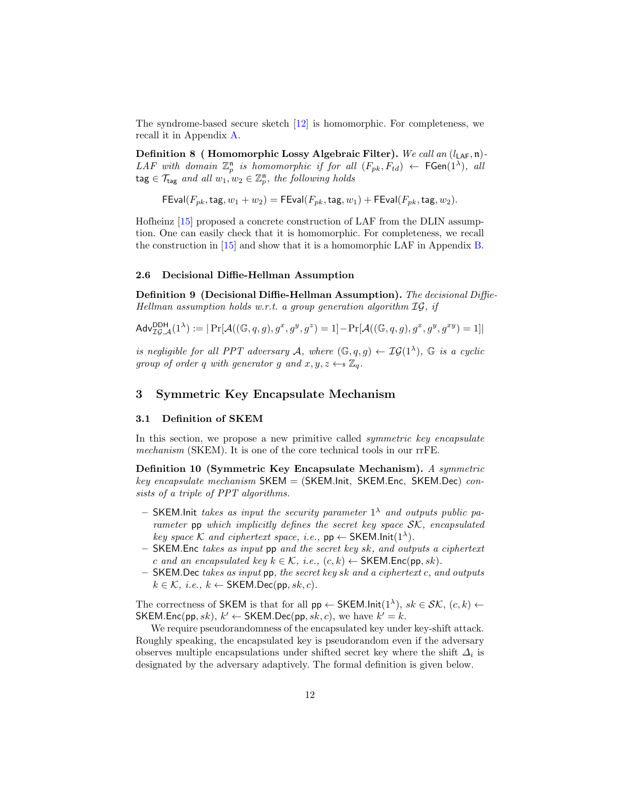The syndrome-based secure sketch [\[12\]](#page-30-6) is homomorphic. For completeness, we recall it in Appendix [A.](#page-32-0)

Definition 8 ( Homomorphic Lossy Algebraic Filter). We call an  $(l_{\text{LAF}}, \mathfrak{n})$ -LAF with domain  $\mathbb{Z}_p^n$  is homomorphic if for all  $(F_{pk}, F_{td}) \leftarrow \mathsf{FGen}(1^\lambda)$ , all  $\texttt{tag} \in \mathcal{T}_{\texttt{tag}}$  and all  $w_1, w_2 \in \mathbb{Z}_p^n$ , the following holds

 $\mathsf{FEval}(F_{pk},\mathsf{tag}, w_1 + w_2) = \mathsf{FEval}(F_{pk},\mathsf{tag}, w_1) + \mathsf{FEval}(F_{pk},\mathsf{tag}, w_2).$ 

Hofheinz [\[15\]](#page-30-13) proposed a concrete construction of LAF from the DLIN assumption. One can easily check that it is homomorphic. For completeness, we recall the construction in [\[15\]](#page-30-13) and show that it is a homomorphic LAF in Appendix [B.](#page-32-1)

## 2.6 Decisional Diffie-Hellman Assumption

Definition 9 (Decisional Diffie-Hellman Assumption). The decisional Diffie-Hellman assumption holds w.r.t. a group generation algorithm  $IG$ , if

$$
\mathsf{Adv}_{\mathcal{IG},\mathcal{A}}^{\mathsf{DDH}}(1^{\lambda}) := |\Pr[\mathcal{A}((\mathbb{G},q,g), g^x, g^y, g^z) = 1] - \Pr[\mathcal{A}((\mathbb{G},q,g), g^x, g^y, g^{xy}) = 1]|
$$

is negligible for all PPT adversary A, where  $(\mathbb{G},q,g) \leftarrow \mathcal{IG}(1^{\lambda})$ ,  $\mathbb{G}$  is a cyclic group of order q with generator g and  $x, y, z \leftarrow \mathbb{Z}_q$ .

## 3 Symmetric Key Encapsulate Mechanism

#### 3.1 Definition of SKEM

In this section, we propose a new primitive called *symmetric key encapsulate* mechanism (SKEM). It is one of the core technical tools in our rrFE.

Definition 10 (Symmetric Key Encapsulate Mechanism). A symmetric  $key$  encapsulate mechanism  $SKEM = (SKEM.Linc, SKEM.Einc, SKEM.Dec)$  consists of a triple of PPT algorithms.

- SKEM. Init takes as input the security parameter  $1^{\lambda}$  and outputs public parameter pp which implicitly defines the secret key space SK, encapsulated key space K and ciphertext space, i.e.,  $pp \leftarrow \text{SKEM}.\text{Init}(1^{\lambda}).$
- $-$  SKEM. Enc takes as input pp and the secret key sk, and outputs a ciphertext c and an encapsulated key  $k \in \mathcal{K}$ , i.e.,  $(c, k) \leftarrow \text{SKEM}$ . Enc(pp, sk).
- $-$  SKEM. Dec takes as input pp, the secret key sk and a ciphertext c, and outputs  $k \in \mathcal{K}$ , i.e.,  $k \leftarrow$  SKEM.Dec(pp, sk, c).

The correctness of SKEM is that for all  $pp \leftarrow$  SKEM.lnit $(1^{\lambda})$ ,  $sk \in \mathcal{SK}$ ,  $(c, k) \leftarrow$ SKEM.Enc(pp, sk),  $k' \leftarrow$  SKEM.Dec(pp, sk, c), we have  $k' = k$ .

We require pseudorandomness of the encapsulated key under key-shift attack. Roughly speaking, the encapsulated key is pseudorandom even if the adversary observes multiple encapsulations under shifted secret key where the shift  $\Delta_i$  is designated by the adversary adaptively. The formal definition is given below.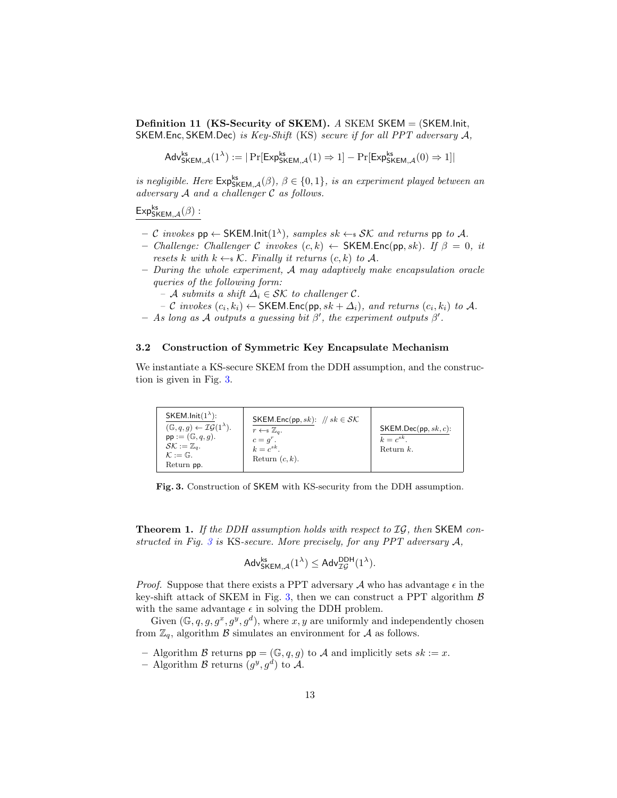**Definition 11 (KS-Security of SKEM).** A SKEM  $\mathsf{SKEM} = (\mathsf{SKEM}.\mathsf{Init},\mathsf{I},\mathsf{I},\mathsf{I},\mathsf{I},\mathsf{I},\mathsf{I},\mathsf{I},\mathsf{I},\mathsf{I},\mathsf{I},\mathsf{I},\mathsf{I},\mathsf{I},\mathsf{I},\mathsf{I},\mathsf{I},\mathsf{I},\mathsf{I},\mathsf{I},\mathsf{I},\mathsf{I},\mathsf{I},\mathsf{I},\mathsf{I},\mathsf{I},\$ SKEM.Enc, SKEM.Dec) is Key-Shift (KS) secure if for all PPT adversary A,

$$
\mathsf{Adv}_{\mathsf{SKEM},\mathcal{A}}^{\mathsf{ks}}(1^{\lambda}) := |\Pr[\mathsf{Exp}_{\mathsf{SKEM},\mathcal{A}}^{\mathsf{ks}}(1) \Rightarrow 1] - \Pr[\mathsf{Exp}_{\mathsf{SKEM},\mathcal{A}}^{\mathsf{ks}}(0) \Rightarrow 1]|
$$

is negligible. Here  $\mathsf{Exp}_{\mathsf{SKEM},\mathcal{A}}^{\mathsf{ks}}(\beta), \beta \in \{0,1\},\$  is an experiment played between an adversary A and a challenger C as follows.

 $\mathsf{Exp}^{\mathsf{ks}}_{\mathsf{SKEM},\mathcal{A}}(\beta)$  :

- $-$  C invokes pp  $\leftarrow$  SKEM.lnit $(1^{\lambda})$ , samples sk  $\leftarrow$  s SK and returns pp to A.
- Challenge: Challenger C invokes  $(c, k) \leftarrow$  SKEM.Enc(pp, sk). If  $\beta = 0$ , it resets k with  $k \leftarrow \mathcal{K}$ . Finally it returns  $(c, k)$  to A.
- During the whole experiment, A may adaptively make encapsulation oracle queries of the following form:
	- $-$  A submits a shift  $\Delta_i \in \mathcal{SK}$  to challenger C.
	- $-$  C invokes  $(c_i, k_i) \leftarrow$  SKEM.Enc(pp, sk +  $\Delta_i$ ), and returns  $(c_i, k_i)$  to A.
- $-$  As long as A outputs a guessing bit  $\beta'$ , the experiment outputs  $\beta'$ .

#### 3.2 Construction of Symmetric Key Encapsulate Mechanism

We instantiate a KS-secure SKEM from the DDH assumption, and the construction is given in Fig. [3.](#page-12-0)

| SKEM.Init( $1^{\lambda}$ ):<br>$(\mathbb{G}, q, g) \leftarrow \mathcal{IG}(1^{\lambda}).$<br>$pp := (\mathbb{G}, q, q)$ .<br>$\mathcal{S}\mathcal{K}:=\mathbb{Z}_a.$<br>$K:=\mathbb{G}.$ | SKEM.Enc(pp, sk): $// sk \in \mathcal{SK}$<br>$r \leftarrow \smathbb{Z}_q$ .<br>$c = q^r$ .<br>$k = e^{sk}$<br>Return $(c, k)$ . | SKEM.Dec(pp, sk, c):<br>$k = c^{sk}$ .<br>Return $k$ . |
|------------------------------------------------------------------------------------------------------------------------------------------------------------------------------------------|----------------------------------------------------------------------------------------------------------------------------------|--------------------------------------------------------|
| Return pp.                                                                                                                                                                               |                                                                                                                                  |                                                        |

Fig. 3. Construction of SKEM with KS-security from the DDH assumption.

<span id="page-12-1"></span>**Theorem 1.** If the DDH assumption holds with respect to  $IG$ , then SKEM constructed in Fig.  $3$  is KS-secure. More precisely, for any PPT adversary  $A$ ,

<span id="page-12-0"></span>
$$
\mathsf{Adv}_{\mathsf{SKEM},\mathcal{A}}^{\mathsf{ks}}(1^{\lambda}) \leq \mathsf{Adv}_{\mathcal{IG}}^{\mathsf{DDH}}(1^{\lambda}).
$$

*Proof.* Suppose that there exists a PPT adversary A who has advantage  $\epsilon$  in the key-shift attack of SKEM in Fig. [3,](#page-12-0) then we can construct a PPT algorithm  $\beta$ with the same advantage  $\epsilon$  in solving the DDH problem.

Given  $(\mathbb{G}, q, g, g^x, g^y, g^d)$ , where  $x, y$  are uniformly and independently chosen from  $\mathbb{Z}_q$ , algorithm  $\beta$  simulates an environment for  $\mathcal A$  as follows.

- Algorithm B returns  $pp = (\mathbb{G}, q, g)$  to A and implicitly sets  $sk := x$ .
- Algorithm  $\mathcal B$  returns  $(g^y, g^d)$  to  $\mathcal A$ .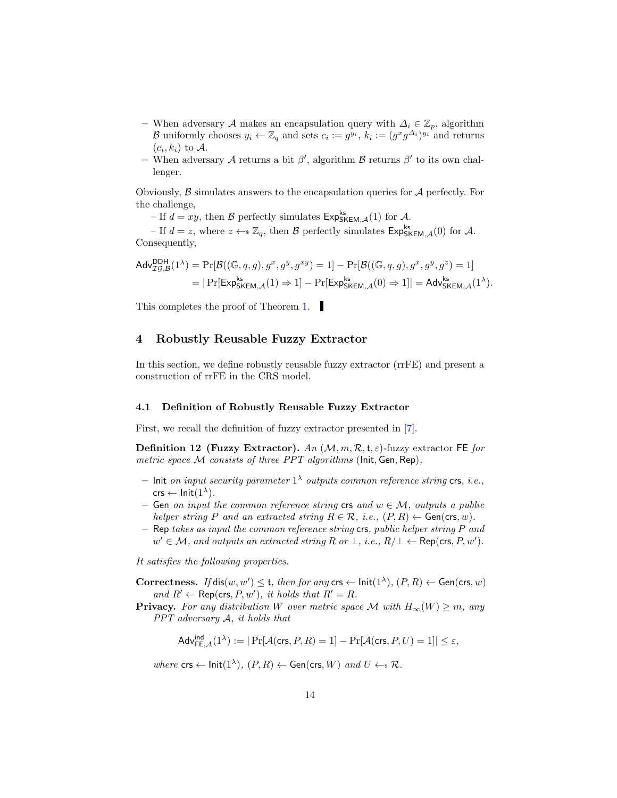- When adversary A makes an encapsulation query with  $\Delta_i \in \mathbb{Z}_p$ , algorithm B uniformly chooses  $y_i \leftarrow \mathbb{Z}_q$  and sets  $c_i := g^{y_i}, k_i := (g^x g^{\Delta_i})^{y_i}$  and returns  $(c_i, k_i)$  to  $\mathcal{A}$ .
- When adversary A returns a bit  $\beta'$ , algorithm B returns  $\beta'$  to its own challenger.

Obviously,  $\beta$  simulates answers to the encapsulation queries for  $\mathcal A$  perfectly. For the challenge,

– If  $d = xy$ , then  $\beta$  perfectly simulates  $Exp_{SKEM,\mathcal{A}}^{ks}(1)$  for  $\mathcal{A}$ .

– If  $d = z$ , where  $z \leftarrow s \mathbb{Z}_q$ , then  $\mathcal{B}$  perfectly simulates  $Exp_{SKEM,\mathcal{A}}^{ks}(0)$  for  $\mathcal{A}$ . Consequently,

$$
\begin{aligned} \mathsf{Adv}_{\mathcal{IG},\mathcal{B}}^{\mathsf{DDH}}(1^{\lambda}) &= \Pr[\mathcal{B}((\mathbb{G},q,g),g^x,g^y,g^{xy}) = 1] - \Pr[\mathcal{B}((\mathbb{G},q,g),g^x,g^y,g^z) = 1] \\ &= |\Pr[\mathsf{Exp}_{\mathsf{SKEM},\mathcal{A}}^{\mathsf{ks}}(1) \Rightarrow 1] - \Pr[\mathsf{Exp}_{\mathsf{SKEM},\mathcal{A}}^{\mathsf{ks}}(0) \Rightarrow 1]| = \mathsf{Adv}_{\mathsf{SKEM},\mathcal{A}}^{\mathsf{ks}}(1^{\lambda}). \end{aligned}
$$

This completes the proof of Theorem [1.](#page-12-1)

## 4 Robustly Reusable Fuzzy Extractor

In this section, we define robustly reusable fuzzy extractor (rrFE) and present a construction of rrFE in the CRS model.

#### 4.1 Definition of Robustly Reusable Fuzzy Extractor

First, we recall the definition of fuzzy extractor presented in [\[7\]](#page-30-11).

**Definition 12 (Fuzzy Extractor).** An  $(M, m, \mathcal{R}, t, \varepsilon)$ -fuzzy extractor FE for metric space  $M$  consists of three PPT algorithms (Init, Gen, Rep),

- Init on input security parameter  $1^{\lambda}$  outputs common reference string crs, *i.e.*,  $\mathsf{crs} \leftarrow \mathsf{Init}(1^\lambda).$
- Gen on input the common reference string crs and  $w \in \mathcal{M}$ , outputs a public helper string P and an extracted string  $R \in \mathcal{R}$ , i.e.,  $(P, R) \leftarrow$  Gen(crs, w).
- $-$  Rep takes as input the common reference string crs, public helper string P and  $w' \in \mathcal{M}$ , and outputs an extracted string R or  $\bot$ , i.e.,  $R/\bot \leftarrow \mathsf{Rep}(\mathsf{crs}, P, w')$ .

It satisfies the following properties.

Correctness. If  $dis(w, w') \leq t$ , then for any  $\mathsf{crs} \leftarrow \mathsf{Init}(1^{\lambda}), (P, R) \leftarrow \mathsf{Gen}(\mathsf{crs}, w)$ and  $R' \leftarrow \text{Rep}(\text{crs}, P, w')$ , it holds that  $R' = R$ .

**Privacy.** For any distribution W over metric space M with  $H_{\infty}(W) \geq m$ , any  $PPT$  adversary  $A$ , it holds that

 $\mathsf{Adv}^{\mathsf{ind}}_{\mathsf{FE},\mathcal{A}}(1^\lambda) := |\Pr[\mathcal{A}(\mathsf{crs}, P, R) = 1] - \Pr[\mathcal{A}(\mathsf{crs}, P, U) = 1]| \leq \varepsilon,$ 

where  $\textsf{crs} \leftarrow \textsf{Init}(1^{\lambda}), (P, R) \leftarrow \textsf{Gen}(\textsf{crs}, W)$  and  $U \leftarrow \in \mathcal{R}$ .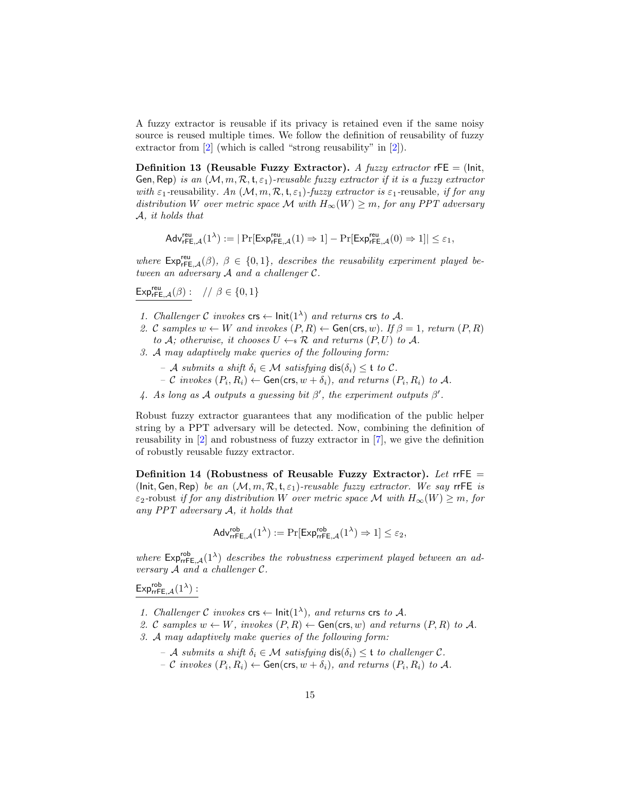A fuzzy extractor is reusable if its privacy is retained even if the same noisy source is reused multiple times. We follow the definition of reusability of fuzzy extractor from [\[2\]](#page-29-2) (which is called "strong reusability" in [2]).

Definition 13 (Reusable Fuzzy Extractor). A fuzzy extractor  $rFE = (Init,$ Gen, Rep) is an  $(M, m, R, t, \varepsilon_1)$ -reusable fuzzy extractor if it is a fuzzy extractor with  $\varepsilon_1$ -reusability. An  $(M, m, R, t, \varepsilon_1)$ -fuzzy extractor is  $\varepsilon_1$ -reusable, if for any distribution W over metric space M with  $H_{\infty}(W) \geq m$ , for any PPT adversary A, it holds that

$$
\mathsf{Adv}^{\mathsf{reu}}_{{\mathsf{rFE}},{\mathcal{A}}}(1^\lambda) := |\Pr[\mathsf{Exp}^{\mathsf{reu}}_{{\mathsf{rFE}},{\mathcal{A}}}(1) \Rightarrow 1] - \Pr[\mathsf{Exp}^{\mathsf{reu}}_{{\mathsf{rFE}},{\mathcal{A}}}(0) \Rightarrow 1]| \leq \varepsilon_1,
$$

where  $Exp_{rFE,A}^{reu}(\beta)$ ,  $\beta \in \{0,1\}$ , describes the reusability experiment played between an adversary A and a challenger C.

$$
\mathrm{Exp}_{\mathsf{rFE},\mathcal{A}}^{\mathsf{reu}}(\beta): \ \ // \ \beta \in \{0,1\}
$$

- 1. Challenger C invokes  $\mathsf{crs} \leftarrow \mathsf{Init}(1^{\lambda})$  and returns  $\mathsf{crs}$  to A.
- 2. C samples  $w \leftarrow W$  and invokes  $(P, R) \leftarrow$  Gen(crs, w). If  $\beta = 1$ , return  $(P, R)$ to A; otherwise, it chooses  $U \leftarrow \mathcal{R}$  and returns  $(P, U)$  to A.
- 3. A may adaptively make queries of the following form:
	- $-$  A submits a shift  $\delta_i \in \mathcal{M}$  satisfying  $dis(\delta_i) \leq t$  to C.
	- $-$  C invokes  $(P_i, R_i) \leftarrow$  Gen(crs,  $w + \delta_i$ ), and returns  $(P_i, R_i)$  to A.
- 4. As long as A outputs a guessing bit  $\beta'$ , the experiment outputs  $\beta'$ .

Robust fuzzy extractor guarantees that any modification of the public helper string by a PPT adversary will be detected. Now, combining the definition of reusability in [\[2\]](#page-29-2) and robustness of fuzzy extractor in [\[7\]](#page-30-11), we give the definition of robustly reusable fuzzy extractor.

Definition 14 (Robustness of Reusable Fuzzy Extractor). Let rrFE = (Init, Gen, Rep) be an  $(M, m, R, t, \varepsilon_1)$ -reusable fuzzy extractor. We say rrFE is  $\varepsilon_2$ -robust if for any distribution W over metric space M with  $H_\infty(W) \geq m$ , for any  $PPT$  adversary  $A$ , it holds that

$$
\mathsf{Adv}_{\mathsf{rrFE},\mathcal{A}}^{\mathsf{rob}}(1^{\lambda}) := \Pr[\mathsf{Exp}_{\mathsf{rrFE},\mathcal{A}}^{\mathsf{rob}}(1^{\lambda}) \Rightarrow 1] \leq \varepsilon_2,
$$

where  $\mathsf{Exp}_{\mathsf{rrFE},\mathcal{A}}^{\mathsf{rob}}(1^{\lambda})$  describes the robustness experiment played between an adversary A and a challenger C.

 $\mathsf{Exp}^{\mathsf{rob}}_{\mathsf{rrFE},\mathcal{A}}(1^\lambda)$  :

- 1. Challenger C invokes crs  $\leftarrow$  lnit(1<sup> $\lambda$ </sup>), and returns crs to A.
- 2. C samples  $w \leftarrow W$ , invokes  $(P, R) \leftarrow$  Gen(crs, w) and returns  $(P, R)$  to A.
- 3. A may adaptively make queries of the following form:
	- $-$  A submits a shift  $\delta_i \in \mathcal{M}$  satisfying  $dis(\delta_i) \leq t$  to challenger C.
	- $-$  C invokes  $(P_i, R_i) \leftarrow$  Gen(crs,  $w + \delta_i$ ), and returns  $(P_i, R_i)$  to A.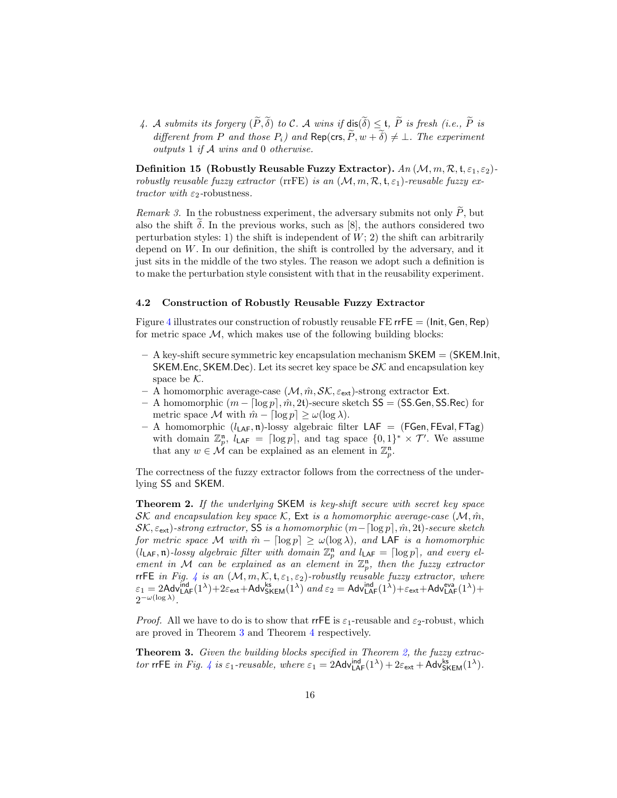4. A submits its forgery  $(\widetilde{P}, \widetilde{\delta})$  to C. A wins if  $dis(\widetilde{\delta}) \leq t$ ,  $\widetilde{P}$  is fresh (i.e.,  $\widetilde{P}$  is different from P and those  $P_i$ ) and Rep(crs,  $\widetilde{P}$ ,  $w + \widetilde{\delta}$ )  $\neq \bot$ . The experiment outputs 1 if A wins and 0 otherwise.

Definition 15 (Robustly Reusable Fuzzy Extractor).  $An (\mathcal{M}, m, \mathcal{R}, \mathfrak{t}, \varepsilon_1, \varepsilon_2)$ robustly reusable fuzzy extractor (rrFE) is an  $(M, m, R, t, \varepsilon_1)$ -reusable fuzzy extractor with  $\varepsilon_2$ -robustness.

*Remark 3.* In the robustness experiment, the adversary submits not only  $P$ , but also the shift  $\delta$ . In the previous works, such as [8], the authors considered two perturbation styles: 1) the shift is independent of  $W$ ; 2) the shift can arbitrarily depend on W. In our definition, the shift is controlled by the adversary, and it just sits in the middle of the two styles. The reason we adopt such a definition is to make the perturbation style consistent with that in the reusability experiment.

#### 4.2 Construction of Robustly Reusable Fuzzy Extractor

Figure [4](#page-16-0) illustrates our construction of robustly reusable FE rrFE  $=$  (Init, Gen, Rep) for metric space  $\mathcal{M}$ , which makes use of the following building blocks:

- $-$  A key-shift secure symmetric key encapsulation mechanism  $SKEM = (SKEMInit,$ SKEM.Enc, SKEM.Dec). Let its secret key space be  $\mathcal{SK}$  and encapsulation key space be  $K$ .
- A homomorphic average-case  $(\mathcal{M}, \hat{m}, \mathcal{SK}, \varepsilon_{\text{ext}})$ -strong extractor Ext.
- A homomorphic  $(m \lceil \log p \rceil, \hat{m}, 2t)$ -secure sketch SS = (SS.Gen, SS.Rec) for metric space M with  $\hat{m} - \lceil \log p \rceil \geq \omega(\log \lambda)$ .
- A homomorphic  $(l_{\mathsf{LAF}}, \mathfrak{n})$ -lossy algebraic filter  $\mathsf{LAF} = (\mathsf{FGen}, \mathsf{FEval}, \mathsf{FTag})$ with domain  $\mathbb{Z}_p^n$ ,  $l_{\mathsf{LAF}} = \lceil \log p \rceil$ , and tag space  $\{0, 1\}^* \times \mathcal{T}'$ . We assume that any  $w \in \mathcal{M}$  can be explained as an element in  $\mathbb{Z}_p^n$ .

The correctness of the fuzzy extractor follows from the correctness of the underlying SS and SKEM.

<span id="page-15-1"></span>Theorem 2. If the underlying SKEM is key-shift secure with secret key space SK and encapsulation key space K, Ext is a homomorphic average-case  $(M, \hat{m}, \hat{m})$  $\mathcal{SK}, \varepsilon_{\textsf{ext}}$ )-strong extractor, SS is a homomorphic  $(m-\lceil\log p\rceil, \hat{m}, 2t)$ -secure sketch for metric space M with  $\hat{m} - \lceil \log p \rceil \geq \omega(\log \lambda)$ , and LAF is a homomorphic  $(l_{\mathsf{LAF}}, \mathfrak{n})$ -lossy algebraic filter with domain  $\mathbb{Z}_p^{\mathfrak{n}}$  and  $l_{\mathsf{LAF}} = \lceil \log p \rceil$ , and every element in M can be explained as an element in  $\mathbb{Z}_p^n$ , then the fuzzy extractor rrFE in Fig. [4](#page-16-0) is an  $(M, m, K, t, \varepsilon_1, \varepsilon_2)$ -robustly reusable fuzzy extractor, where  $\varepsilon_1 = 2$ Adv ${}^{\text{ind}}_{\text{LAF}}(1^{\lambda}) + 2\varepsilon_{\text{ext}} + \text{Adv}_{\text{SKEM}}^{\text{ks}}(1^{\lambda})$  and  $\varepsilon_2 = \text{Adv}_{\text{LAF}}^{\text{ind}}(1^{\lambda}) + \varepsilon_{\text{ext}} + \text{Adv}_{\text{LAF}}^{\text{eva}}(1^{\lambda}) +$  $2^{-\omega(\log \lambda)}$ .

*Proof.* All we have to do is to show that  $\mathsf{rrFE}$  is  $\varepsilon_1$ -reusable and  $\varepsilon_2$ -robust, which are proved in Theorem [3](#page-15-0) and Theorem [4](#page-22-0) respectively.

<span id="page-15-0"></span>**Theorem 3.** Given the building blocks specified in Theorem [2,](#page-15-1) the fuzzy extrac-tor rrFE in Fig. [4](#page-16-0) is  $\varepsilon_1$ -reusable, where  $\varepsilon_1 = 2$ Adv ${}_{\mathsf{LAF}}^{\mathsf{ind}}(1^{\lambda}) + 2\varepsilon_{\mathsf{ext}} + \mathsf{Adv}_{\mathsf{SKEM}}^{\mathsf{ks}}(1^{\lambda})$ .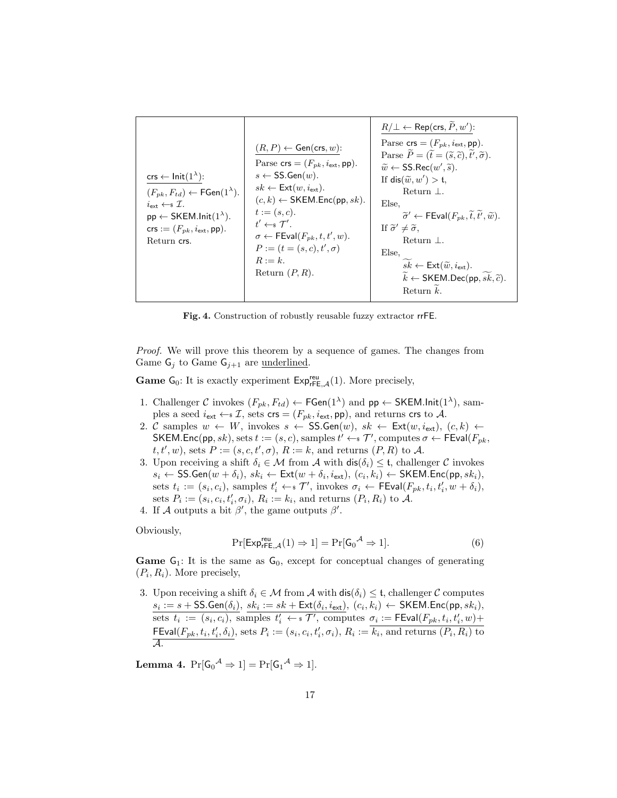| $\mathsf{crs} \leftarrow \mathsf{Init}(1^{\lambda})$ :<br>$(F_{pk}, F_{td}) \leftarrow \mathsf{FGen}(1^{\lambda}).$<br>$i_{\bullet\star\star} \leftarrow \mathcal{I}.$<br>$pp \leftarrow$ SKEM.lnit $(1^{\lambda})$ .<br>$\textsf{crs} := (F_{nk}, i_{\textsf{ext}}, \textsf{pp}).$<br>Return crs. | $(R, P) \leftarrow$ Gen(crs, w):<br>Parse $\textsf{crs} = (F_{pk}, i_{\textsf{ext}}, \textsf{pp}).$<br>$s \leftarrow$ SS. Gen $(w)$ .<br>$sk \leftarrow \mathsf{Ext}(w, i_{\mathsf{ext}}).$<br>$(c, k) \leftarrow$ SKEM.Enc(pp, sk).<br>$t := (s, c).$<br>$t' \leftarrow s \mathcal{T}'$ .<br>$\sigma \leftarrow \mathsf{FEval}(F_{pk}, t, t', w).$<br>$P := (t = (s, c), t', \sigma)$<br>$R := k$ .<br>Return $(P, R)$ . | $R/\bot \leftarrow \mathsf{Rep}(\mathsf{crs}, \widetilde{P}, w')$ :<br>Parse $\textsf{crs} = (F_{pk}, i_{\textsf{ext}}, \textsf{pp}).$<br>Parse $\widetilde{P} = (\widetilde{t} = (\widetilde{s}, \widetilde{c}), \widetilde{t'}, \widetilde{\sigma}).$<br>$\widetilde{w} \leftarrow$ SS.Rec $(w', \widetilde{s})$ .<br>If dis $(\tilde{w}, w') >$ t,<br>Return $\perp$ .<br>Else,<br>$\widetilde{\sigma}' \leftarrow \mathsf{FEval}(F_{pk}, \widetilde{t}, \widetilde{t}', \widetilde{w}).$<br>If $\tilde{\sigma}' \neq \tilde{\sigma}$ ,<br>Return $\perp$ .<br>Else,<br>$sk \leftarrow \textsf{Ext}(\widetilde{w}, i_{\textsf{ext}}).$<br>$\widetilde{k} \leftarrow$ SKEM.Dec(pp, $\widetilde{sk}, \widetilde{c}$ ).<br>Return $k$ . |
|----------------------------------------------------------------------------------------------------------------------------------------------------------------------------------------------------------------------------------------------------------------------------------------------------|---------------------------------------------------------------------------------------------------------------------------------------------------------------------------------------------------------------------------------------------------------------------------------------------------------------------------------------------------------------------------------------------------------------------------|-----------------------------------------------------------------------------------------------------------------------------------------------------------------------------------------------------------------------------------------------------------------------------------------------------------------------------------------------------------------------------------------------------------------------------------------------------------------------------------------------------------------------------------------------------------------------------------------------------------------------------------------------------------------------------------------------------------------------------------------|
|----------------------------------------------------------------------------------------------------------------------------------------------------------------------------------------------------------------------------------------------------------------------------------------------------|---------------------------------------------------------------------------------------------------------------------------------------------------------------------------------------------------------------------------------------------------------------------------------------------------------------------------------------------------------------------------------------------------------------------------|-----------------------------------------------------------------------------------------------------------------------------------------------------------------------------------------------------------------------------------------------------------------------------------------------------------------------------------------------------------------------------------------------------------------------------------------------------------------------------------------------------------------------------------------------------------------------------------------------------------------------------------------------------------------------------------------------------------------------------------------|

<span id="page-16-0"></span>Fig. 4. Construction of robustly reusable fuzzy extractor rrFE.

Proof. We will prove this theorem by a sequence of games. The changes from Game  $G_j$  to Game  $G_{j+1}$  are <u>underlined</u>.

**Game**  $G_0$ : It is exactly experiment  $Exp_{rFE,\mathcal{A}}^{reu}(1)$ . More precisely,

- 1. Challenger C invokes  $(F_{pk}, F_{td}) \leftarrow \mathsf{FGen}(1^{\lambda})$  and  $\mathsf{pp} \leftarrow \mathsf{SKEM}.\mathsf{Init}(1^{\lambda}),$  samples a seed  $i_{ext} \leftarrow \mathcal{I}$ , sets  $\mathsf{crs} = (F_{pk}, i_{ext}, \mathsf{pp})$ , and returns  $\mathsf{crs}$  to  $\mathcal{A}$ .
- 2. C samples  $w \leftarrow W$ , invokes  $s \leftarrow$  SS.Gen $(w)$ ,  $sk \leftarrow \text{Ext}(w, i_{\text{ext}})$ ,  $(c, k) \leftarrow$ SKEM.Enc(pp, sk), sets  $t := (s, c)$ , samples  $t' \leftarrow s \mathcal{T}'$ , computes  $\sigma \leftarrow \text{FEval}(F_{pk},$  $t, t', w$ , sets  $P := (s, c, t', \sigma), R := k$ , and returns  $(P, R)$  to A.
- 3. Upon receiving a shift  $\delta_i \in \mathcal{M}$  from  $\mathcal{A}$  with  $\textsf{dis}(\delta_i) \leq \mathfrak{t}$ , challenger  $\mathcal{C}$  invokes  $s_i \leftarrow \mathsf{SS}.\mathsf{Gen}(w + \delta_i), \, sk_i \leftarrow \mathsf{Ext}(w + \delta_i, i_{\mathsf{ext}}), \, (c_i, k_i) \leftarrow \mathsf{SKEM}.\mathsf{Enc}(\mathsf{pp}, sk_i),$ sets  $t_i := (s_i, c_i)$ , samples  $t'_i \leftarrow \mathcal{T}'$ , invokes  $\sigma_i \leftarrow \textsf{FEval}(F_{pk}, t_i, t'_i, w + \delta_i)$ , sets  $P_i := (s_i, c_i, t'_i, \sigma_i), R_i := k_i$ , and returns  $(P_i, R_i)$  to A.
- 4. If A outputs a bit  $\beta'$ , the game outputs  $\beta'$ .

Obviously,

<span id="page-16-2"></span>
$$
\Pr[\mathsf{Exp}_{\mathsf{rFE},\mathcal{A}}^{\mathsf{reu}}(1) \Rightarrow 1] = \Pr[\mathsf{G}_0^{\mathcal{A}} \Rightarrow 1].\tag{6}
$$

**Game**  $G_1$ : It is the same as  $G_0$ , except for conceptual changes of generating  $(P_i, R_i)$ . More precisely,

3. Upon receiving a shift  $\delta_i \in \mathcal{M}$  from  $\mathcal{A}$  with  $\textsf{dis}(\delta_i) \leq \mathfrak{t}$ , challenger  $\mathcal{C}$  computes  $s_i := s + \mathsf{SS}.\mathsf{Gen}(\delta_i), \; sk_i := sk + \mathsf{Ext}(\delta_i, i_{\mathsf{ext}}), \; (c_i, k_i) \gets \mathsf{SKEM}.\mathsf{Enc}(\mathsf{pp}, sk_i),$ sets  $t_i := (s_i, c_i)$ , samples  $t'_i \leftarrow * \mathcal{T}'$ , computes  $\sigma_i := \mathsf{FEval}(F_{pk}, t_i, t'_i, w) +$  $\mathsf{FEval}(F_{pk}, t_i, t'_i, \delta_i), \,\mathsf{sets}\; P_i := (s_i, c_i, t'_i, \sigma_i),\, R_i := \overline{k_i}, \,\mathsf{and}\; \mathsf{returns}\;(P_i, R_i) \;\mathsf{to}$ A.

<span id="page-16-1"></span>**Lemma 4.**  $Pr[G_0^{\mathcal{A}} \Rightarrow 1] = Pr[G_1^{\mathcal{A}} \Rightarrow 1].$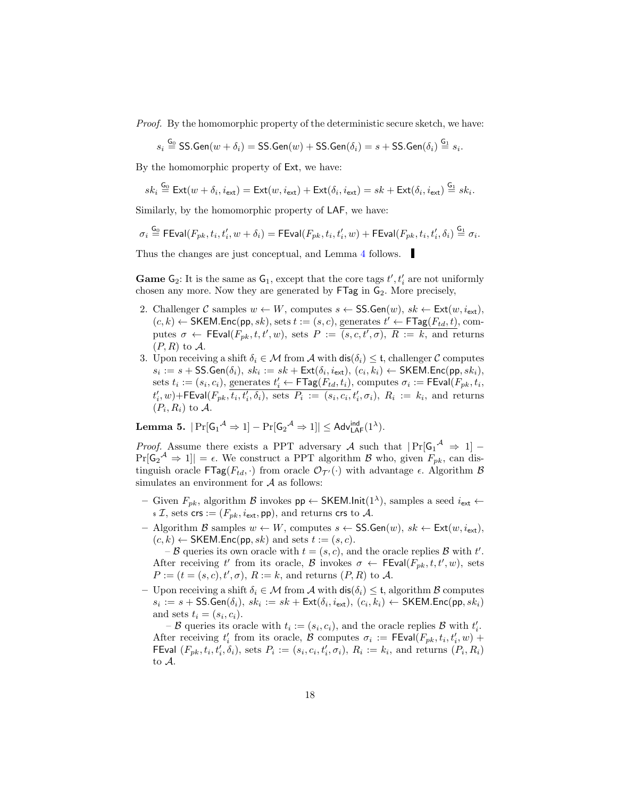Proof. By the homomorphic property of the deterministic secure sketch, we have:

$$
s_i \stackrel{\mathsf{G}_0}{=} \mathsf{SS}.\mathsf{Gen}(w+\delta_i) = \mathsf{SS}.\mathsf{Gen}(w) + \mathsf{SS}.\mathsf{Gen}(\delta_i) = s + \mathsf{SS}.\mathsf{Gen}(\delta_i) \stackrel{\mathsf{G}_1}{=} s_i.
$$

By the homomorphic property of Ext, we have:

$$
sk_i \stackrel{\mathsf{G}_0}{=} \mathsf{Ext}(w + \delta_i, i_{\mathsf{ext}}) = \mathsf{Ext}(w, i_{\mathsf{ext}}) + \mathsf{Ext}(\delta_i, i_{\mathsf{ext}}) = sk + \mathsf{Ext}(\delta_i, i_{\mathsf{ext}}) \stackrel{\mathsf{G}_1}{=} sk_i.
$$

Similarly, by the homomorphic property of LAF, we have:

$$
\sigma_i \overset{\mathsf{G_0}}{=} \mathsf{FEval}(F_{pk}, t_i, t_i', w + \delta_i) = \mathsf{FEval}(F_{pk}, t_i, t_i', w) + \mathsf{FEval}(F_{pk}, t_i, t_i', \delta_i) \overset{\mathsf{G_1}}{=} \sigma_i.
$$

Thus the changes are just conceptual, and Lemma [4](#page-16-1) follows.

**Game**  $G_2$ : It is the same as  $G_1$ , except that the core tags  $t', t'_i$  are not uniformly chosen any more. Now they are generated by  $\mathsf{FTag}$  in  $\mathsf{G}_2$ . More precisely,

- 2. Challenger C samples  $w \leftarrow W$ , computes  $s \leftarrow \text{SS}.\text{Gen}(w)$ ,  $sk \leftarrow \text{Ext}(w, i_{\text{ext}})$ ,  $(c, k) \leftarrow \mathsf{SKEM}.\mathsf{Enc}(\mathsf{pp}, sk), \text{sets } t := (s, c), \text{ generates } t' \leftarrow \mathsf{FTag}(F_{td}, t), \text{com-}$ putes  $\sigma \leftarrow \text{FEval}(F_{pk}, t, t', w)$ , sets  $P := (s, c, t', \sigma), R := k$ , and returns  $(P, R)$  to A.
- 3. Upon receiving a shift  $\delta_i \in \mathcal{M}$  from  $\mathcal{A}$  with  $\textsf{dis}(\delta_i) \leq \mathfrak{t}$ , challenger  $\mathcal{C}$  computes  $s_i := s + \mathsf{SS}.\mathsf{Gen}(\delta_i), \, sk_i := sk + \mathsf{Ext}(\delta_i, i_{\mathsf{ext}}), \, (c_i, k_i) \leftarrow \mathsf{SKEM}.\mathsf{Enc}(\mathsf{pp}, sk_i),$ sets  $t_i := (s_i, c_i)$ , generates  $t'_i \leftarrow \mathsf{FTag}(F_{td}, t_i)$ , computes  $\sigma_i := \mathsf{FEval}(F_{pk}, t_i)$  $t_i', w$ )+FEval( $F_{pk}$ , $\overline{t_i, t_i', \delta_i}$ ), sets  $P_i := (s_i, c_i, t_i', \sigma_i)$ ,  $R_i := k_i$ , and returns  $(P_i, R_i)$  to A.

<span id="page-17-0"></span>Lemma 5.  $|\Pr[\mathsf{G_1}^{\mathcal{A}} \Rightarrow 1] - \Pr[\mathsf{G_2}^{\mathcal{A}} \Rightarrow 1]| \leq \mathsf{Adv}_{\mathsf{LAF}}^{\mathsf{ind}}(1^{\lambda}).$ 

*Proof.* Assume there exists a PPT adversary A such that  $|\Pr[G_1^{\mathcal{A}} \Rightarrow 1]$  –  $Pr[\mathsf{G}_2^{\mathcal{A}} \Rightarrow 1] = \epsilon$ . We construct a PPT algorithm  $\mathcal{B}$  who, given  $F_{pk}$ , can distinguish oracle  $\mathsf{FTag}(F_{td},.)$  from oracle  $\mathcal{O}_{\mathcal{T}'}(\cdot)$  with advantage  $\epsilon$ . Algorithm  $\mathcal B$ simulates an environment for  $A$  as follows:

- Given  $F_{pk}$ , algorithm  $\mathcal{B}$  invokes  $pp \leftarrow \mathsf{SKEM}.\mathsf{Init}(1^{\lambda})$ , samples a seed  $i_{ext}$  ←  $\mathfrak{s} \mathcal{I},$  sets crs :=  $(F_{pk}, i_{ext}, \mathsf{pp})$ , and returns crs to A.
- Algorithm B samples  $w \leftarrow W$ , computes  $s \leftarrow \mathsf{SS}.\mathsf{Gen}(w)$ ,  $sk \leftarrow \mathsf{Ext}(w, i_{ext})$ ,  $(c, k) \leftarrow$  SKEM. Enc(pp, sk) and sets  $t := (s, c)$ .

 $-\mathcal{B}$  queries its own oracle with  $t = (s, c)$ , and the oracle replies  $\mathcal{B}$  with  $t'$ . After receiving t' from its oracle, B invokes  $\sigma \leftarrow \mathsf{FEval}(F_{pk}, t, t', w)$ , sets  $P := (t = (s, c), t', \sigma), R := k$ , and returns  $(P, R)$  to A.

– Upon receiving a shift  $\delta_i \in \mathcal{M}$  from  $\mathcal{A}$  with  $\textsf{dis}(\delta_i) \leq \mathfrak{t}$ , algorithm  $\mathcal{B}$  computes  $s_i := s + \mathsf{SS}.\mathsf{Gen}(\delta_i), \, sk_i := sk + \mathsf{Ext}(\delta_i, i_{\mathsf{ext}}), \, (c_i, k_i) \leftarrow \mathsf{SKEM}.\mathsf{Enc}(\mathsf{pp}, sk_i)$ and sets  $t_i = (s_i, c_i)$ .

–  $\mathcal B$  queries its oracle with  $t_i := (s_i, c_i)$ , and the oracle replies  $\mathcal B$  with  $t'_i$ . After receiving  $t'_i$  from its oracle,  $\mathcal{B}$  computes  $\sigma_i := \mathsf{FEval}(F_{pk}, t_i, t'_i, w) +$ FEval  $(F_{pk}, t_i, t'_i, \delta_i)$ , sets  $P_i := (s_i, c_i, t'_i, \sigma_i)$ ,  $R_i := k_i$ , and returns  $(P_i, R_i)$ to A.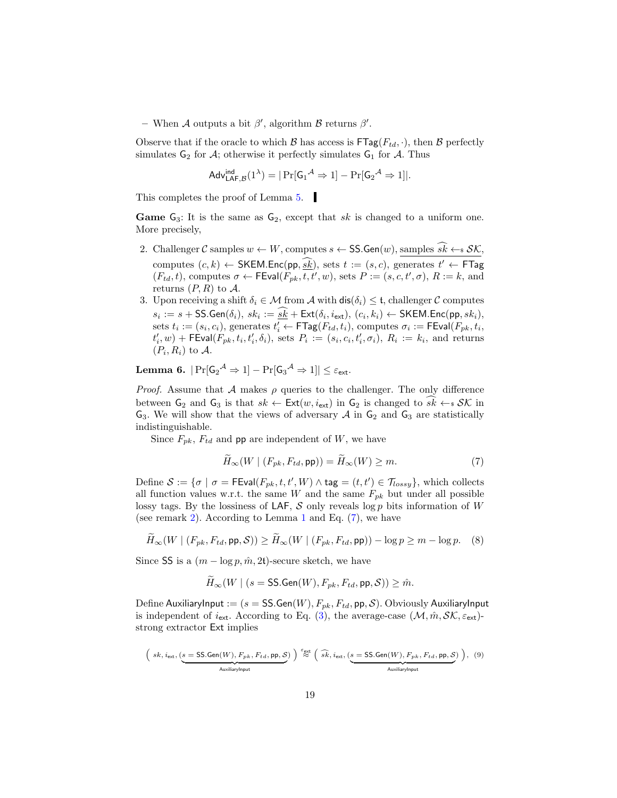- When A outputs a bit  $\beta'$ , algorithm B returns  $\beta'$ .

Observe that if the oracle to which  $\mathcal{B}$  has access is  $\mathsf{FTag}(F_{td}, \cdot)$ , then  $\mathcal{B}$  perfectly simulates  $G_2$  for  $A$ ; otherwise it perfectly simulates  $G_1$  for  $A$ . Thus

$$
\mathsf{Adv}_{\mathsf{LAF},\mathcal{B}}^{\mathsf{ind}}(1^{\lambda}) = |\Pr[\mathsf{G}_1{}^{\mathcal{A}} \Rightarrow 1] - \Pr[\mathsf{G}_2{}^{\mathcal{A}} \Rightarrow 1]|.
$$

This completes the proof of Lemma [5.](#page-17-0)

**Game**  $G_3$ : It is the same as  $G_2$ , except that sk is changed to a uniform one. More precisely,

- 2. Challenger C samples  $w \leftarrow W$ , computes  $s \leftarrow \text{SS}.\text{Gen}(w)$ , samples  $\widehat{sk} \leftarrow s \mathcal{SK}$ , computes  $(c, k) \leftarrow \text{SKEM}.\text{Enc}(\text{pp}, \underline{\overline{sk}}), \text{ sets } t := (s, c), \text{ generates } t' \leftarrow \text{FTag}$  $(F_{td}, t)$ , computes  $\sigma \leftarrow \textsf{FEval}(F_{pk}, t, t', w)$ , sets  $P := (s, c, t', \sigma)$ ,  $R := k$ , and returns  $(P, R)$  to A.
- 3. Upon receiving a shift  $\delta_i \in \mathcal{M}$  from  $\mathcal{A}$  with  $\textsf{dis}(\delta_i) \leq \mathfrak{t}$ , challenger  $\mathcal{C}$  computes  $s_i := s + \mathsf{SS}.\mathsf{Gen}(\delta_i), \ sk_i := \underline{sk} + \mathsf{Ext}(\delta_i, i_{\mathsf{ext}}), \ (c_i, k_i) \leftarrow \mathsf{SKEM}.\mathsf{Enc}(\mathsf{pp}, sk_i),$ sets  $t_i := (s_i, c_i)$ , generates  $t'_i \leftarrow \mathsf{FTag}(F_{td}, t_i)$ , computes  $\sigma_i := \mathsf{FEval}(F_{pk}, t_i)$  $t'_{i}, w$  + FEval( $F_{pk}, t_i, t'_{i}, \delta_i$ ), sets  $P_i := (s_i, c_i, t'_{i}, \sigma_i)$ ,  $R_i := k_i$ , and returns  $(P_i, R_i)$  to A.

<span id="page-18-2"></span> ${\rm \bf Lemma ~6.}~~ |{\rm Pr}[{\sf G_2}^{\mathcal A}\Rightarrow 1]-{\rm Pr}[{\sf G_3}^{\mathcal A}\Rightarrow 1]|\leq \varepsilon_{\sf ext}.$ 

*Proof.* Assume that  $A$  makes  $\rho$  queries to the challenger. The only difference between  $G_2$  and  $G_3$  is that  $sk \leftarrow \text{Ext}(w, i_{\text{ext}})$  in  $G_2$  is changed to  $sk \leftarrow s \mathcal{SK}$  in  $G_3$ . We will show that the views of adversary  $A$  in  $G_2$  and  $G_3$  are statistically indistinguishable.

Since  $F_{pk}$ ,  $F_{td}$  and pp are independent of W, we have

<span id="page-18-0"></span>
$$
\tilde{H}_{\infty}(W \mid (F_{pk}, F_{td}, \mathsf{pp})) = \tilde{H}_{\infty}(W) \ge m. \tag{7}
$$

Define  $S := \{\sigma \mid \sigma = \mathsf{FEval}(F_{pk}, t, t', W) \land \mathsf{tag} = (t, t') \in \mathcal{T}_{lossy}\},\$  which collects all function values w.r.t. the same  $W$  and the same  $F_{pk}$  but under all possible lossy tags. By the lossiness of LAF,  $S$  only reveals log p bits information of W (see remark [2\)](#page-10-0). According to Lemma [1](#page-8-1) and Eq. [\(7\)](#page-18-0), we have

$$
\widetilde{H}_{\infty}(W \mid (F_{pk}, F_{td}, \mathsf{pp}, \mathcal{S})) \ge \widetilde{H}_{\infty}(W \mid (F_{pk}, F_{td}, \mathsf{pp})) - \log p \ge m - \log p. \tag{8}
$$

Since SS is a  $(m - \log p, \hat{m}, 2t)$ -secure sketch, we have

$$
\widetilde{H}_{\infty}(W \mid (s = \textsf{SS}.\textsf{Gen}(W), F_{pk}, F_{td}, \textsf{pp}, \mathcal{S})) \geq \hat{m}.
$$

Define AuxiliaryInput :=  $(s = SS.Gen(W), F_{pk}, F_{td}, pp, S)$ . Obviously AuxiliaryInput is independent of  $i_{ext}$ . According to Eq. [\(3\)](#page-8-2), the average-case  $(\mathcal{M}, \hat{m}, \mathcal{SK}, \varepsilon_{ext})$ strong extractor Ext implies

<span id="page-18-1"></span>
$$
\left( \text{sk}, i_{\text{ext}}, \underbrace{\left( s = \text{SS.Gen}(W), F_{pk}, F_{td}, \text{pp}, \mathcal{S} \right)}_{\text{AuxiliaryInput}} \right) \stackrel{\varepsilon_{\text{ext}}}{\approx} \left( \widehat{\text{sk}}, i_{\text{ext}}, \underbrace{\left( s = \text{SS.Gen}(W), F_{pk}, F_{td}, \text{pp}, \mathcal{S} \right)}_{\text{AuxiliaryInput}} \right), \tag{9}
$$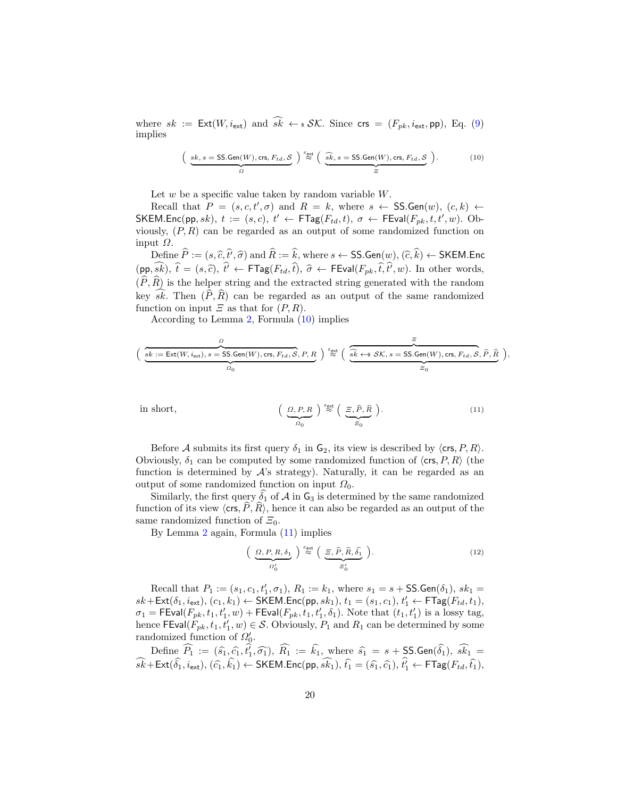where  $sk := \text{Ext}(W, i_{\text{ext}})$  and  $\widehat{sk} \leftarrow * \mathcal{SK}$ . Since  $\text{crs} = (F_{pk}, i_{\text{ext}}, \text{pp})$ , Eq. [\(9\)](#page-18-1) implies

<span id="page-19-0"></span>
$$
\left(\underbrace{sk, s = \text{SS.Gen}(W), \text{crs}, F_{td}, \mathcal{S}}_{\Omega}\right) \stackrel{\varepsilon_{\text{ext}}}{\approx} \left(\underbrace{\widehat{sk}, s = \text{SS.Gen}(W), \text{crs}, F_{td}, \mathcal{S}}_{\varXi}\right). \tag{10}
$$

Let  $w$  be a specific value taken by random variable  $W$ .

Recall that  $P = (s, c, t', \sigma)$  and  $R = k$ , where  $s \leftarrow \text{SS.Gen}(w), (c, k) \leftarrow$ SKEM.Enc(pp, sk),  $t := (s, c), t' \leftarrow \mathsf{FTag}(F_{td}, t), \sigma \leftarrow \mathsf{FEval}(F_{pk}, t, t', w)$ . Obviously,  $(P, R)$  can be regarded as an output of some randomized function on input  $Ω$ .

Define  $P := (s, \hat{c}, t, \hat{\sigma})$  and  $R := k$ , where  $s \leftarrow \text{SS.Gen}(w), (\hat{c}, k) \leftarrow \text{SKEM.Enc}$  $(pp, sk), \hat{t} = (s, \hat{c}), \hat{t}' \leftarrow \mathsf{FTag}(F_{td}, \hat{t}), \hat{\sigma} \leftarrow \mathsf{FEval}(F_{pk}, \hat{t}, \hat{t}', w)$ . In other words,  $(\widehat{P}, \widehat{R})$  is the helper string and the extracted string generated with the random key  $\widehat{sk}$ . Then  $(\widehat{P}, \widehat{R})$  can be regarded as an output of the same randomized function on input  $\Xi$  as that for  $(P, R)$ .

According to Lemma [2,](#page-8-3) Formula [\(10\)](#page-19-0) implies

$$
\Big(\underbrace{\frac{\mathcal{G}}{sk:=\operatorname{Ext}(W,i_{\text{ext}}),s=\operatorname{SS}.\operatorname{Gen}(W),\operatorname{crs},F_{td},\mathcal{S},P,R}_{\mathcal{Q}_0}\Big)\overset{\varepsilon_{\text{ext}}}{\approx}\Big(\underbrace{\frac{\varepsilon}{\hat{sk}\leftarrow\!\! s\,\,\mathcal{SK},s=\operatorname{SS}.\operatorname{Gen}(W),\operatorname{crs},F_{td},\mathcal{S},\widehat{P},\widehat{R}}}_{\varXi_0}\Big),
$$

<span id="page-19-1"></span>in short,

$$
\left(\begin{array}{c}\n\Omega, P, R \\
\Omega_0\n\end{array}\right) \stackrel{\varepsilon_{\text{ext}}}{\approx} \left(\begin{array}{c}\n\Xi, \widehat{P}, \widehat{R} \\
\Xi_0\n\end{array}\right).
$$
\n(11)

Before A submits its first query  $\delta_1$  in  $\mathsf{G}_2$ , its view is described by  $\langle \mathsf{crs}, P, R \rangle$ . Obviously,  $\delta_1$  can be computed by some randomized function of  $\langle \text{crs}, P, R \rangle$  (the function is determined by  $\mathcal{A}$ 's strategy). Naturally, it can be regarded as an output of some randomized function on input  $\Omega_0$ .

Similarly, the first query  $\hat{\delta}_1$  of A in  $\mathsf{G}_3$  is determined by the same randomized function of its view  $\langle \text{crs}, P, R \rangle$ , hence it can also be regarded as an output of the same randomized function of  $\Xi_0$ .

By Lemma [2](#page-8-3) again, Formula [\(11\)](#page-19-1) implies

<span id="page-19-2"></span>
$$
\left(\underbrace{\Omega, P, R, \delta_1}_{\Omega'_0}\right) \stackrel{\varepsilon_{\text{ext}}}{\approx} \left(\underbrace{\Xi, \widehat{P}, \widehat{R}, \widehat{\delta_1}}_{\Xi'_0}\right). \tag{12}
$$

Recall that  $P_1 := (s_1, c_1, t_1', \sigma_1), R_1 := k_1$ , where  $s_1 = s + \text{SS}.\text{Gen}(\delta_1), sk_1 =$  $sk + \textsf{Ext}(\delta_1, i_{\textsf{ext}}), (c_1, k_1) \leftarrow \textsf{SKEM}.\textsf{Enc}(\textsf{pp}, sk_1), t_1 = (s_1, c_1), t_1' \leftarrow \textsf{FTag}(F_{td}, t_1),$  $\sigma_1 = \mathsf{FEval}(F_{pk}, t_1, t_1', w) + \mathsf{FEval}(F_{pk}, t_1, t_1', \delta_1)$ . Note that  $(t_1, t_1')$  is a lossy tag, hence FEval $(F_{pk}, t_1, t'_1, w) \in \mathcal{S}$ . Obviously,  $P_1$  and  $R_1$  can be determined by some randomized function of  $\Omega'_0$ .

Define  $\widehat{P_1} := (\widehat{s_1}, \widehat{c_1}, \widehat{t_1}, \widehat{\sigma_1}), \widehat{R_1} := \widehat{k_1}$ , where  $\widehat{s_1} = s + \text{SSGen}(\widehat{\delta_1}), \widehat{s_{k_1}} =$  $\widehat{sk} + \textsf{Ext}(\widehat{\delta_1}, i_{\textsf{ext}}), (\widehat{c_1}, \widehat{k_1}) \leftarrow \textsf{SKEM}.\textsf{Enc}(\textsf{pp}, \widehat{sk_1}), \widehat{t_1} = (\widehat{s_1}, \widehat{c_1}), \widehat{t_1'} \leftarrow \textsf{FTag}(F_{td}, \widehat{t_1}),$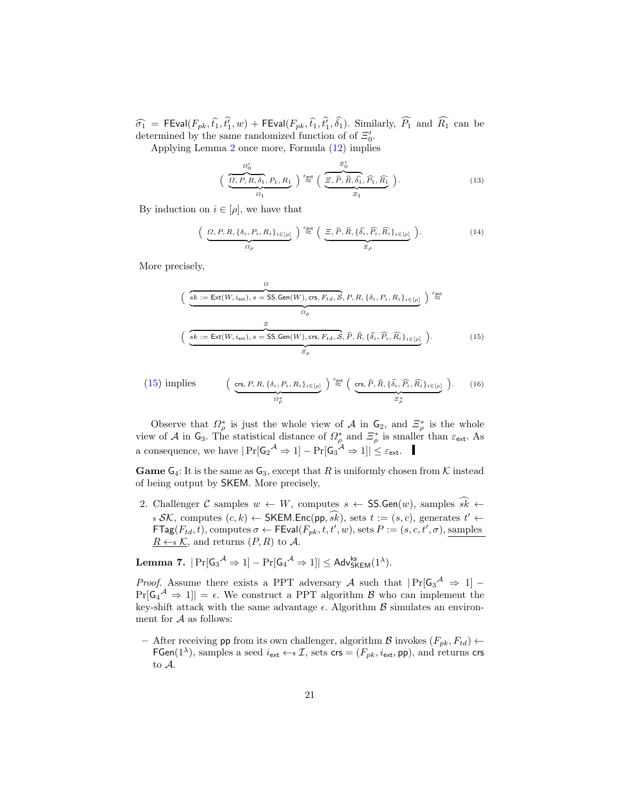$\widehat{\sigma_1}$  = FEval( $F_{pk}, \widehat{t_1}, t'_1, w$ ) + FEval( $F_{pk}, \widehat{t_1}, t'_1, \delta_1$ ). Similarly,  $P_1$  and  $R_1$  can be determined by the same randomized function of of  $\mathcal{Z}'_0$ .

Applying Lemma [2](#page-8-3) once more, Formula [\(12\)](#page-19-2) implies

$$
\left(\frac{\Omega_0'}{\Omega, P, R, \delta_1, P_1, R_1}\right) \stackrel{\varepsilon_{\text{ext}}}{\approx} \left(\frac{\Xi_0'}{\Xi, \hat{P}, \hat{R}, \hat{\delta}_1, \hat{P}_1, \hat{R}_1}\right).
$$
\n(13)

By induction on  $i \in [\rho]$ , we have that

$$
\left(\underbrace{\Omega, P, R, \{\delta_i, P_i, R_i\}_{i \in [\rho]}}_{\Omega_{\rho}}\right) \stackrel{\varepsilon_{\text{ext}}}{\approx} \left(\underbrace{\Xi, \widehat{P}, \widehat{R}, \{\widehat{\delta}_i, \widehat{P_i}, \widehat{R_i}\}_{i \in [\rho]}}_{\Xi_{\rho}}\right).
$$
\n(14)

More precisely,

<span id="page-20-0"></span>
$$
\left(\underbrace{\overbrace{sk := \text{Ext}(W, i_{\text{ext}}), s = \text{SS.Gen}(W), \text{crs}, F_{td}, \mathcal{S}, P, R, \{\delta_i, P_i, R_i\}_{i \in [\rho]}}_{\Omega_{\rho}}\right) \stackrel{\epsilon_{\text{ext}}}{\approx}
$$
\n
$$
\left(\underbrace{\overbrace{sk := \text{Ext}(W, i_{\text{ext}}), s = \text{SS.Gen}(W), \text{crs}, F_{td}, \mathcal{S}, \hat{P}, \hat{R}, \{\hat{\delta}_i, \hat{P}_i, \hat{R}_i\}_{i \in [\rho]}}_{\Xi_{\rho}}\right). \tag{15}
$$

(15) implies 
$$
\left(\underbrace{\text{crs}, P, R, \{\delta_i, P_i, R_i\}_{i \in [\rho]}}_{\Omega^*_{\rho}}\right) \stackrel{\varepsilon_{\text{ext}}}{\approx} \left(\underbrace{\text{crs}, \widehat{P}, \widehat{R}, \{\widehat{\delta}_i, \widehat{P_i}, \widehat{R_i}\}_{i \in [\rho]}}_{\Xi^*_{\rho}}\right). \tag{16}
$$

Observe that  $\Omega_{\rho}^*$  is just the whole view of A in  $\mathsf{G}_2$ , and  $\Xi_{\rho}^*$  is the whole view of A in  $\mathsf{G}_3$ . The statistical distance of  $\Omega_\rho^*$  and  $\Xi_\rho^*$  is smaller than  $\varepsilon_{\text{ext}}$ . As a consequence, we have  $|\Pr[G_2^{\mathcal{A}} \Rightarrow 1] - \Pr[G_3^{\mathcal{A}} \Rightarrow 1]| \leq \varepsilon_{\text{ext}}$ .

**Game**  $G_4$ : It is the same as  $G_3$ , except that R is uniformly chosen from K instead of being output by SKEM. More precisely,

2. Challenger C samples  $w \leftarrow W$ , computes  $s \leftarrow$  SS. Gen $(w)$ , samples  $s\overrightarrow{k} \leftarrow$  $\mathcal{S}\mathcal{K}$ , computes  $(c, k) \leftarrow \mathsf{SKEM}.\mathsf{Enc}(\mathsf{pp}, \widehat{\mathsf{sk}})$ , sets  $t := (s, c)$ , generates  $t' \leftarrow \mathsf{Enc}(\mathsf{pp}, \widehat{\mathsf{sk}})$  $\mathsf{FTag}(F_{td}, t)$ , computes  $\sigma \leftarrow \mathsf{FEval}(F_{pk}, t, t', w)$ , sets  $P := (s, c, t', \sigma)$ , samples  $R \leftarrow \{K, \text{ and returns } (P, R) \text{ to } A.$ 

<span id="page-20-1"></span>Lemma 7.  $|\Pr[\mathsf{G_3}^{\mathcal{A}} \Rightarrow 1] - \Pr[\mathsf{G_4}^{\mathcal{A}} \Rightarrow 1]| \leq \mathsf{Adv}_{\mathsf{SKEM}}^{\mathsf{ks}}(1^{\lambda}).$ 

*Proof.* Assume there exists a PPT adversary A such that  $|\Pr[G_3^{\mathcal{A}} \Rightarrow 1]$  –  $Pr[\mathsf{G}_4^{\mathcal{A}} \Rightarrow 1] = \epsilon$ . We construct a PPT algorithm  $\mathcal{B}$  who can implement the key-shift attack with the same advantage  $\epsilon$ . Algorithm  $\beta$  simulates an environment for  $A$  as follows:

– After receiving pp from its own challenger, algorithm B invokes  $(F_{pk}, F_{td})$  ← FGen(1<sup> $\lambda$ </sup>), samples a seed  $i_{ext} \leftarrow \mathcal{I}$ , sets crs =  $(F_{pk}, i_{ext}, \mathsf{pp})$ , and returns crs to A.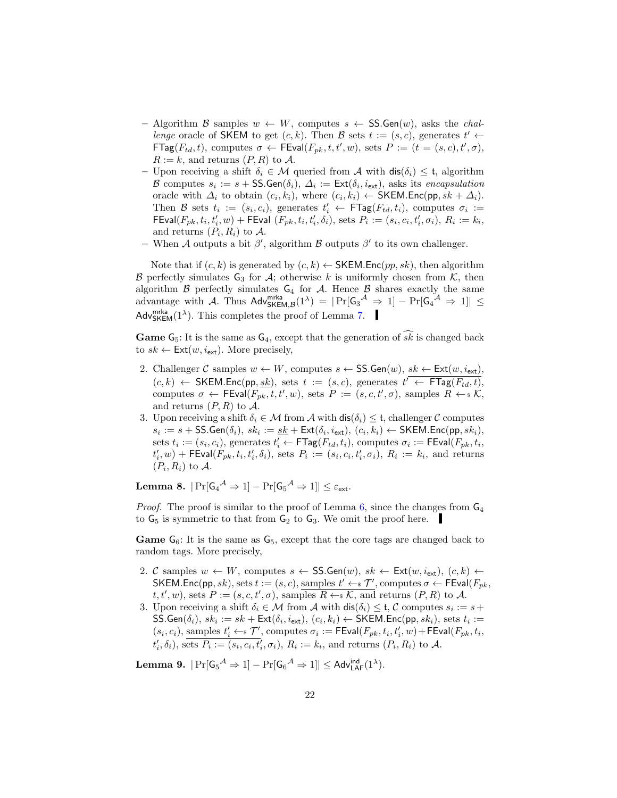- Algorithm B samples  $w \leftarrow W$ , computes  $s \leftarrow \text{SS}$ . Gen $(w)$ , asks the *chal*lenge oracle of SKEM to get  $(c, k)$ . Then B sets  $t := (s, c)$ , generates  $t' \leftarrow$  $\mathsf{FTag}(F_{td}, t)$ , computes  $\sigma \leftarrow \mathsf{FEval}(F_{pk}, t, t', w)$ , sets  $P := (t = (s, c), t', \sigma)$ ,  $R := k$ , and returns  $(P, R)$  to A.
- Upon receiving a shift  $\delta_i \in \mathcal{M}$  queried from A with  $\text{dis}(\delta_i) \leq \mathfrak{t}$ , algorithm B computes  $s_i := s + \textsf{SS}.\textsf{Gen}(\delta_i), \ \Delta_i := \textsf{Ext}(\delta_i, i_{\textsf{ext}})$ , asks its encapsulation oracle with  $\Delta_i$  to obtain  $(c_i, k_i)$ , where  $(c_i, k_i) \leftarrow \text{SKEM}.\textsf{Enc}(\textsf{pp}, sk + \Delta_i).$ Then B sets  $t_i := (s_i, c_i)$ , generates  $t'_i \leftarrow \textsf{FTag}(F_{td}, t_i)$ , computes  $\sigma_i :=$  $\mathsf{FEval}(F_{pk}, t_i, t'_i, w) + \mathsf{FEval}(F_{pk}, t_i, t'_i, \delta_i), \text{ sets } P_i := (s_i, c_i, t'_i, \sigma_i), R_i := k_i,$ and returns  $(P_i, R_i)$  to A.
- When A outputs a bit  $\beta'$ , algorithm B outputs  $\beta'$  to its own challenger.

Note that if  $(c, k)$  is generated by  $(c, k) \leftarrow$  SKEM.Enc $(pp, sk)$ , then algorithm B perfectly simulates  $G_3$  for  $A$ ; otherwise k is uniformly chosen from K, then algorithm  $\beta$  perfectly simulates  $G_4$  for  $\mathcal A$ . Hence  $\beta$  shares exactly the same advantage with A. Thus  $\mathsf{Adv}_{\mathsf{SKEM},\mathcal{B}}^{\mathsf{mrka}}(1^{\lambda}) = |\Pr[\mathsf{G}_3{}^{\mathcal{A}} \Rightarrow 1] - \Pr[\mathsf{G}_4{}^{\mathcal{A}} \Rightarrow 1]| \leq$ Adv<sup>mrka</sup> $(1^{\lambda})$ . This completes the proof of Lemma [7.](#page-20-1)

**Game** G<sub>5</sub>: It is the same as  $G_4$ , except that the generation of  $s\hat{k}$  is changed back to  $sk \leftarrow \textsf{Ext}(w, i_{\textsf{ext}})$ . More precisely,

- 2. Challenger C samples  $w \leftarrow W$ , computes  $s \leftarrow \text{SS}.\text{Gen}(w)$ ,  $sk \leftarrow \text{Ext}(w, i_{\text{ext}})$ ,  $(c, k) \leftarrow \mathsf{SKEM}.\mathsf{Enc}(\mathsf{pp}, \underline{\mathit{sk}}), \text{ sets } t := (s, c), \text{ generates } t' \leftarrow \mathsf{FTag}(F_{td}, t),$ computes  $\sigma \leftarrow \text{FEval}(F_{pk}, t, t', w)$ , sets  $P := (s, c, t', \sigma)$ , samples  $R \leftarrow s \mathcal{K}$ , and returns  $(P, R)$  to A.
- 3. Upon receiving a shift  $\delta_i \in \mathcal{M}$  from  $\mathcal{A}$  with  $\textsf{dis}(\delta_i) \leq \mathfrak{t}$ , challenger  $\mathcal{C}$  computes  $s_i := s + \mathsf{SS}.\mathsf{Gen}(\delta_i), \, sk_i := \underline{sk} + \mathsf{Ext}(\delta_i, i_{\mathsf{ext}}), \, (c_i, k_i) \leftarrow \mathsf{SKEM}.\mathsf{Enc}(\mathsf{pp}, sk_i),$ sets  $t_i := (s_i, c_i)$ , generates  $t'_i \leftarrow \mathsf{FTag}(F_{td}, t_i)$ , computes  $\sigma_i := \mathsf{FEval}(F_{pk}, t_i)$  $t'_{i}, w$  + FEval( $F_{pk}, t_i, t'_{i}, \delta_i$ ), sets  $P_i := (s_i, c_i, t'_{i}, \sigma_i)$ ,  $R_i := k_i$ , and returns  $(P_i, R_i)$  to A.

 $\textbf{Lemma 8.}~~|\Pr[\mathsf{G_4}^\mathcal{A}\Rightarrow 1]-\Pr[\mathsf{G_5}^\mathcal{A}\Rightarrow 1]|\leq \varepsilon_{\mathsf{ext}}.$ 

*Proof.* The proof is similar to the proof of Lemma  $6$ , since the changes from  $G_4$ to  $G_5$  is symmetric to that from  $G_2$  to  $G_3$ . We omit the proof here.

**Game**  $G_6$ : It is the same as  $G_5$ , except that the core tags are changed back to random tags. More precisely,

- 2. C samples  $w \leftarrow W$ , computes  $s \leftarrow \text{SS.Gen}(w)$ ,  $sk \leftarrow \text{Ext}(w, i_{\text{ext}})$ ,  $(c, k) \leftarrow$ SKEM.Enc(pp, sk), sets  $t := (s, c)$ , samples  $t' \leftarrow s \mathcal{T}'$ , computes  $\sigma \leftarrow \text{FEval}(F_{pk},$  $t, t', w$ , sets  $P := (s, c, t', \sigma)$ , samples  $R \leftarrow \mathcal{K}$ , and returns  $(P, R)$  to A.
- 3. Upon receiving a shift  $\delta_i \in \mathcal{M}$  from A with  $dis(\delta_i) \leq \mathfrak{t}, \mathcal{C}$  computes  $s_i := s + \mathcal{C}$  $\mathsf{SS}.\mathsf{Gen}(\delta_i), \, sk_i := sk + \mathsf{Ext}(\delta_i, i_{\mathsf{ext}}), \, (c_i, k_i) \leftarrow \mathsf{SKEM}.\mathsf{Enc}(\mathsf{pp}, sk_i), \, \mathsf{sets} \,\, t_i :=$  $(s_i, c_i)$ , samples  $t'_i \leftarrow \mathcal{T}'$ , computes  $\sigma_i := \mathsf{FEval}(F_{pk}, t_i, t'_i, w) + \mathsf{FEval}(F_{pk}, t_i, w)$  $t'_{i}, \delta_{i}$ ), sets  $P_{i} := (s_{i}, c_{i}, t'_{i}, \sigma_{i})$ ,  $R_{i} := k_{i}$ , and returns  $(P_{i}, R_{i})$  to A.

Lemma 9.  $|\Pr[\mathsf{G_5}^{\mathcal{A}} \Rightarrow 1] - \Pr[\mathsf{G_6}^{\mathcal{A}} \Rightarrow 1]| \leq \mathsf{Adv}^{\mathsf{ind}}_{\mathsf{LAF}}(1^{\lambda}).$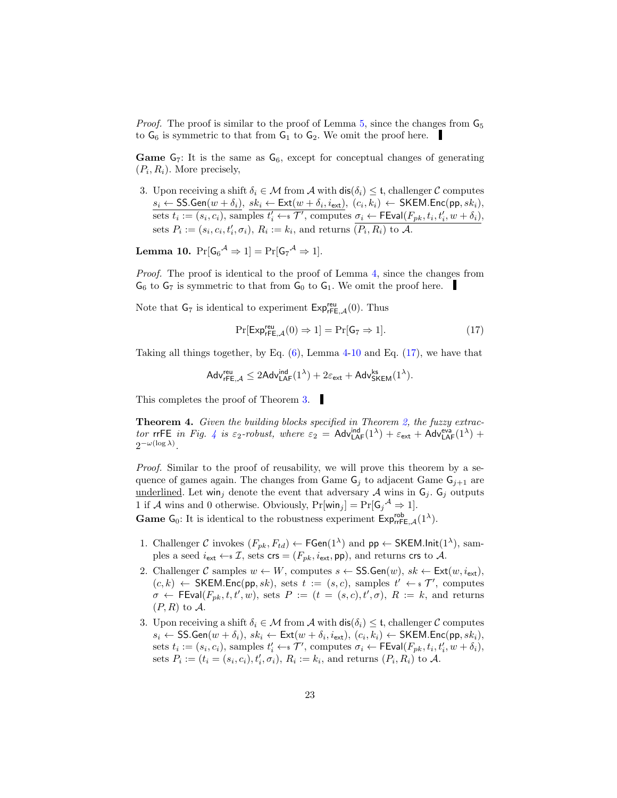*Proof.* The proof is similar to the proof of Lemma  $5$ , since the changes from  $\mathsf{G}_5$ to  $G_6$  is symmetric to that from  $G_1$  to  $G_2$ . We omit the proof here.

**Game**  $G_7$ : It is the same as  $G_6$ , except for conceptual changes of generating  $(P_i, R_i)$ . More precisely,

3. Upon receiving a shift  $\delta_i \in \mathcal{M}$  from  $\mathcal{A}$  with  $\textsf{dis}(\delta_i) \leq \mathfrak{t}$ , challenger C computes  $s_i \leftarrow \mathsf{SS}.\mathsf{Gen}(w + \delta_i), \; sk_i \leftarrow \mathsf{Ext}(w + \delta_i, i_{\mathsf{ext}}), \; (c_i, k_i) \leftarrow \mathsf{SKEM}.\mathsf{Enc}(\mathsf{pp}, sk_i),$ sets  $t_i := (s_i, c_i)$ , samples  $t'_i \leftarrow \in \mathcal{T}'$ , computes  $\sigma_i \leftarrow \mathsf{FEval}(F_{pk}, t_i, t'_i, w + \delta_i)$ , sets  $P_i := (s_i, c_i, t'_i, \sigma_i), R_i := k_i$ , and returns  $\overline{(P_i, R_i)}$  to A.

<span id="page-22-1"></span>**Lemma 10.**  $Pr[G_6^{\mathcal{A}} \Rightarrow 1] = Pr[G_7^{\mathcal{A}} \Rightarrow 1].$ 

Proof. The proof is identical to the proof of Lemma [4,](#page-16-1) since the changes from  $G_6$  to  $G_7$  is symmetric to that from  $G_0$  to  $G_1$ . We omit the proof here.

Note that  $G_7$  is identical to experiment  $Exp_{rFE,\mathcal{A}}^{rev}(0)$ . Thus

<span id="page-22-2"></span>
$$
\Pr[\text{Exp}_{\mathsf{rFE},\mathcal{A}}^{\mathsf{reu}}(0) \Rightarrow 1] = \Pr[\mathsf{G}_7 \Rightarrow 1].\tag{17}
$$

Taking all things together, by Eq.  $(6)$ , Lemma [4](#page-16-1)[-10](#page-22-1) and Eq.  $(17)$ , we have that

$$
\mathsf{Adv}_{\mathsf{rFE},\mathcal{A}}^{\mathsf{reu}} \leq 2\mathsf{Adv}_{\mathsf{LAF}}^{\mathsf{ind}}(1^\lambda) + 2\varepsilon_{\mathsf{ext}} + \mathsf{Adv}_{\mathsf{SKEM}}^{\mathsf{ks}}(1^\lambda).
$$

This completes the proof of Theorem [3.](#page-15-0)

<span id="page-22-0"></span>**Theorem 4.** Given the building blocks specified in Theorem [2,](#page-15-1) the fuzzy extrac-tor rrFE in Fig. [4](#page-16-0) is  $\varepsilon_2$ -robust, where  $\varepsilon_2$  = Adv ${}_{\mathsf{LAF}}^{\mathsf{ind}}(1^{\lambda}) + \varepsilon_{\mathsf{ext}} + \mathsf{Adv}_{\mathsf{LAF}}^{\mathsf{eva}}(1^{\lambda})$  +  $2^{-\omega(\log \lambda)}$ .

Proof. Similar to the proof of reusability, we will prove this theorem by a sequence of games again. The changes from Game  $G_j$  to adjacent Game  $G_{j+1}$  are <u>underlined</u>. Let win<sub>j</sub> denote the event that adversary A wins in  $G_j$ .  $G_j$  outputs 1 if A wins and 0 otherwise. Obviously,  $Pr[\text{win}_j] = Pr[G_j^{\mathcal{A}} \Rightarrow 1].$ 

**Game**  $G_0$ : It is identical to the robustness experiment  $Exp_{rrFE,A}^{rob}(1^{\lambda})$ .

- 1. Challenger C invokes  $(F_{pk}, F_{td}) \leftarrow \mathsf{FGen}(1^{\lambda})$  and  $\mathsf{pp} \leftarrow \mathsf{SKEM}.\mathsf{Init}(1^{\lambda}),$  samples a seed  $i_{ext} \leftarrow \mathcal{I}$ , sets crs =  $(F_{pk}, i_{ext}, \text{pp})$ , and returns crs to A.
- 2. Challenger C samples  $w \leftarrow W$ , computes  $s \leftarrow \text{SS}.\text{Gen}(w)$ ,  $sk \leftarrow \text{Ext}(w, i_{\text{ext}})$ ,  $(c, k) \leftarrow$  SKEM.Enc(pp, sk), sets  $t := (s, c)$ , samples  $t' \leftarrow s \mathcal{T}'$ , computes  $\sigma \leftarrow \text{FEval}(F_{pk}, t, t', w), \text{ sets } P := (t = (s, c), t', \sigma), R := k, \text{ and returns }$  $(P, R)$  to A.
- 3. Upon receiving a shift  $\delta_i \in \mathcal{M}$  from  $\mathcal{A}$  with  $\textsf{dis}(\delta_i) \leq \mathfrak{t}$ , challenger  $\mathcal{C}$  computes  $s_i \leftarrow \mathsf{SS}.\mathsf{Gen}(w + \delta_i), \, sk_i \leftarrow \mathsf{Ext}(w + \delta_i, i_{\mathsf{ext}}), \, (c_i, k_i) \leftarrow \mathsf{SKEM}.\mathsf{Enc}(\mathsf{pp}, sk_i),$ sets  $t_i := (s_i, c_i)$ , samples  $t'_i \leftarrow \in \mathcal{T}'$ , computes  $\sigma_i \leftarrow \mathsf{FEval}(F_{pk}, t_i, t'_i, w + \delta_i)$ , sets  $P_i := (t_i = (s_i, c_i), t'_i, \sigma_i), R_i := k_i$ , and returns  $(P_i, R_i)$  to A.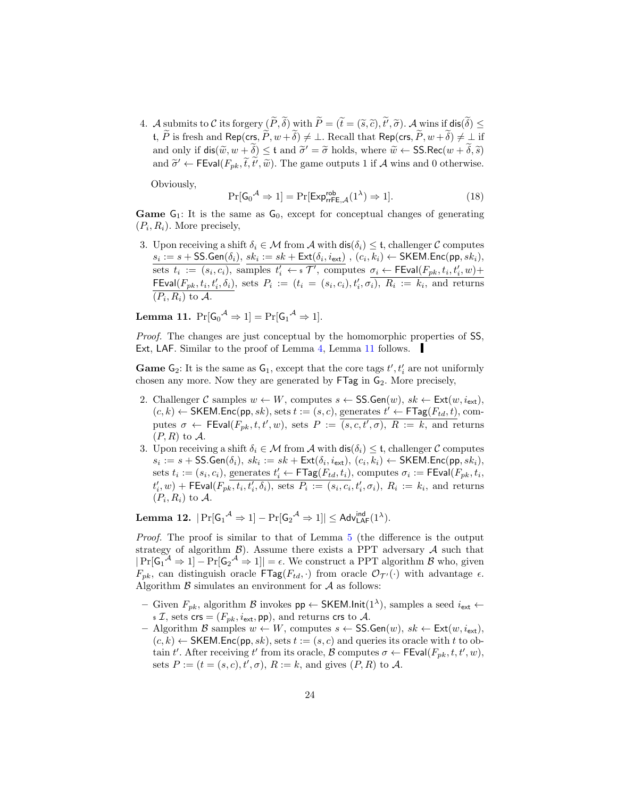4. A submits to C its forgery  $(P, \delta)$  with  $P = (\tilde{t} = (\tilde{s}, \tilde{c}), t', \tilde{\sigma})$ . A wins if  $\textsf{dis}(\delta) \leq$ t,  $\widetilde{P}$  is fresh and Rep(crs,  $\widetilde{P}$ ,  $w + \widetilde{\delta}$ )  $\neq \bot$ . Recall that Rep(crs,  $\widetilde{P}$ ,  $w + \widetilde{\delta}$ )  $\neq \bot$  if and only if  $\text{dis}(\widetilde{w}, w + \widetilde{\delta}) \leq t$  and  $\widetilde{\sigma}' = \widetilde{\sigma}$  holds, where  $\widetilde{w} \leftarrow \text{SS}.\text{Rec}(w + \widetilde{\delta}, \widetilde{s})$ and  $\tilde{\sigma}' \leftarrow \text{FEval}(F_{pk}, \tilde{t}, \tilde{t}', \tilde{w})$ . The game outputs 1 if A wins and 0 otherwise.

Obviously,

<span id="page-23-2"></span>
$$
\Pr[\mathsf{G_0}^{\mathcal{A}} \Rightarrow 1] = \Pr[\mathsf{Exp}_{\mathsf{rrFE}, \mathcal{A}}^{\mathsf{rob}}(1^{\lambda}) \Rightarrow 1]. \tag{18}
$$

**Game**  $G_1$ : It is the same as  $G_0$ , except for conceptual changes of generating  $(P_i, R_i)$ . More precisely,

3. Upon receiving a shift  $\delta_i \in \mathcal{M}$  from  $\mathcal{A}$  with  $\text{dis}(\delta_i) \leq \mathfrak{t}$ , challenger C computes  $s_i := s + \mathsf{SS}.\mathsf{Gen}(\delta_i), \, sk_i := sk + \mathsf{Ext}(\delta_i, i_{\mathsf{ext}}) \ , \, (c_i, k_i) \gets \mathsf{SKEM}.\mathsf{Enc}(\mathsf{pp}, sk_i),$ sets  $t_i := (s_i, c_i)$ , samples  $t'_i \leftarrow \in \mathcal{T}'$ , computes  $\sigma_i \leftarrow \mathsf{FEval}(F_{pk}, t_i, t'_i, w) +$ FEval $(F_{pk}, t_i, t'_i, \delta_i)$ , sets  $P_i := (t_i = (s_i, c_i), t'_i, \sigma_i)$ ,  $R_i := k_i$ , and returns  $(P_i, R_i)$  to A.

<span id="page-23-0"></span>**Lemma 11.** 
$$
\Pr[G_0^{\mathcal{A}} \Rightarrow 1] = \Pr[G_1^{\mathcal{A}} \Rightarrow 1].
$$

Proof. The changes are just conceptual by the homomorphic properties of SS, Ext, LAF. Similar to the proof of Lemma [4,](#page-16-1) Lemma [11](#page-23-0) follows.

**Game**  $G_2$ : It is the same as  $G_1$ , except that the core tags  $t', t'_i$  are not uniformly chosen any more. Now they are generated by  $FTag$  in  $G_2$ . More precisely,

- 2. Challenger C samples  $w \leftarrow W$ , computes  $s \leftarrow \text{SS}.\text{Gen}(w)$ ,  $sk \leftarrow \text{Ext}(w, i_{\text{ext}})$ ,  $(c, k) \leftarrow$  SKEM.Enc(pp, sk), sets  $t := (s, c)$ , generates  $t' \leftarrow \textsf{FTag}(F_{td}, t)$ , computes  $\sigma \leftarrow \text{FEval}(F_{pk}, t, t', w)$ , sets  $P := (s, c, t', \sigma), R := k$ , and returns  $(P, R)$  to  $\mathcal A$ .
- 3. Upon receiving a shift  $\delta_i \in \mathcal{M}$  from  $\mathcal{A}$  with  $\textsf{dis}(\delta_i) \leq \mathfrak{t}$ , challenger  $\mathcal{C}$  computes  $s_i := s + \mathsf{SS}.\mathsf{Gen}(\delta_i), \, sk_i := sk + \mathsf{Ext}(\delta_i, i_{\mathsf{ext}}), \, (c_i, k_i) \leftarrow \mathsf{SKEM}.\mathsf{Enc}(\mathsf{pp}, sk_i),$ sets  $t_i := (s_i, c_i)$ , generates  $t'_i \leftarrow \mathsf{FTag}(F_{td}, t_i)$ , computes  $\sigma_i := \mathsf{FEval}(F_{pk}, t_i)$  $t'_i, w$ ) + FEval( $F_{p\overline{k}}, t_i, t'_i, \delta_i$ ), sets  $P_i := (s_i, c_i, t'_i, \sigma_i)$ ,  $R_i := k_i$ , and returns  $(P_i, R_i)$  to A.

<span id="page-23-1"></span>Lemma 12.  $|\Pr[\mathsf{G_1}^\mathcal{A}\Rightarrow 1]-\Pr[\mathsf{G_2}^\mathcal{A}\Rightarrow 1]|\le \mathsf{Adv}^{\mathsf{ind}}_{\mathsf{LAF}}(1^\lambda).$ 

Proof. The proof is similar to that of Lemma [5](#page-17-0) (the difference is the output strategy of algorithm  $\beta$ ). Assume there exists a PPT adversary  $\mathcal A$  such that  $|\Pr[\mathsf{G}_1^{\mathcal{A}} \Rightarrow 1] - \Pr[\mathsf{G}_2^{\mathcal{A}} \Rightarrow 1]| = \epsilon$ . We construct a PPT algorithm  $\mathcal{B}$  who, given  $F_{pk}$ , can distinguish oracle  $\mathsf{FTag}(F_{td}, \cdot)$  from oracle  $\mathcal{O}_{\mathcal{T}'}(\cdot)$  with advantage  $\epsilon$ . Algorithm  $\beta$  simulates an environment for  $\mathcal A$  as follows:

- Given  $F_{pk}$ , algorithm  $\mathcal{B}$  invokes  $pp \leftarrow \text{SKEM}$ .lnit(1<sup> $\lambda$ </sup>), samples a seed  $i_{ext}$  ←  $\mathfrak{s} \mathcal{I},$  sets crs =  $(F_{pk}, i_{ext}, \mathsf{pp})$ , and returns crs to A.
- Algorithm B samples  $w \leftarrow W$ , computes  $s \leftarrow \text{SS}.\text{Gen}(w)$ ,  $sk \leftarrow \text{Ext}(w, i_{\text{ext}})$ ,  $(c, k) \leftarrow$  SKEM. Enc(pp, sk), sets  $t := (s, c)$  and queries its oracle with t to obtain t'. After receiving t' from its oracle, B computes  $\sigma \leftarrow \mathsf{FEval}(F_{pk}, t, t', w)$ , sets  $P := (t = (s, c), t', \sigma), R := k$ , and gives  $(P, R)$  to A.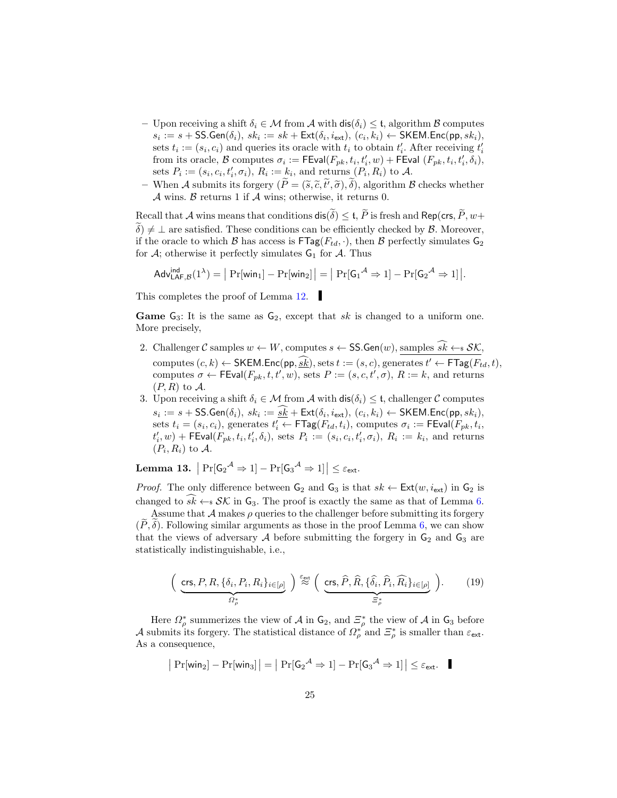- Upon receiving a shift  $\delta_i \in \mathcal{M}$  from A with  $\textsf{dis}(\delta_i) \leq \mathfrak{t}$ , algorithm B computes  $s_i := s + \mathsf{SS}.\mathsf{Gen}(\delta_i), \, sk_i := sk + \mathsf{Ext}(\delta_i, i_{\mathsf{ext}}), \, (c_i, k_i) \leftarrow \mathsf{SKEM}.\mathsf{Enc}(\mathsf{pp}, sk_i),$ sets  $t_i := (s_i, c_i)$  and queries its oracle with  $t_i$  to obtain  $t'_i$ . After receiving  $t'_i$ from its oracle,  $\mathcal B$  computes  $\sigma_i := \mathsf{FEval}(F_{pk}, t_i, t'_i, w) + \mathsf{FEval}(F_{pk}, t_i, t'_i, \delta_i),$ sets  $P_i := (s_i, c_i, t'_i, \sigma_i), R_i := k_i$ , and returns  $(P_i, R_i)$  to A.
- When A submits its forgery  $(P = (\tilde{s}, \tilde{c}, t', \tilde{\sigma}), \delta)$ , algorithm B checks whether  $\mathcal A$  wins.  $\mathcal B$  returns 1 if  $\mathcal A$  wins; otherwise, it returns 0.

Recall that A wins means that conditions  $\textsf{dis}(\widetilde{\delta}) \leq \mathfrak{t}, \widetilde{P}$  is fresh and Rep(crs,  $\widetilde{P}, w +$  $\delta$ )  $\neq$   $\perp$  are satisfied. These conditions can be efficiently checked by  $\beta$ . Moreover, if the oracle to which B has access is  $\text{FTag}(F_{td}, \cdot)$ , then B perfectly simulates  $G_2$ for  $A$ ; otherwise it perfectly simulates  $G_1$  for  $A$ . Thus

$$
\mathsf{Adv}_{\mathsf{LAF},\mathcal{B}}^{\mathsf{ind}}(1^{\lambda}) = \big| \Pr[\mathsf{win}_1] - \Pr[\mathsf{win}_2] \big| = \big| \Pr[\mathsf{G}_1{}^{\mathcal{A}} \Rightarrow 1] - \Pr[\mathsf{G}_2{}^{\mathcal{A}} \Rightarrow 1] \big|.
$$

This completes the proof of Lemma [12.](#page-23-1)

**Game**  $G_3$ : It is the same as  $G_2$ , except that sk is changed to a uniform one. More precisely,

- 2. Challenger C samples  $w \leftarrow W$ , computes  $s \leftarrow \text{SS}$ . Gen $(w)$ , samples  $s\hat{k} \leftarrow s\mathcal{SK}$ , computes  $(c, k) \leftarrow \textsf{SKEM}.\textsf{Enc}(\textsf{pp}, \underline{\widehat{sk}}), \textup{sets } t := (s, c), \textup{generates } t' \leftarrow \textsf{FTag}(F_{td}, t),$ computes  $\sigma \leftarrow \text{FEval}(F_{pk}, t, t', w)$ , sets  $P := (s, c, t', \sigma)$ ,  $R := k$ , and returns  $(P, R)$  to  $\mathcal{A}$ .
- 3. Upon receiving a shift  $\delta_i \in \mathcal{M}$  from  $\mathcal{A}$  with  $\textsf{dis}(\delta_i) \leq \mathfrak{t}$ , challenger  $\mathcal{C}$  computes  $s_i := s + \textsf{SS}.\textsf{Gen}(\delta_i), \ sk_i := \underline{sk} + \textsf{Ext}(\delta_i, i_{\textsf{ext}}), (c_i, k_i) \leftarrow \textsf{SKEM}.\textsf{Enc}(\textsf{pp}, sk_i),$ sets  $t_i = (s_i, c_i)$ , generates  $t'_i \leftarrow \mathsf{FTag}(F_{td}, t_i)$ , computes  $\sigma_i := \mathsf{FEval}(F_{pk}, t_i)$  $t'_{i}, w$  + FEval( $F_{pk}, t_i, t'_{i}, \delta_i$ ), sets  $P_i := (s_i, c_i, t'_{i}, \sigma_i)$ ,  $R_i := k_i$ , and returns  $(P_i, R_i)$  to A.

Lemma 13.  $\left|\Pr[\mathsf{G_2}^{\mathcal{A}} \Rightarrow 1] - \Pr[\mathsf{G_3}^{\mathcal{A}} \Rightarrow 1]\right| \leq \varepsilon_{\mathsf{ext}}.$ 

*Proof.* The only difference between  $G_2$  and  $G_3$  is that  $sk \leftarrow \text{Ext}(w, i_{\text{ext}})$  in  $G_2$  is changed to  $sk \leftarrow s \mathcal{SK}$  in  $G_3$ . The proof is exactly the same as that of Lemma [6.](#page-18-2)

Assume that  $\mathcal A$  makes  $\rho$  queries to the challenger before submitting its forgery  $(\widetilde{P}, \widetilde{\delta})$ . Following similar arguments as those in the proof Lemma [6,](#page-18-2) we can show that the views of adversary  $A$  before submitting the forgery in  $G_2$  and  $G_3$  are statistically indistinguishable, i.e.,

$$
\left(\underbrace{\text{crs}, P, R, \{\delta_i, P_i, R_i\}_{i \in [\rho]}}_{\Omega^*_{\rho}}\right) \stackrel{\varepsilon_{\text{ext}}}{\approx} \left(\underbrace{\text{crs}, \widehat{P}, \widehat{R}, \{\widehat{\delta}_i, \widehat{P}_i, \widehat{R_i}\}_{i \in [\rho]}}_{\Xi^*_{\rho}}\right). \tag{19}
$$

Here  $\Omega_{\rho}^*$  summerizes the view of  $\mathcal A$  in  $\mathsf G_2$ , and  $\Xi_{\rho}^*$  the view of  $\mathcal A$  in  $\mathsf G_3$  before A submits its forgery. The statistical distance of  $\Omega_{\rho}^{*}$  and  $\Xi_{\rho}^{*}$  is smaller than  $\varepsilon_{\text{ext}}$ . As a consequence,

<span id="page-24-0"></span>
$$
|\Pr[\text{win}_2] - \Pr[\text{win}_3]| = |\Pr[\mathsf{G}_2{}^{\mathcal{A}} \Rightarrow 1] - \Pr[\mathsf{G}_3{}^{\mathcal{A}} \Rightarrow 1]| \leq \varepsilon_{\text{ext}}.
$$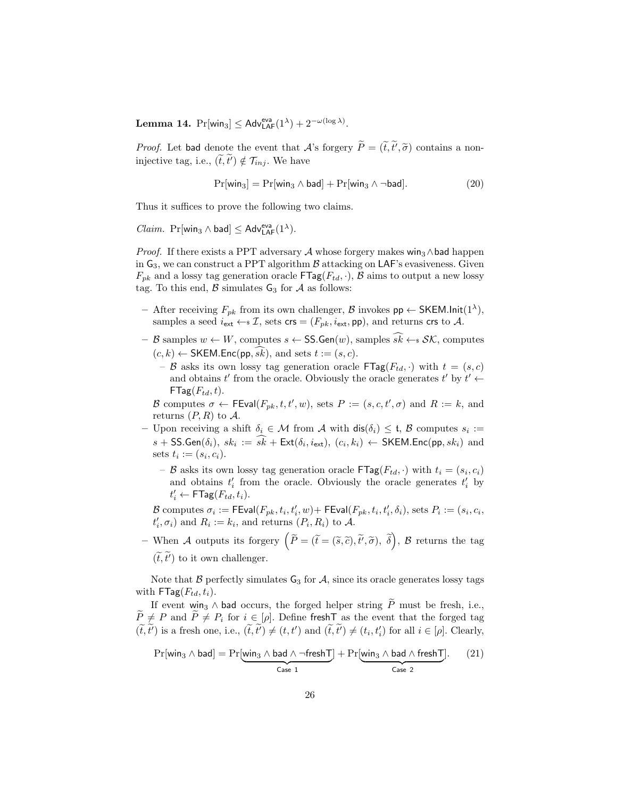**Lemma 14.**  $Pr[\text{win}_3] \leq \text{Adv}_{\text{LAF}}^{\text{eva}}(1^{\lambda}) + 2^{-\omega(\log \lambda)}$ .

*Proof.* Let bad denote the event that A's forgery  $P = (\tilde{t}, t', \tilde{\sigma})$  contains a noninjective tag, i.e.,  $(\tilde{t}, \tilde{t}') \notin \mathcal{T}_{inj}$ . We have

$$
Pr[\text{win}_3] = Pr[\text{win}_3 \land \text{bad}] + Pr[\text{win}_3 \land \neg \text{bad}]. \tag{20}
$$

Thus it suffices to prove the following two claims.

 $Claim.$   $\Pr[\textsf{win}_3 \wedge \textsf{bad}] \leq \textsf{Adv}_{\textsf{LAF}}^{\textsf{eva}}(1^{\lambda}).$ 

*Proof.* If there exists a PPT adversary A whose forgery makes win<sub>3</sub>∧bad happen in  $G_3$ , we can construct a PPT algorithm  $\beta$  attacking on LAF's evasiveness. Given  $F_{pk}$  and a lossy tag generation oracle  $\mathsf{FTag}(F_{td}, \cdot), \mathcal{B}$  aims to output a new lossy tag. To this end,  $\beta$  simulates  $G_3$  for  $\mathcal A$  as follows:

- After receiving  $F_{pk}$  from its own challenger,  $\mathcal{B}$  invokes  $pp \leftarrow \text{SKEM}.\text{Init}(1^{\lambda}),$ samples a seed  $i_{ext} \leftarrow \mathcal{I}$ , sets crs =  $(F_{pk}, i_{ext}, \text{pp})$ , and returns crs to A.
- B samples  $w \leftarrow W$ , computes  $s \leftarrow \text{SS}.\text{Gen}(w)$ , samples  $\widehat{sk} \leftarrow s \mathcal{SK}$ , computes  $(c, k) \leftarrow$  SKEM.Enc(pp, sk), and sets  $t := (s, c)$ .
	- B asks its own lossy tag generation oracle  $\mathsf{FTag}(F_{td},.)$  with  $t = (s, c)$ and obtains t' from the oracle. Obviously the oracle generates t' by  $t' \leftarrow$  $FTag(F_{td}, t)$ .

B computes  $\sigma \leftarrow \text{FEval}(F_{pk}, t, t', w)$ , sets  $P := (s, c, t', \sigma)$  and  $R := k$ , and returns  $(P, R)$  to  $\mathcal{A}$ .

- Upon receiving a shift  $\delta_i \in \mathcal{M}$  from  $\mathcal{A}$  with  $dis(\delta_i) \leq \mathfrak{t}, \mathcal{B}$  computes  $s_i :=$  $s + \textsf{SS}.\textsf{Gen}(\delta_i), \ sk_i := sk + \textsf{Ext}(\delta_i, i_{\textsf{ext}}), (c_i, k_i) \leftarrow \textsf{SKEM}.\textsf{Enc}(\textsf{pp}, sk_i)$  and sets  $t_i := (s_i, c_i)$ .
	- B asks its own lossy tag generation oracle  $\mathsf{FTag}(F_{td}, \cdot)$  with  $t_i = (s_i, c_i)$ and obtains  $t'_i$  from the oracle. Obviously the oracle generates  $t'_i$  by  $t'_i \leftarrow \mathsf{FTag}(F_{td}, t_i).$

B computes  $\sigma_i := \mathsf{FEval}(F_{pk}, t_i, t'_i, w) + \mathsf{FEval}(F_{pk}, t_i, t'_i, \delta_i)$ , sets  $P_i := (s_i, c_i,$  $t'_{i}, \sigma_{i}$  and  $R_{i} := k_{i}$ , and returns  $(P_{i}, R_{i})$  to A.

- When A outputs its forgery  $\left(\widetilde{P}=(\widetilde{t}=(\widetilde{s},\widetilde{c}),\widetilde{t'},\widetilde{\sigma}),\ \widetilde{\delta}\right)$ ,  $\mathcal{B}$  returns the tag  $(\tilde{t},\tilde{t}')$  to it own challenger.

Note that  $\beta$  perfectly simulates  $G_3$  for  $\mathcal{A}$ , since its oracle generates lossy tags with  $\mathsf{FTag}(F_{td}, t_i)$ .

If event win<sub>3</sub>  $\wedge$  bad occurs, the forged helper string  $\widetilde{P}$  must be fresh, i.e.,  $\widetilde{P} \neq P$  and  $\widetilde{P} \neq P_i$  for  $i \in [\rho]$ . Define freshT as the event that the forged tag  $(\tilde{t}, \tilde{t}')$  is a fresh one, i.e.,  $(\tilde{t}, \tilde{t}') \neq (t, t')$  and  $(\tilde{t}, \tilde{t}') \neq (t_i, t'_i)$  for all  $i \in [\rho]$ . Clearly,

<span id="page-25-0"></span>
$$
Pr[\text{win}_3 \land \text{bad}] = Pr[\underbrace{\text{win}_3 \land \text{bad} \land \neg \text{freshT}}_{\text{Case 1}}] + Pr[\underbrace{\text{win}_3 \land \text{bad} \land \text{freshT}}_{\text{Case 2}}].
$$
 (21)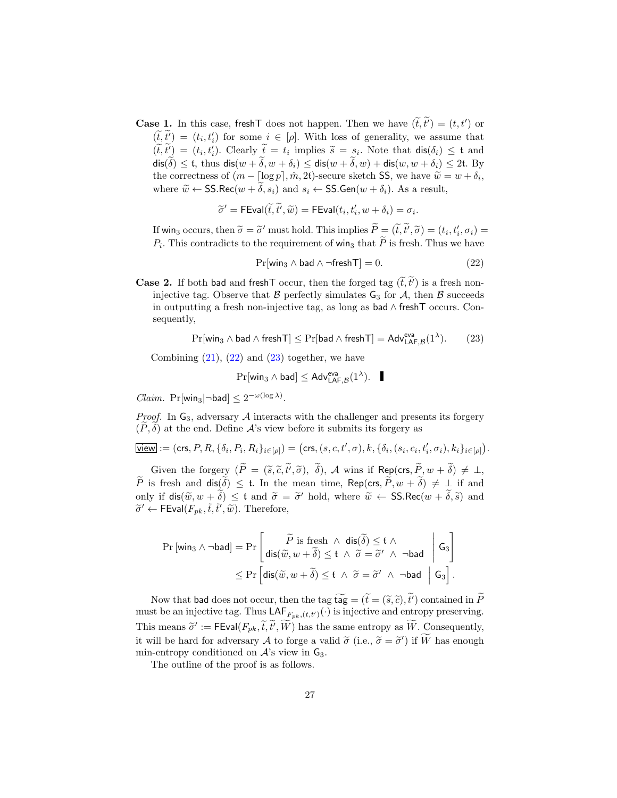**Case 1.** In this case, fresh  $\overline{\mathsf{I}}$  does not happen. Then we have  $(\tilde{t}, \tilde{t}') = (t, t')$  or  $(\widetilde{t},\widetilde{t'}) = (t_i,t'_i)$  for some  $i \in [\rho]$ . With loss of generality, we assume that  $(\widetilde{t},\widetilde{t}') = (t_i,t'_i)$ . Clearly  $\widetilde{t} = t_i$  implies  $\widetilde{s} = s_i$ . Note that  $\text{dis}(\delta_i) \leq t$  and  $dis(\tilde{\delta}) \leq t$ , thus  $dis(w + \tilde{\delta}, w + \delta_i) \leq dis(w + \tilde{\delta}, w) + dis(w, w + \delta_i) \leq 2t$ . By the correctness of  $(m - \lceil \log p \rceil, \hat{m}, 2t)$ -secure sketch SS, we have  $\widetilde{w} = w + \delta_i$ , where  $\tilde{w} \leftarrow \text{SS}.\text{Rec}(w + \tilde{\delta}, s_i)$  and  $s_i \leftarrow \text{SS}.\text{Gen}(w + \delta_i)$ . As a result,

$$
\widetilde{\sigma}' = \mathsf{FEval}(\widetilde{t}, \widetilde{t}', \widetilde{w}) = \mathsf{FEval}(t_i, t_i', w + \delta_i) = \sigma_i.
$$

If win<sub>3</sub> occurs, then  $\widetilde{\sigma} = \widetilde{\sigma}'$  must hold. This implies  $\widetilde{P} = (\widetilde{t}, \widetilde{t}', \widetilde{\sigma}) = (t_i, t'_i, \sigma_i) =$ <br>*P*. This contradicts to the nonvious orthofoxically that  $\widetilde{P}$  is focal. There are horse  $P_i$ . This contradicts to the requirement of win<sub>3</sub> that P is fresh. Thus we have

<span id="page-26-0"></span>
$$
\Pr[\text{win}_3 \land \text{bad} \land \neg \text{freshT}] = 0. \tag{22}
$$

**Case 2.** If both bad and fresh T occur, then the forged tag  $(\tilde{t}, \tilde{t})$  is a fresh noninjective tag. Observe that  $\beta$  perfectly simulates  $G_3$  for  $\mathcal{A}$ , then  $\beta$  succeeds in outputting a fresh non-injective tag, as long as bad ∧ freshT occurs. Consequently,

<span id="page-26-1"></span>
$$
\Pr[\text{win}_3 \wedge \text{bad} \wedge \text{freshT}] \leq \Pr[\text{bad} \wedge \text{ freshT}] = \text{Adv}_{\text{LAF},\mathcal{B}}^{\text{eva}}(1^\lambda). \qquad (23)
$$

Combining  $(21)$ ,  $(22)$  and  $(23)$  together, we have

$$
\Pr[\text{win}_3 \wedge \text{bad}] \leq \text{Adv}_{\text{LAF},\mathcal{B}}^{\text{eva}}(1^{\lambda}).\quad \blacksquare
$$

*Claim.* Pr[win<sub>3</sub> $\rceil$ ¬bad]  $\leq 2^{-\omega(\log \lambda)}$ .

*Proof.* In  $G_3$ , adversary A interacts with the challenger and presents its forgery  $(P, \delta)$  at the end. Define A's view before it submits its forgery as

$$
\overline{\mathsf{view}} := (\mathsf{crs}, P, R, \{\delta_i, P_i, R_i\}_{i \in [\rho]}) = (\mathsf{crs}, (s, c, t', \sigma), k, \{\delta_i, (s_i, c_i, t'_i, \sigma_i), k_i\}_{i \in [\rho]}).
$$

Given the forgery  $(P = (\tilde{s}, \tilde{c}, t', \tilde{\sigma}), \delta)$ , A wins if Rep(crs,  $\tilde{P}, w + \delta) \neq \bot$ ,  $\widetilde{P}$  is fresh and  $\textsf{dis}(\widetilde{\delta}) \leq t$ . In the mean time, Rep(crs,  $\widetilde{P}, w + \widetilde{\delta} \neq \bot$  if and only if  $\text{dis}(\widetilde{w}, w + \widetilde{\delta}) \leq t$  and  $\widetilde{\sigma} = \widetilde{\sigma}'$  hold, where  $\widetilde{w} \leftarrow \text{SS}.\text{Rec}(w + \widetilde{\delta}, \widetilde{s})$  and  $\widetilde{\sigma}' \leftarrow \text{FEval}(F, \widetilde{f}, \widetilde{f}', \widetilde{w})$ . Therefore  $\widetilde{\sigma}^{\prime} \leftarrow \mathsf{FEval}(F_{pk}, \tilde{t}, \tilde{t}^{\prime}, \tilde{w}).$  Therefore,

$$
\Pr[\text{win}_3 \land \neg \text{bad}] = \Pr\left[\begin{array}{c} \widetilde{P} \text{ is fresh } \land \text{ dis}(\widetilde{\delta}) \leq \mathfrak{t} \land \\ \text{dis}(\widetilde{w}, w + \widetilde{\delta}) \leq \mathfrak{t} \land \widetilde{\sigma} = \widetilde{\sigma}' \land \neg \text{bad} \end{array} \middle| \begin{array}{c} \mathsf{G}_3 \\ \mathsf{G}_3 \end{array} \right] \\ \leq \Pr\left[\text{dis}(\widetilde{w}, w + \widetilde{\delta}) \leq \mathfrak{t} \land \widetilde{\sigma} = \widetilde{\sigma}' \land \neg \text{bad} \mid \mathsf{G}_3 \right].
$$

Now that bad does not occur, then the tag  $\widetilde{\mathfrak{tag}} = (\widetilde{t} = (\widetilde{s}, \widetilde{c}), \widetilde{t}')$  contained in  $\widetilde{P}$ must be an injective tag. Thus  $\mathsf{LAF}_{F_{pk},(t,t')}(\cdot)$  is injective and entropy preserving. This means  $\widetilde{\sigma}' := \mathsf{FEval}(F_{pk}, \widetilde{t}, \widetilde{t}', \widetilde{W})$  has the same entropy as  $\widetilde{W}$ . Consequently, it will be hard for adversary A to forge a valid  $\tilde{\sigma}$  (i.e.,  $\tilde{\sigma} = \tilde{\sigma}'$ ) if  $\tilde{W}$  has enough min outcome conditioned on A's view in  $\tilde{C}$ . min-entropy conditioned on  $A$ 's view in  $G_3$ .

The outline of the proof is as follows.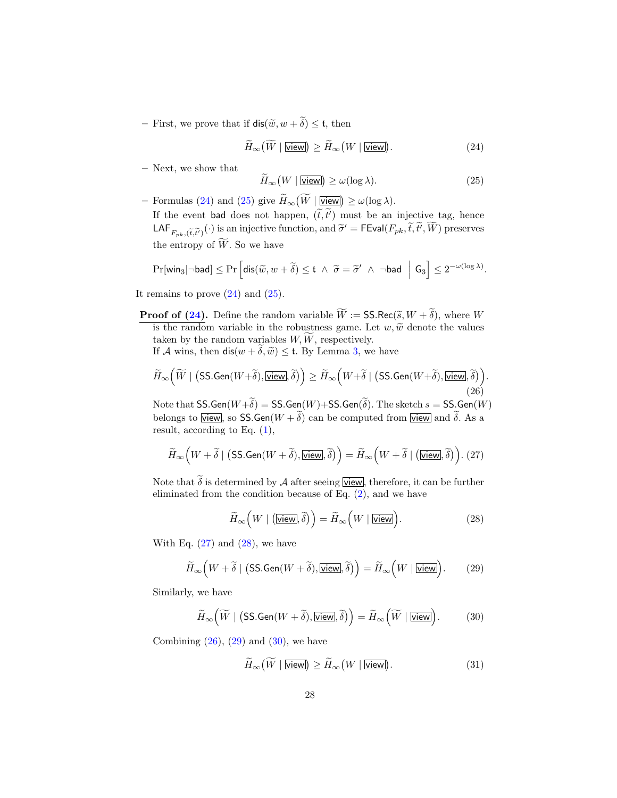– First, we prove that if  $\text{dis}(\tilde{w}, w + \tilde{\delta}) \leq \mathfrak{t}$ , then

<span id="page-27-0"></span>
$$
H_{\infty}(W \mid \underline{\text{view}}) \ge H_{\infty}(W \mid \underline{\text{view}}). \tag{24}
$$

– Next, we show that

<span id="page-27-1"></span>
$$
\widetilde{H}_{\infty}(W \mid \underline{\text{View}}) \ge \omega(\log \lambda). \tag{25}
$$

− Formulas [\(24\)](#page-27-0) and [\(25\)](#page-27-1) give  $H_{\infty}(W | \underline{\text{view}}) \ge \omega(\log \lambda)$ . If the event bad does not happen,  $(\tilde{t}, \tilde{t}')$  must be an injective tag, hence  $\mathsf{LAF}_{F_{pk},(\tilde{t},\tilde{t}')}(.)$  is an injective function, and  $\tilde{\sigma}' = \mathsf{FEval}(F_{pk},\tilde{t},\tilde{t}',\tilde{W})$  preserves the entropy of  $\widetilde{W}$ . So we have

$$
\Pr[\textsf{win}_3 | \neg \textsf{bad}] \leq \Pr\Big[\textsf{dis}(\widetilde{w}, w + \widetilde{\delta}) \leq \mathfrak{t} \ \wedge \ \widetilde{\sigma} = \widetilde{\sigma}' \ \wedge \ \neg \textsf{bad} \ \Big| \ \textsf{G}_3\Big] \leq 2^{-\omega(\log \lambda)}.
$$

It remains to prove  $(24)$  and  $(25)$ .

**Proof of [\(24\)](#page-27-0).** Define the random variable  $\widetilde{W} := \mathsf{SS}.\mathsf{Rec}(\widetilde{s}, W + \widetilde{\delta})$ , where W is the random variable in the robustness game. Let  $w, \tilde{w}$  denote the values taken by the random variables  $W, \tilde{W}$ , respectively.

If A wins, then  $dis(w + \delta, \tilde{w}) \leq t$ . By Lemma [3,](#page-9-0) we have

<span id="page-27-4"></span>
$$
\widetilde{H}_{\infty}\Big(\widetilde{W} \mid \big(\text{\textsf{SS}.Gen}(W+\widetilde{\delta}), \overline{\textsf{View}}\!, \widetilde{\delta}\big)\Big) \geq \widetilde{H}_{\infty}\Big(W+\widetilde{\delta} \mid \big(\text{\textsf{SS}.Gen}(W+\widetilde{\delta}), \overline{\textsf{View}}\!, \widetilde{\delta}\big)\Big). \tag{26}
$$

Note that  $SS.Gen(W+\tilde{\delta}) = SS.Gen(W) + SS.Gen(\tilde{\delta})$ . The sketch  $s = SS.Gen(W)$ belongs to view, so SS.Gen $(W + \tilde{\delta})$  can be computed from view and  $\tilde{\delta}$ . As a result, according to Eq. [\(1\)](#page-8-0),

<span id="page-27-2"></span>
$$
\widetilde{H}_{\infty}\Big(W+\widetilde{\delta}\mid \big(\textsf{SS.Gen}(W+\widetilde{\delta}),\overline{\textsf{View}}],\widetilde{\delta}\big)\Big)=\widetilde{H}_{\infty}\Big(W+\widetilde{\delta}\mid \big(\overline{\textsf{View}}],\widetilde{\delta}\big)\Big).~(27)
$$

Note that  $\tilde{\delta}$  is determined by A after seeing view, therefore, it can be further eliminated from the condition because of Eq. [\(2\)](#page-8-0), and we have

<span id="page-27-3"></span>
$$
\widetilde{H}_{\infty}\left(W \mid \left(\underbrace{\text{View}}\right), \widetilde{\delta}\right) = \widetilde{H}_{\infty}\left(W \mid \underbrace{\text{View}}\right). \tag{28}
$$

With Eq.  $(27)$  and  $(28)$ , we have

<span id="page-27-5"></span>
$$
\widetilde{H}_{\infty}\Big(W+\widetilde{\delta}\mid\big(\text{SS.Gen}(W+\widetilde{\delta}),\overline{\text{view}}\vert,\widetilde{\delta}\big)\Big)=\widetilde{H}_{\infty}\Big(W\mid\overline{\text{view}}\Big). \tag{29}
$$

Similarly, we have

<span id="page-27-6"></span>
$$
\widetilde{H}_{\infty}\left(\widetilde{W} \mid (\text{SS.Gen}(W + \widetilde{\delta}), \underline{\text{View}}], \widetilde{\delta})\right) = \widetilde{H}_{\infty}\left(\widetilde{W} \mid \underline{\text{View}}\right). \tag{30}
$$

Combining  $(26)$ ,  $(29)$  and  $(30)$ , we have

$$
\widetilde{H}_{\infty}(\widetilde{W} \mid \underline{\text{View}}) \ge \widetilde{H}_{\infty}(W \mid \underline{\text{View}}).
$$
\n(31)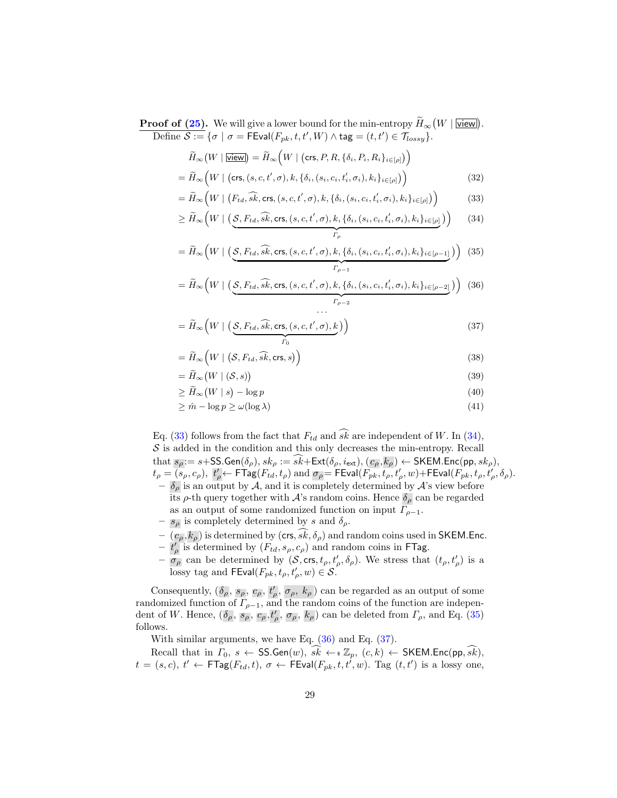**Proof of [\(25\)](#page-27-1).** We will give a lower bound for the min-entropy  $H_{\infty}(W | \underline{\text{view}})$ .  $\overline{\text{Define }\mathcal{S}:=\{\sigma \mid \sigma=\textsf{FEval}(F_{pk},t,t',W) \wedge \textsf{tag}=(t,t')\in \mathcal{T}_{lossy}\}}.$ 

<span id="page-28-0"></span>
$$
\widetilde{H}_{\infty}(W \mid \underline{\text{View}}) = \widetilde{H}_{\infty}\left(W \mid (\text{crs}, P, R, \{\delta_i, P_i, R_i\}_{i \in [p]})\right)
$$
\n
$$
= \widetilde{H}_{\infty}\left(W \mid (\text{crs}, (s, c, t', \sigma), k, \{\delta_i, (s_i, c_i, t'_i, \sigma_i), k_i\}_{i \in [p]})\right)
$$
\n(32)

$$
= \widetilde{H}_{\infty}\Big(W \mid \big(F_{td}, \widehat{sk}, \text{crs}, (s, c, t', \sigma), k, \{\delta_i, (s_i, c_i, t'_i, \sigma_i), k_i\}_{i \in [\rho]}\big)\Big) \tag{33}
$$

$$
\geq \widetilde{H}_{\infty}\Big(W \mid \left(\underbrace{\mathcal{S}, F_{td}, \widehat{sk}, \text{crs}, (s, c, t', \sigma), k, \{\delta_i, (s_i, c_i, t'_i, \sigma_i), k_i\}_{i \in [\rho]}}_{\Gamma_{\rho}}\right)\Big) \tag{34}
$$

$$
= \widetilde{H}_{\infty}\Big(W \mid \left(\underbrace{\mathcal{S}, F_{td}, \widehat{sk}, \text{crs}, (s, c, t', \sigma), k, \{\delta_i, (s_i, c_i, t'_i, \sigma_i), k_i\}_{i \in [\rho-1]}}_{\Gamma_{\rho-1}}\right)\Big) (35)
$$

$$
= \widetilde{H}_{\infty}\Big(W \mid \left(\underbrace{\mathcal{S}, F_{td}, \widehat{sk}, \text{crs}, (s, c, t', \sigma), k, \{\delta_i, (s_i, c_i, t'_i, \sigma_i), k_i\}_{i \in [\rho-2]}}_{\Gamma_{\rho-2}}\right)\Big) (36)
$$

$$
= \widetilde{H}_{\infty}\left(W \mid \left(\underbrace{\mathcal{S}, F_{td}, \widehat{sk}, \text{crs}, (s, c, t', \sigma), k}_{\Gamma_0}\right)\right)
$$
(37)

$$
= \widetilde{H}_{\infty}\left(W \mid \left(\mathcal{S}, F_{td}, \widehat{sk}, \text{crs}, s\right)\right) \tag{38}
$$

$$
= \widetilde{H}_{\infty}(W \mid (\mathcal{S}, s)) \tag{39}
$$

$$
\geq \widetilde{H}_{\infty}(W \mid s) - \log p \tag{40}
$$

$$
\geq \hat{m} - \log p \geq \omega(\log \lambda) \tag{41}
$$

Eq. [\(33\)](#page-28-0) follows from the fact that  $F_{td}$  and  $\widehat{sk}$  are independent of W. In [\(34\)](#page-28-0),  $S$  is added in the condition and this only decreases the min-entropy. Recall that  $s_\rho = s + SS.Gen(\delta_\rho), sk_\rho := sk + Ext(\delta_\rho, i_{ext}), (c_\rho, k_\rho) \leftarrow SKEM.Enc(pp, sk_\rho),$  $t_\rho = \overline{(s_\rho, c_\rho)},\; t'_\rho \leftarrow \mathsf{FTag}(F_{td}, t_\rho) \text{ and } \sigma_\rho = \mathsf{FEval}(F_{pk}, \overline{t_\rho}, t'_\rho, w) + \mathsf{FEval}(F_{pk}, t_\rho, t'_\rho, \delta_\rho).$  $-\delta_{\rho}$  is an output by A, and it is completely determined by A's view before its  $\rho$ -th query together with  $\mathcal{A}$ 's random coins. Hence  $\delta_{\rho}$  can be regarded

- as an output of some randomized function on input  $\Gamma_{\rho-1}$ .
- $s_{\rho}$  is completely determined by s and  $\delta_{\rho}$ .
- $-(c_{\rho}, k_{\rho})$  is determined by (crs, sk,  $\delta_{\rho}$ ) and random coins used in SKEM.Enc.<br>  $t'_{\rho}$  is determined by ( $F_{td}, s_{\rho}, c_{\rho}$ ) and random coins in FTag.
- 
- $-\overline{\sigma}_{\rho}$  can be determined by  $(S, \text{crs}, t_{\rho}, t'_{\rho}, \delta_{\rho})$ . We stress that  $(t_{\rho}, t'_{\rho})$  is a  $\overline{{\rm loss}}$ y tag and FEval $(F_{pk}, t_\rho, t'_\rho, w) \in \mathcal{S}.$

Consequently,  $(\delta_{\rho}, s_{\rho}, c_{\rho}, t'_{\rho}, \sigma_{\rho}, k_{\rho})$  can be regarded as an output of some randomized function of  $\Gamma_{\rho-1}$ , and the random coins of the function are independent of W. Hence,  $(\delta_\rho, s_\rho, c_\rho, t'_\rho, \sigma_\rho, k_\rho)$  can be deleted from  $\Gamma_\rho$ , and Eq. [\(35\)](#page-28-0) follows.

With similar arguments, we have Eq. [\(36\)](#page-28-0) and Eq. [\(37\)](#page-28-0).

Recall that in  $\Gamma_0$ ,  $s \leftarrow \text{SS.Gen}(w)$ ,  $\widehat{sk} \leftarrow \{z_p, (c, k) \leftarrow \text{SKEM.Fnc}(pp, \widehat{sk}),$  $t = (s, c), t' \leftarrow \mathsf{FTag}(F_{td}, t), \sigma \leftarrow \mathsf{FEval}(F_{pk}, t, t', w)$ . Tag  $(t, t')$  is a lossy one,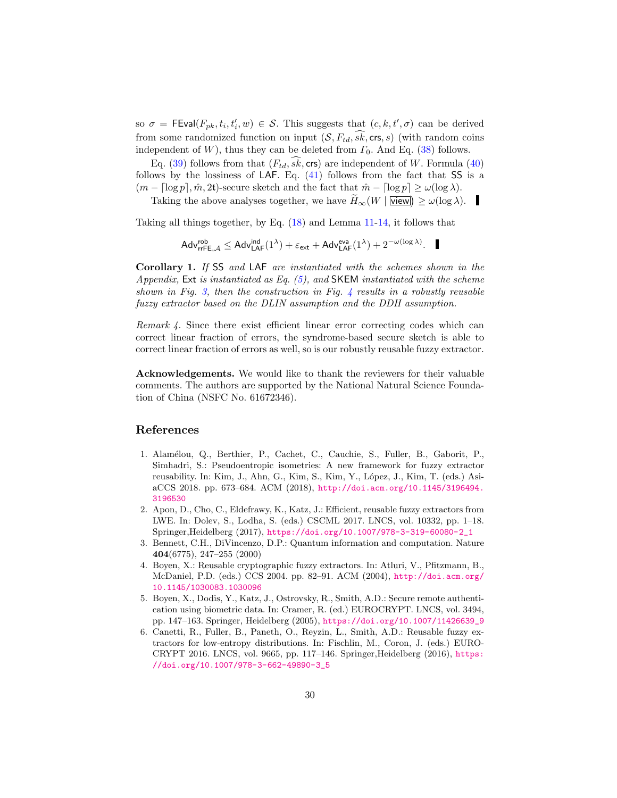so  $\sigma = \mathsf{FEval}(F_{pk}, t_i, t'_i, w) \in \mathcal{S}$ . This suggests that  $(c, k, t', \sigma)$  can be derived from some randomized function on input  $(S, F_{td}, \widehat{sk}, \text{crs}, s)$  (with random coins independent of W), thus they can be deleted from  $\Gamma_0$ . And Eq. [\(38\)](#page-28-0) follows.

Eq. [\(39\)](#page-28-0) follows from that  $(F_{td}, sk, \text{crs})$  are independent of W. Formula [\(40\)](#page-28-0) follows by the lossiness of LAF. Eq.  $(41)$  follows from the fact that SS is a  $(m - \lceil \log p \rceil, \hat{m}, 2t)$ -secure sketch and the fact that  $\hat{m} - \lceil \log p \rceil \geq \omega(\log \lambda)$ .

Taking the above analyses together, we have  $\hat{H}_{\infty}(W | \overline{\text{view}}) \ge \omega(\log \lambda)$ .

Taking all things together, by Eq. [\(18\)](#page-23-2) and Lemma [11-](#page-23-0)[14,](#page-24-0) it follows that

$$
\mathsf{Adv}^{\mathsf{rob}}_{\mathsf{rrfE},\mathcal{A}} \leq \mathsf{Adv}^{\mathsf{ind}}_{\mathsf{LAF}}(1^\lambda) + \varepsilon_{\mathsf{ext}} + \mathsf{Adv}^{\mathsf{eva}}_{\mathsf{LAF}}(1^\lambda) + 2^{-\omega(\log \lambda)}.\quad \blacksquare
$$

Corollary 1. If SS and LAF are instantiated with the schemes shown in the Appendix, Ext is instantiated as Eq. [\(5\)](#page-10-1), and SKEM instantiated with the scheme shown in Fig. [3,](#page-12-0) then the construction in Fig. [4](#page-16-0) results in a robustly reusable fuzzy extractor based on the DLIN assumption and the DDH assumption.

Remark 4. Since there exist efficient linear error correcting codes which can correct linear fraction of errors, the syndrome-based secure sketch is able to correct linear fraction of errors as well, so is our robustly reusable fuzzy extractor.

Acknowledgements. We would like to thank the reviewers for their valuable comments. The authors are supported by the National Natural Science Foundation of China (NSFC No. 61672346).

## References

- <span id="page-29-4"></span>1. Alam´elou, Q., Berthier, P., Cachet, C., Cauchie, S., Fuller, B., Gaborit, P., Simhadri, S.: Pseudoentropic isometries: A new framework for fuzzy extractor reusability. In: Kim, J., Ahn, G., Kim, S., Kim, Y., López, J., Kim, T. (eds.) AsiaCCS 2018. pp. 673–684. ACM (2018), [http://doi.acm.org/10.1145/3196494.](http://doi.acm.org/10.1145/3196494.3196530) [3196530](http://doi.acm.org/10.1145/3196494.3196530)
- <span id="page-29-2"></span>2. Apon, D., Cho, C., Eldefrawy, K., Katz, J.: Efficient, reusable fuzzy extractors from LWE. In: Dolev, S., Lodha, S. (eds.) CSCML 2017. LNCS, vol. 10332, pp. 1–18. Springer,Heidelberg (2017), [https://doi.org/10.1007/978-3-319-60080-2\\_1](https://doi.org/10.1007/978-3-319-60080-2_1)
- <span id="page-29-0"></span>3. Bennett, C.H., DiVincenzo, D.P.: Quantum information and computation. Nature 404(6775), 247–255 (2000)
- <span id="page-29-1"></span>4. Boyen, X.: Reusable cryptographic fuzzy extractors. In: Atluri, V., Pfitzmann, B., McDaniel, P.D. (eds.) CCS 2004. pp. 82–91. ACM (2004), [http://doi.acm.org/](http://doi.acm.org/10.1145/1030083.1030096) [10.1145/1030083.1030096](http://doi.acm.org/10.1145/1030083.1030096)
- <span id="page-29-5"></span>5. Boyen, X., Dodis, Y., Katz, J., Ostrovsky, R., Smith, A.D.: Secure remote authentication using biometric data. In: Cramer, R. (ed.) EUROCRYPT. LNCS, vol. 3494, pp. 147–163. Springer, Heidelberg (2005), [https://doi.org/10.1007/11426639\\_9](https://doi.org/10.1007/11426639_9)
- <span id="page-29-3"></span>6. Canetti, R., Fuller, B., Paneth, O., Reyzin, L., Smith, A.D.: Reusable fuzzy extractors for low-entropy distributions. In: Fischlin, M., Coron, J. (eds.) EURO-CRYPT 2016. LNCS, vol. 9665, pp. 117–146. Springer,Heidelberg (2016), [https:](https://doi.org/10.1007/978-3-662-49890-3_5) [//doi.org/10.1007/978-3-662-49890-3\\_5](https://doi.org/10.1007/978-3-662-49890-3_5)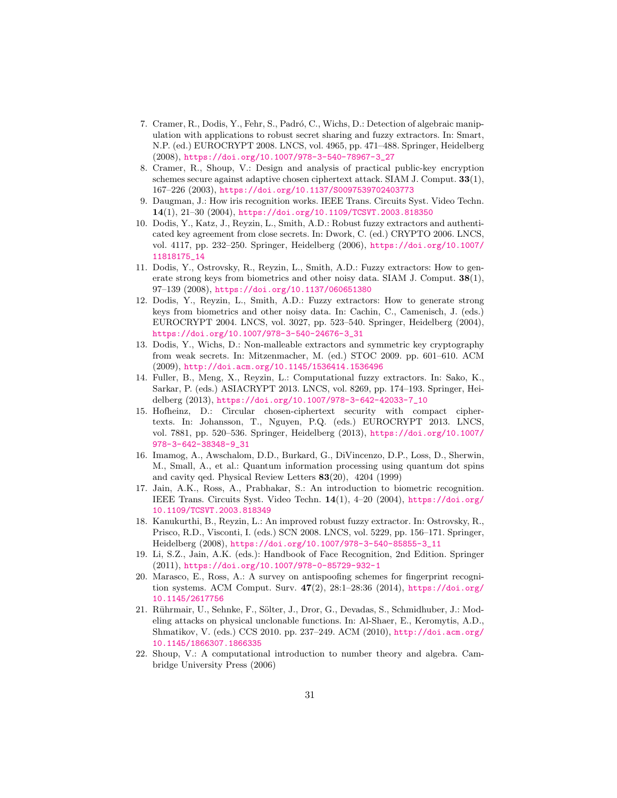- <span id="page-30-11"></span>7. Cramer, R., Dodis, Y., Fehr, S., Padr´o, C., Wichs, D.: Detection of algebraic manipulation with applications to robust secret sharing and fuzzy extractors. In: Smart, N.P. (ed.) EUROCRYPT 2008. LNCS, vol. 4965, pp. 471–488. Springer, Heidelberg (2008), [https://doi.org/10.1007/978-3-540-78967-3\\_27](https://doi.org/10.1007/978-3-540-78967-3_27)
- <span id="page-30-14"></span>8. Cramer, R., Shoup, V.: Design and analysis of practical public-key encryption schemes secure against adaptive chosen ciphertext attack. SIAM J. Comput. 33(1), 167–226 (2003), <https://doi.org/10.1137/S0097539702403773>
- <span id="page-30-0"></span>9. Daugman, J.: How iris recognition works. IEEE Trans. Circuits Syst. Video Techn. 14(1), 21–30 (2004), <https://doi.org/10.1109/TCSVT.2003.818350>
- <span id="page-30-8"></span>10. Dodis, Y., Katz, J., Reyzin, L., Smith, A.D.: Robust fuzzy extractors and authenticated key agreement from close secrets. In: Dwork, C. (ed.) CRYPTO 2006. LNCS, vol. 4117, pp. 232–250. Springer, Heidelberg (2006), [https://doi.org/10.1007/](https://doi.org/10.1007/11818175_14) [11818175\\_14](https://doi.org/10.1007/11818175_14)
- <span id="page-30-12"></span>11. Dodis, Y., Ostrovsky, R., Reyzin, L., Smith, A.D.: Fuzzy extractors: How to generate strong keys from biometrics and other noisy data. SIAM J. Comput. 38(1), 97–139 (2008), <https://doi.org/10.1137/060651380>
- <span id="page-30-6"></span>12. Dodis, Y., Reyzin, L., Smith, A.D.: Fuzzy extractors: How to generate strong keys from biometrics and other noisy data. In: Cachin, C., Camenisch, J. (eds.) EUROCRYPT 2004. LNCS, vol. 3027, pp. 523–540. Springer, Heidelberg (2004), [https://doi.org/10.1007/978-3-540-24676-3\\_31](https://doi.org/10.1007/978-3-540-24676-3_31)
- <span id="page-30-10"></span>13. Dodis, Y., Wichs, D.: Non-malleable extractors and symmetric key cryptography from weak secrets. In: Mitzenmacher, M. (ed.) STOC 2009. pp. 601–610. ACM (2009), <http://doi.acm.org/10.1145/1536414.1536496>
- <span id="page-30-7"></span>14. Fuller, B., Meng, X., Reyzin, L.: Computational fuzzy extractors. In: Sako, K., Sarkar, P. (eds.) ASIACRYPT 2013. LNCS, vol. 8269, pp. 174–193. Springer, Heidelberg (2013), [https://doi.org/10.1007/978-3-642-42033-7\\_10](https://doi.org/10.1007/978-3-642-42033-7_10)
- <span id="page-30-13"></span>15. Hofheinz, D.: Circular chosen-ciphertext security with compact ciphertexts. In: Johansson, T., Nguyen, P.Q. (eds.) EUROCRYPT 2013. LNCS, vol. 7881, pp. 520–536. Springer, Heidelberg (2013), [https://doi.org/10.1007/](https://doi.org/10.1007/978-3-642-38348-9_31) [978-3-642-38348-9\\_31](https://doi.org/10.1007/978-3-642-38348-9_31)
- <span id="page-30-5"></span>16. Imamog, A., Awschalom, D.D., Burkard, G., DiVincenzo, D.P., Loss, D., Sherwin, M., Small, A., et al.: Quantum information processing using quantum dot spins and cavity qed. Physical Review Letters 83(20), 4204 (1999)
- <span id="page-30-1"></span>17. Jain, A.K., Ross, A., Prabhakar, S.: An introduction to biometric recognition. IEEE Trans. Circuits Syst. Video Techn. 14(1), 4–20 (2004), [https://doi.org/](https://doi.org/10.1109/TCSVT.2003.818349) [10.1109/TCSVT.2003.818349](https://doi.org/10.1109/TCSVT.2003.818349)
- <span id="page-30-9"></span>18. Kanukurthi, B., Reyzin, L.: An improved robust fuzzy extractor. In: Ostrovsky, R., Prisco, R.D., Visconti, I. (eds.) SCN 2008. LNCS, vol. 5229, pp. 156–171. Springer, Heidelberg (2008), [https://doi.org/10.1007/978-3-540-85855-3\\_11](https://doi.org/10.1007/978-3-540-85855-3_11)
- <span id="page-30-2"></span>19. Li, S.Z., Jain, A.K. (eds.): Handbook of Face Recognition, 2nd Edition. Springer (2011), <https://doi.org/10.1007/978-0-85729-932-1>
- <span id="page-30-3"></span>20. Marasco, E., Ross, A.: A survey on antispoofing schemes for fingerprint recognition systems. ACM Comput. Surv. 47(2), 28:1–28:36 (2014), [https://doi.org/](https://doi.org/10.1145/2617756) [10.1145/2617756](https://doi.org/10.1145/2617756)
- <span id="page-30-4"></span>21. Rührmair, U., Sehnke, F., Sölter, J., Dror, G., Devadas, S., Schmidhuber, J.: Modeling attacks on physical unclonable functions. In: Al-Shaer, E., Keromytis, A.D., Shmatikov, V. (eds.) CCS 2010. pp. 237–249. ACM (2010), [http://doi.acm.org/](http://doi.acm.org/10.1145/1866307.1866335) [10.1145/1866307.1866335](http://doi.acm.org/10.1145/1866307.1866335)
- <span id="page-30-15"></span>22. Shoup, V.: A computational introduction to number theory and algebra. Cambridge University Press (2006)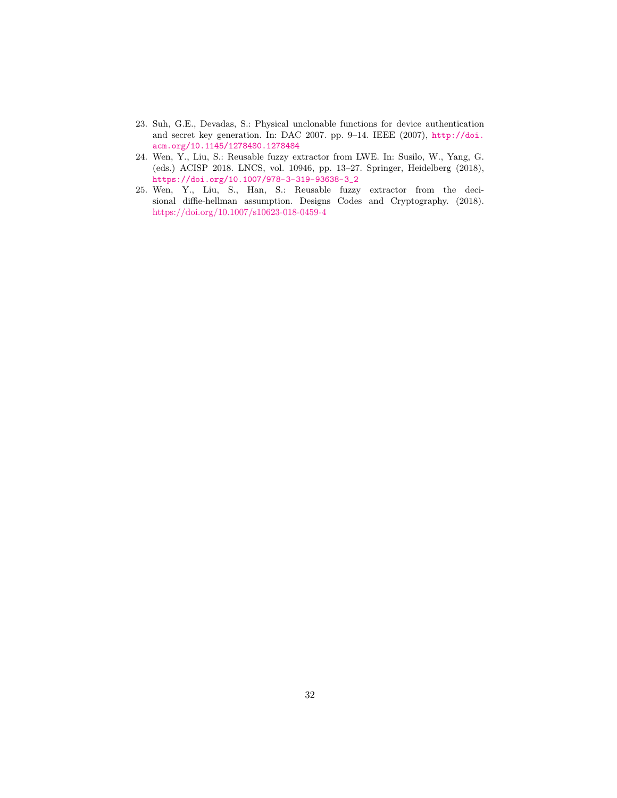- <span id="page-31-0"></span>23. Suh, G.E., Devadas, S.: Physical unclonable functions for device authentication and secret key generation. In: DAC 2007. pp. 9–14. IEEE (2007), [http://doi.](http://doi.acm.org/10.1145/1278480.1278484) [acm.org/10.1145/1278480.1278484](http://doi.acm.org/10.1145/1278480.1278484)
- <span id="page-31-1"></span>24. Wen, Y., Liu, S.: Reusable fuzzy extractor from LWE. In: Susilo, W., Yang, G. (eds.) ACISP 2018. LNCS, vol. 10946, pp. 13–27. Springer, Heidelberg (2018), [https://doi.org/10.1007/978-3-319-93638-3\\_2](https://doi.org/10.1007/978-3-319-93638-3_2)
- <span id="page-31-2"></span>25. Wen, Y., Liu, S., Han, S.: Reusable fuzzy extractor from the decisional diffie-hellman assumption. Designs Codes and Cryptography. (2018). <https://doi.org/10.1007/s10623-018-0459-4>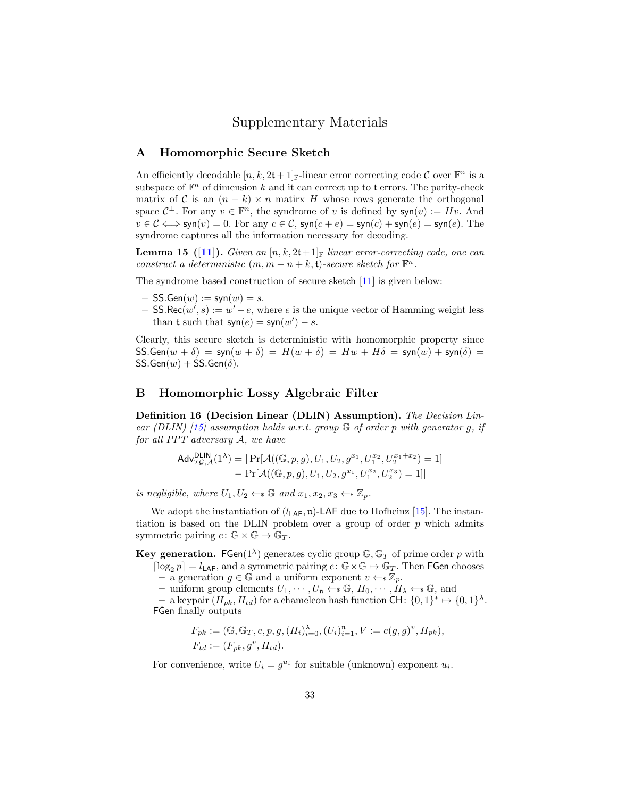## Supplementary Materials

## <span id="page-32-0"></span>A Homomorphic Secure Sketch

An efficiently decodable  $[n, k, 2t + 1]_{\mathbb{F}}$ -linear error correcting code C over  $\mathbb{F}^n$  is a subspace of  $\mathbb{F}^n$  of dimension k and it can correct up to t errors. The parity-check matrix of C is an  $(n - k) \times n$  matirx H whose rows generate the orthogonal space  $\mathcal{C}^{\perp}$ . For any  $v \in \mathbb{F}^n$ , the syndrome of v is defined by  $\mathsf{syn}(v) := Hv$ . And  $v \in \mathcal{C} \Longleftrightarrow$  syn $(v) = 0$ . For any  $c \in \mathcal{C}$ , syn $(c + e) =$  syn $(c) +$  syn $(e) =$  syn $(e)$ . The syndrome captures all the information necessary for decoding.

**Lemma 15 ([\[11\]](#page-30-12)).** Given an  $[n, k, 2t+1]$  linear error-correcting code, one can construct a deterministic  $(m, m - n + k, t)$ -secure sketch for  $\mathbb{F}^n$ .

The syndrome based construction of secure sketch [\[11\]](#page-30-12) is given below:

- $-$  SS.Gen $(w) := \text{syn}(w) = s$ .
- − SS.Rec $(w', s) := w' e$ , where e is the unique vector of Hamming weight less than t such that  $syn(e) = syn(w') - s$ .

Clearly, this secure sketch is deterministic with homomorphic property since  $SS.Gen(w + \delta) = syn(w + \delta) = H(w + \delta) = Hw + H\delta = syn(w) + syn(\delta) =$  $SS.Gen(w) + SS.Gen(\delta).$ 

## <span id="page-32-1"></span>B Homomorphic Lossy Algebraic Filter

Definition 16 (Decision Linear (DLIN) Assumption). The Decision Lin-ear (DLIN) [\[15\]](#page-30-13) assumption holds w.r.t. group  $\mathbb G$  of order p with generator g, if for all PPT adversary A, we have

$$
Adv_{\mathcal{IG},\mathcal{A}}^{\text{DLIN}}(1^{\lambda}) = | \Pr[\mathcal{A}((\mathbb{G},p,g),U_1,U_2,g^{x_1},U_1^{x_2},U_2^{x_1+x_2}) = 1] - \Pr[\mathcal{A}((\mathbb{G},p,g),U_1,U_2,g^{x_1},U_1^{x_2},U_2^{x_3}) = 1] |
$$

is negligible, where  $U_1, U_2 \leftarrow \mathcal{S}$  and  $x_1, x_2, x_3 \leftarrow \mathcal{Z}_p$ .

We adopt the instantiation of  $(l_{\text{LAF}}, \mathfrak{n})$ -LAF due to Hofheinz [\[15\]](#page-30-13). The instantiation is based on the DLIN problem over a group of order  $p$  which admits symmetric pairing  $e: \mathbb{G} \times \mathbb{G} \to \mathbb{G}_T$ .

Key generation. FGen( $1^{\lambda}$ ) generates cyclic group  $\mathbb{G}, \mathbb{G}_T$  of prime order p with  $\lceil \log_2 p \rceil = l_{\text{LAF}}$ , and a symmetric pairing  $e: \mathbb{G} \times \mathbb{G} \mapsto \mathbb{G}_T$ . Then FGen chooses  $-$  a generation  $g \in \mathbb{G}$  and a uniform exponent  $v \leftarrow \mathbb{Z}_p$ .

– uniform group elements  $U_1, \dots, U_n \leftarrow \mathcal{G}, H_0, \dots, H_\lambda \leftarrow \mathcal{G},$  and

- a keypair  $(H_{pk}, H_{td})$  for a chameleon hash function CH:  $\{0,1\}^* \mapsto \{0,1\}^{\lambda}$ . FGen finally outputs

$$
F_{pk} := (\mathbb{G}, \mathbb{G}_T, e, p, g, (H_i)_{i=0}^{\lambda}, (U_i)_{i=1}^n, V := e(g, g)^v, H_{pk}),
$$
  

$$
F_{td} := (F_{pk}, g^v, H_{td}).
$$

For convenience, write  $U_i = g^{u_i}$  for suitable (unknown) exponent  $u_i$ .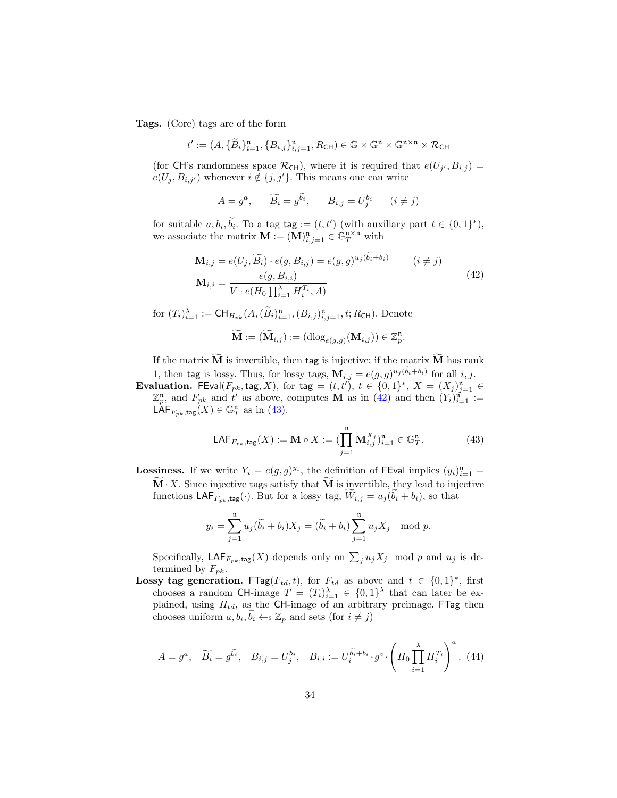Tags. (Core) tags are of the form

$$
t' := (A, \{\widetilde{B}_i\}_{i=1}^n, \{B_{i,j}\}_{i,j=1}^n, R_{\mathsf{CH}}) \in \mathbb{G} \times \mathbb{G}^{\mathfrak{n}} \times \mathbb{G}^{\mathfrak{n} \times \mathfrak{n}} \times R_{\mathsf{CH}}
$$

(for CH's randomness space  $\mathcal{R}_{CH}$ ), where it is required that  $e(U_{j'}, B_{i,j}) =$  $e(U_j, B_{i,j'})$  whenever  $i \notin \{j, j'\}$ . This means one can write

$$
A = g^a, \qquad \widetilde{B_i} = g^{\widetilde{b_i}}, \qquad B_{i,j} = U_j^{b_i} \qquad (i \neq j)
$$

for suitable  $a, b_i, \tilde{b_i}$ . To a tag tag :=  $(t, t')$  (with auxiliary part  $t \in \{0, 1\}^*$ ), we associate the matrix  $\mathbf{M} := (\mathbf{M})_{i,j=1}^{\mathfrak{n}} \in \mathbb{G}_T^{\mathfrak{n} \times \mathfrak{n}}$  with

$$
\mathbf{M}_{i,j} = e(U_j, \widetilde{B_i}) \cdot e(g, B_{i,j}) = e(g, g)^{u_j(b_i + b_i)} \qquad (i \neq j)
$$
  

$$
\mathbf{M}_{i,i} = \frac{e(g, B_{i,i})}{V \cdot e(H_0 \prod_{i=1}^{N} H_i^{T_i}, A)}
$$
(42)

<span id="page-33-0"></span>for  $(T_i)_{i=1}^{\lambda} := \text{CH}_{H_{pk}}(A, (\tilde{B}_i)_{i=1}^{\mathfrak{n}}, (B_{i,j})_{i,j=1}^{\mathfrak{n}}, t; R_{\text{CH}})$ . Denote

$$
\widetilde{\mathbf{M}} := (\widetilde{\mathbf{M}}_{i,j}) := (\mathrm{dlog}_{e(g,g)}(\mathbf{M}_{i,j})) \in \mathbb{Z}_p^n.
$$

If the matrix  $\widetilde{M}$  is invertible, then tag is injective; if the matrix  $\widetilde{M}$  has rank 1, then tag is lossy. Thus, for lossy tags,  $\mathbf{M}_{i,j} = e(g,g)^{u_j(b_i+b_i)}$  for all  $i, j$ .

**Evaluation.** FEval( $F_{pk}$ , tag, X), for tag =  $(t, t')$ ,  $t \in \{0, 1\}^*$ ,  $X = (X_j)_{j=1}^n \in$  $\mathbb{Z}_p^n$ , and  $F_{pk}$  and  $t'$  as above, computes **M** as in [\(42\)](#page-33-0) and then  $(Y_i)_{i=1}^n :=$  $\mathsf{LAF}_{F_{pk},\mathsf{tag}}(X) \in \mathbb{G}_T^n$  as in [\(43\)](#page-33-1).

<span id="page-33-1"></span>
$$
\mathsf{LAF}_{F_{pk},\mathsf{tag}}(X) := \mathbf{M} \circ X := \left( \prod_{j=1}^{\mathfrak{n}} \mathbf{M}_{i,j}^{X_j} \right)_{i=1}^{\mathfrak{n}} \in \mathbb{G}_T^{\mathfrak{n}}.
$$
 (43)

**Lossiness.** If we write  $Y_i = e(g, g)^{y_i}$ , the definition of FEval implies  $(y_i)_{i=1}^n =$  $\mathbf{M} \cdot X$ . Since injective tags satisfy that  $\mathbf{M}$  is invertible, they lead to injective functions  $\mathsf{LAF}_{F_{pk},\mathsf{tag}}(\cdot)$ . But for a lossy tag,  $W_{i,j} = u_j(b_i + b_i)$ , so that

$$
y_i = \sum_{j=1}^{n} u_j(\tilde{b}_i + b_i)X_j = (\tilde{b}_i + b_i) \sum_{j=1}^{n} u_jX_j \mod p.
$$

Specifically,  $\mathsf{LAF}_{F_{pk},\mathsf{tag}}(X)$  depends only on  $\sum_j u_j X_j \mod p$  and  $u_j$  is determined by  $F_{pk}$ .

Lossy tag generation. FTag( $F_{td}$ , t), for  $F_{td}$  as above and  $t \in \{0,1\}^*$ , first chooses a random CH-image  $T = (T_i)_{i=1}^{\lambda} \in \{0,1\}^{\lambda}$  that can later be explained, using  $H_{td}$ , as the CH-image of an arbitrary preimage. FTag then chooses uniform  $a, b_i, \tilde{b}_i \leftarrow \mathcal{Z}_p$  and sets (for  $i \neq j$ )

$$
A = g^a, \quad \widetilde{B_i} = g^{\widetilde{b_i}}, \quad B_{i,j} = U_j^{b_i}, \quad B_{i,i} := U_i^{\widetilde{b_i} + b_i} \cdot g^v \cdot \left( H_0 \prod_{i=1}^{\lambda} H_i^{T_i} \right)^a. \tag{44}
$$